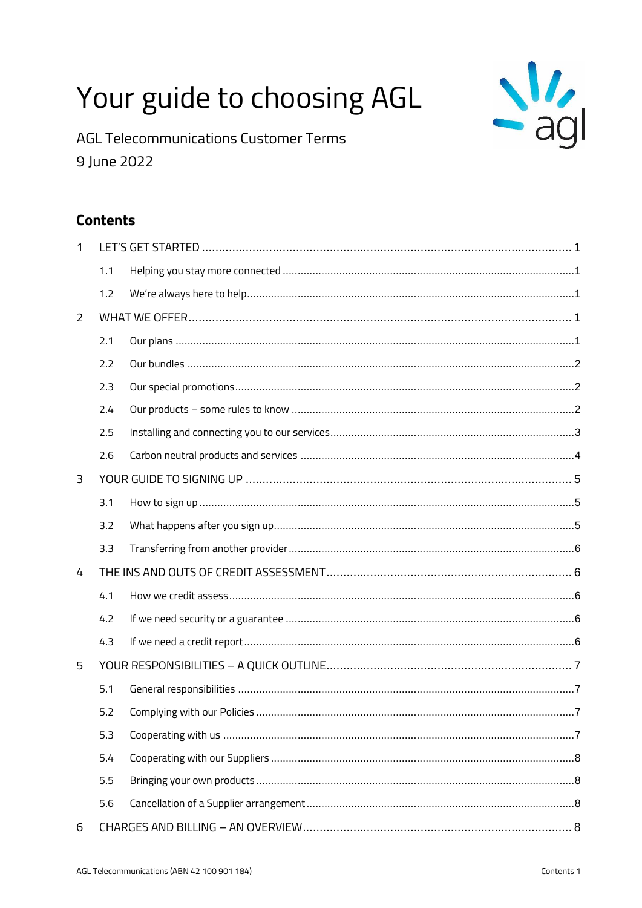# Your guide to choosing AGL



**AGL Telecommunications Customer Terms** 9 June 2022

# **Contents**

| $\mathbf{1}$ |     |  |
|--------------|-----|--|
|              | 1.1 |  |
|              | 1.2 |  |
| 2            |     |  |
|              | 2.1 |  |
|              | 2.2 |  |
|              | 2.3 |  |
|              | 2.4 |  |
|              | 2.5 |  |
|              | 2.6 |  |
| 3            |     |  |
|              | 3.1 |  |
|              | 3.2 |  |
|              | 3.3 |  |
| 4            |     |  |
|              | 4.1 |  |
|              | 4.2 |  |
|              | 4.3 |  |
| 5            |     |  |
|              | 5.1 |  |
|              | 5.2 |  |
|              | 5.3 |  |
|              | 5.4 |  |
|              | 5.5 |  |
|              | 5.6 |  |
| 6            |     |  |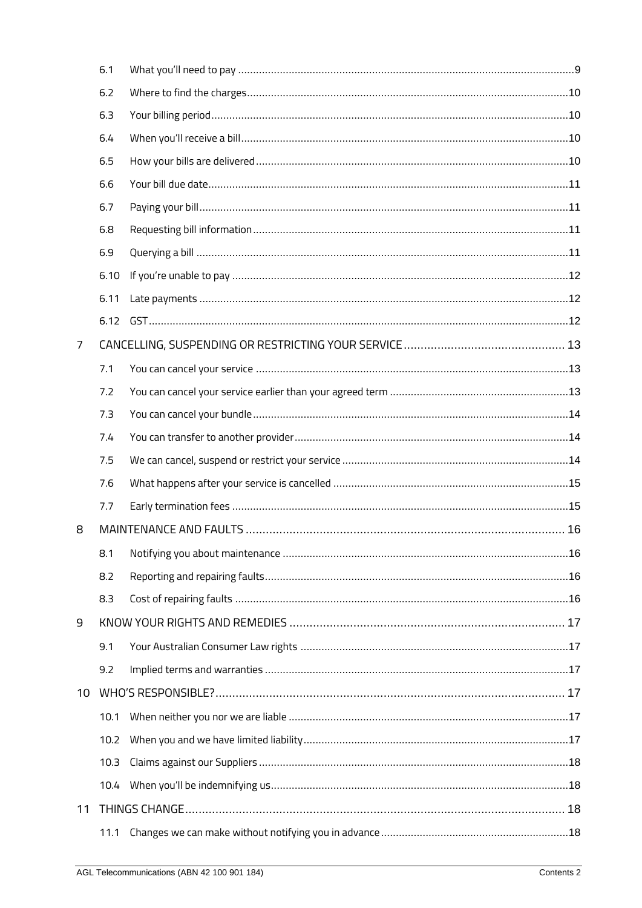|                | 6.1  |  |
|----------------|------|--|
|                | 6.2  |  |
|                | 6.3  |  |
|                | 6.4  |  |
|                | 6.5  |  |
|                | 6.6  |  |
|                | 6.7  |  |
|                | 6.8  |  |
|                | 6.9  |  |
|                | 6.10 |  |
|                | 6.11 |  |
|                | 6.12 |  |
| $\overline{7}$ |      |  |
|                | 7.1  |  |
|                | 7.2  |  |
|                | 7.3  |  |
|                | 7.4  |  |
|                | 7.5  |  |
|                | 7.6  |  |
|                | 7.7  |  |
| 8              |      |  |
|                | 8.1  |  |
|                | 8.2  |  |
|                | 8.3  |  |
| 9              |      |  |
|                | 9.1  |  |
|                | 9.2  |  |
| 10             |      |  |
|                | 10.1 |  |
|                | 10.2 |  |
|                | 10.3 |  |
|                |      |  |
| 11             |      |  |
|                | 11.1 |  |
|                |      |  |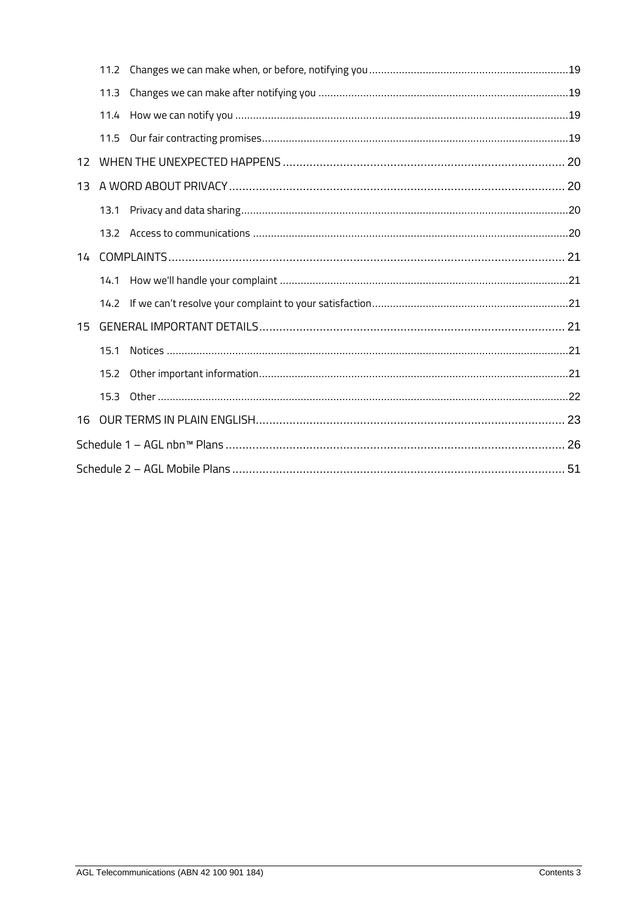|                 | 11.2 |  |
|-----------------|------|--|
|                 | 11.3 |  |
|                 | 11.4 |  |
|                 | 11.5 |  |
| 12 <sup>2</sup> |      |  |
| 13              |      |  |
|                 | 13.1 |  |
|                 |      |  |
|                 |      |  |
|                 | 14.1 |  |
|                 |      |  |
| 15              |      |  |
|                 | 15.1 |  |
|                 | 15.2 |  |
|                 | 15.3 |  |
| 16              |      |  |
|                 |      |  |
|                 |      |  |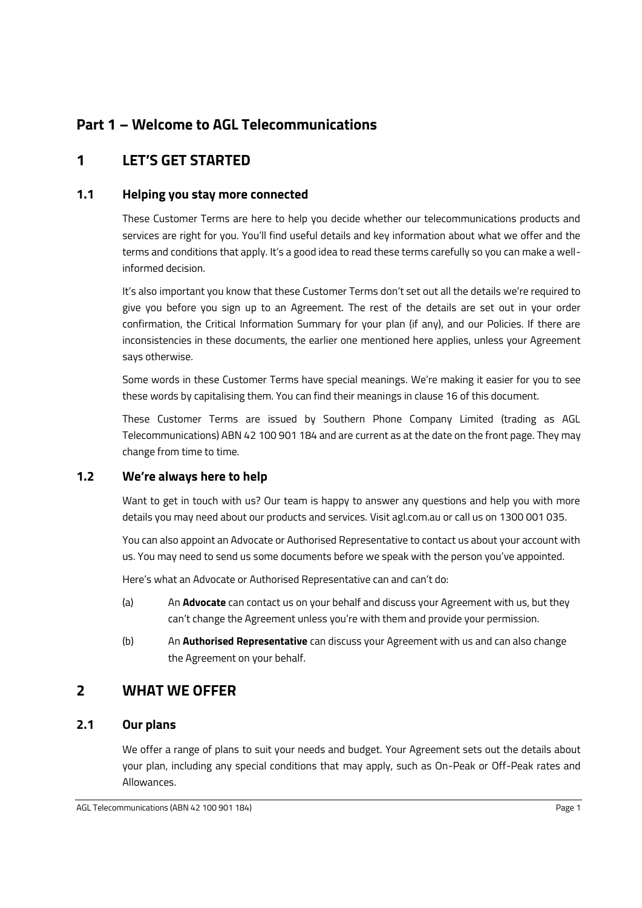# **Part 1 – Welcome to AGL Telecommunications**

# <span id="page-3-0"></span>**1 LET'S GET STARTED**

### <span id="page-3-1"></span>**1.1 Helping you stay more connected**

These Customer Terms are here to help you decide whether our telecommunications products and services are right for you. You'll find useful details and key information about what we offer and the terms and conditions that apply. It's a good idea to read these terms carefully so you can make a wellinformed decision.

It's also important you know that these Customer Terms don't set out all the details we're required to give you before you sign up to an Agreement. The rest of the details are set out in your order confirmation, the Critical Information Summary for your plan (if any), and our Policies. If there are inconsistencies in these documents, the earlier one mentioned here applies, unless your Agreement says otherwise.

Some words in these Customer Terms have special meanings. We're making it easier for you to see these words by capitalising them. You can find their meanings in claus[e 16](#page-25-0) of this document.

These Customer Terms are issued by Southern Phone Company Limited (trading as AGL Telecommunications) ABN 42 100 901 184 and are current as at the date on the front page. They may change from time to time.

# <span id="page-3-2"></span>**1.2 We're always here to help**

Want to get in touch with us? Our team is happy to answer any questions and help you with more details you may need about our products and services. Visit agl.com.au or call us on 1300 001 035.

You can also appoint an Advocate or Authorised Representative to contact us about your account with us. You may need to send us some documents before we speak with the person you've appointed.

Here's what an Advocate or Authorised Representative can and can't do:

- (a) An **Advocate** can contact us on your behalf and discuss your Agreement with us, but they can't change the Agreement unless you're with them and provide your permission.
- (b) An **Authorised Representative** can discuss your Agreement with us and can also change the Agreement on your behalf.

# <span id="page-3-3"></span>**2 WHAT WE OFFER**

# <span id="page-3-4"></span>**2.1 Our plans**

We offer a range of plans to suit your needs and budget. Your Agreement sets out the details about your plan, including any special conditions that may apply, such as On-Peak or Off-Peak rates and Allowances.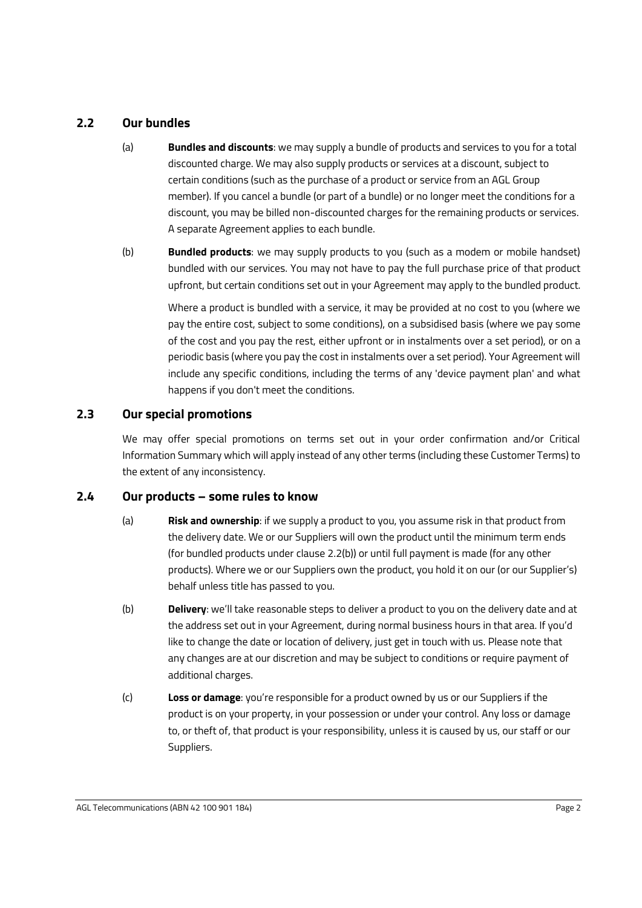### <span id="page-4-0"></span>**2.2 Our bundles**

- (a) **Bundles and discounts**: we may supply a bundle of products and services to you for a total discounted charge. We may also supply products or services at a discount, subject to certain conditions (such as the purchase of a product or service from an AGL Group member). If you cancel a bundle (or part of a bundle) or no longer meet the conditions for a discount, you may be billed non-discounted charges for the remaining products or services. A separate Agreement applies to each bundle.
- <span id="page-4-3"></span>(b) **Bundled products**: we may supply products to you (such as a modem or mobile handset) bundled with our services. You may not have to pay the full purchase price of that product upfront, but certain conditions set out in your Agreement may apply to the bundled product.

Where a product is bundled with a service, it may be provided at no cost to you (where we pay the entire cost, subject to some conditions), on a subsidised basis (where we pay some of the cost and you pay the rest, either upfront or in instalments over a set period), or on a periodic basis (where you pay the cost in instalments over a set period). Your Agreement will include any specific conditions, including the terms of any 'device payment plan' and what happens if you don't meet the conditions.

### <span id="page-4-1"></span>**2.3 Our special promotions**

We may offer special promotions on terms set out in your order confirmation and/or Critical Information Summary which will apply instead of any other terms (including these Customer Terms) to the extent of any inconsistency.

### <span id="page-4-5"></span><span id="page-4-2"></span>**2.4 Our products – some rules to know**

- (a) **Risk and ownership**: if we supply a product to you, you assume risk in that product from the delivery date. We or our Suppliers will own the product until the minimum term ends (for bundled products under clause [2.2\(b\)\)](#page-4-3) or until full payment is made (for any other products). Where we or our Suppliers own the product, you hold it on our (or our Supplier's) behalf unless title has passed to you.
- (b) **Delivery**: we'll take reasonable steps to deliver a product to you on the delivery date and at the address set out in your Agreement, during normal business hours in that area. If you'd like to change the date or location of delivery, just get in touch with us. Please note that any changes are at our discretion and may be subject to conditions or require payment of additional charges.
- <span id="page-4-4"></span>(c) **Loss or damage**: you're responsible for a product owned by us or our Suppliers if the product is on your property, in your possession or under your control. Any loss or damage to, or theft of, that product is your responsibility, unless it is caused by us, our staff or our Suppliers.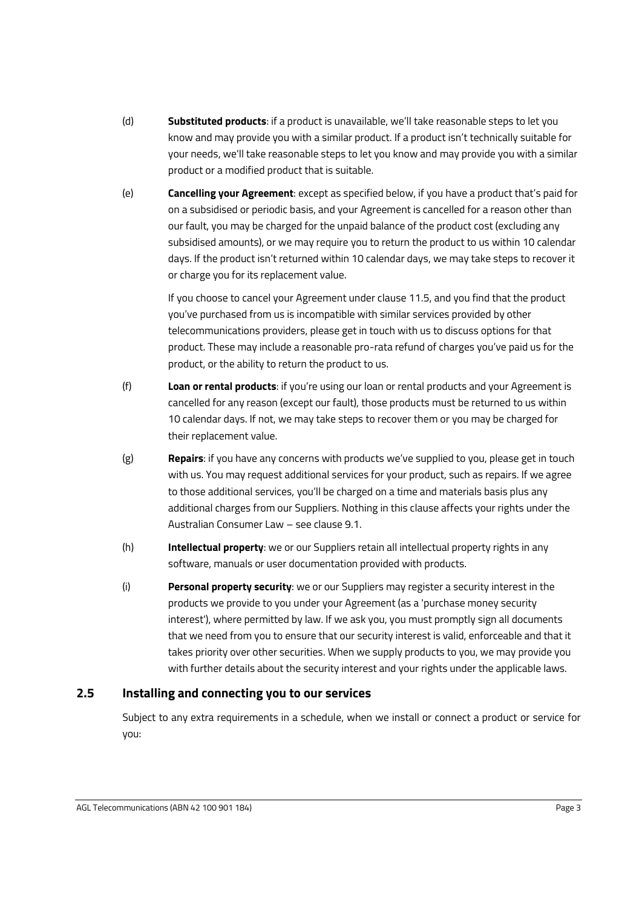- (d) **Substituted products**: if a product is unavailable, we'll take reasonable steps to let you know and may provide you with a similar product. If a product isn't technically suitable for your needs, we'll take reasonable steps to let you know and may provide you with a similar product or a modified product that is suitable.
- (e) **Cancelling your Agreement**: except as specified below, if you have a product that's paid for on a subsidised or periodic basis, and your Agreement is cancelled for a reason other than our fault, you may be charged for the unpaid balance of the product cost (excluding any subsidised amounts), or we may require you to return the product to us within 10 calendar days. If the product isn't returned within 10 calendar days, we may take steps to recover it or charge you for its replacement value.

If you choose to cancel your Agreement under clause [11.5,](#page-21-3) and you find that the product you've purchased from us is incompatible with similar services provided by other telecommunications providers, please get in touch with us to discuss options for that product. These may include a reasonable pro-rata refund of charges you've paid us for the product, or the ability to return the product to us.

- <span id="page-5-1"></span>(f) **Loan or rental products**: if you're using our loan or rental products and your Agreement is cancelled for any reason (except our fault), those products must be returned to us within 10 calendar days. If not, we may take steps to recover them or you may be charged for their replacement value.
- (g) **Repairs**: if you have any concerns with products we've supplied to you, please get in touch with us. You may request additional services for your product, such as repairs. If we agree to those additional services, you'll be charged on a time and materials basis plus any additional charges from our Suppliers. Nothing in this clause affects your rights under the Australian Consumer Law – see clause [9.1.](#page-19-1)
- <span id="page-5-2"></span>(h) **Intellectual property**: we or our Suppliers retain all intellectual property rights in any software, manuals or user documentation provided with products.
- <span id="page-5-3"></span>(i) **Personal property security**: we or our Suppliers may register a security interest in the products we provide to you under your Agreement (as a 'purchase money security interest'), where permitted by law. If we ask you, you must promptly sign all documents that we need from you to ensure that our security interest is valid, enforceable and that it takes priority over other securities. When we supply products to you, we may provide you with further details about the security interest and your rights under the applicable laws.

# <span id="page-5-0"></span>**2.5 Installing and connecting you to our services**

Subject to any extra requirements in a schedule, when we install or connect a product or service for you: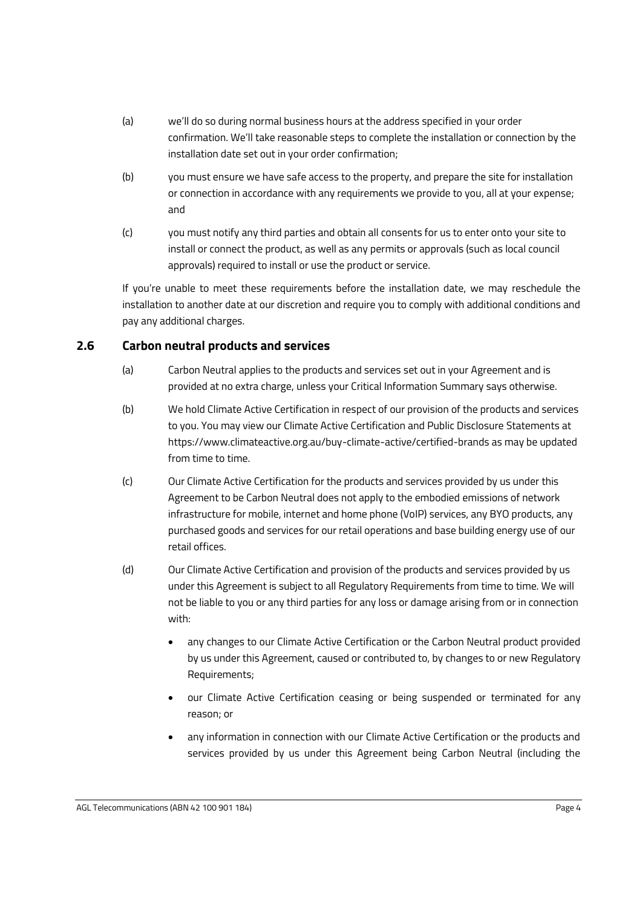- (a) we'll do so during normal business hours at the address specified in your order confirmation. We'll take reasonable steps to complete the installation or connection by the installation date set out in your order confirmation;
- (b) you must ensure we have safe access to the property, and prepare the site for installation or connection in accordance with any requirements we provide to you, all at your expense; and
- (c) you must notify any third parties and obtain all consents for us to enter onto your site to install or connect the product, as well as any permits or approvals (such as local council approvals) required to install or use the product or service.

If you're unable to meet these requirements before the installation date, we may reschedule the installation to another date at our discretion and require you to comply with additional conditions and pay any additional charges.

### <span id="page-6-0"></span>**2.6 Carbon neutral products and services**

- (a) Carbon Neutral applies to the products and services set out in your Agreement and is provided at no extra charge, unless your Critical Information Summary says otherwise.
- (b) We hold Climate Active Certification in respect of our provision of the products and services to you. You may view our Climate Active Certification and Public Disclosure Statements at https://www.climateactive.org.au/buy-climate-active/certified-brands as may be updated from time to time.
- (c) Our Climate Active Certification for the products and services provided by us under this Agreement to be Carbon Neutral does not apply to the embodied emissions of network infrastructure for mobile, internet and home phone (VoIP) services, any BYO products, any purchased goods and services for our retail operations and base building energy use of our retail offices.
- <span id="page-6-1"></span>(d) Our Climate Active Certification and provision of the products and services provided by us under this Agreement is subject to all Regulatory Requirements from time to time. We will not be liable to you or any third parties for any loss or damage arising from or in connection with:
	- any changes to our Climate Active Certification or the Carbon Neutral product provided by us under this Agreement, caused or contributed to, by changes to or new Regulatory Requirements;
	- our Climate Active Certification ceasing or being suspended or terminated for any reason; or
	- any information in connection with our Climate Active Certification or the products and services provided by us under this Agreement being Carbon Neutral (including the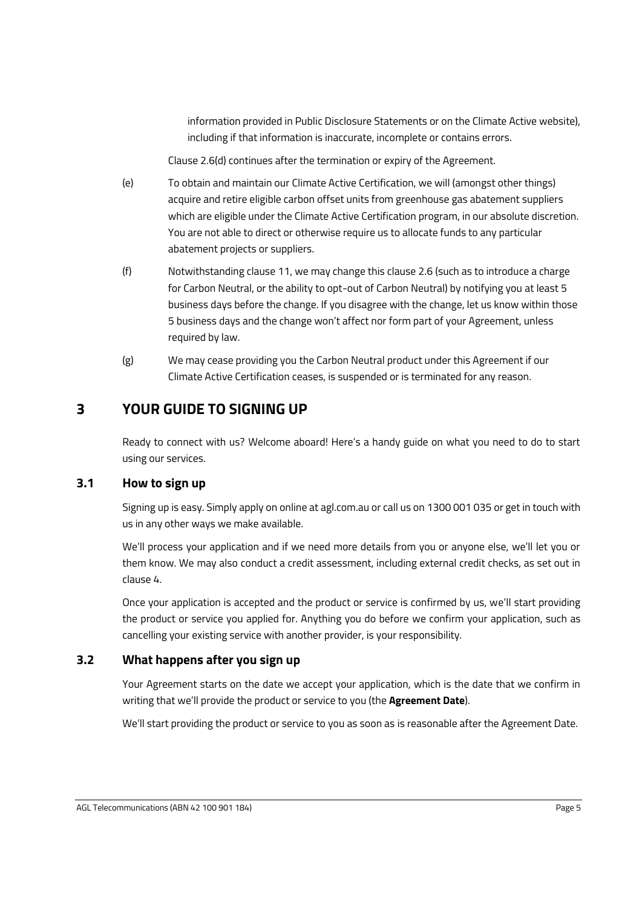information provided in Public Disclosure Statements or on the Climate Active website), including if that information is inaccurate, incomplete or contains errors.

Clause [2.6\(d\)](#page-6-1) continues after the termination or expiry of the Agreement.

- (e) To obtain and maintain our Climate Active Certification, we will (amongst other things) acquire and retire eligible carbon offset units from greenhouse gas abatement suppliers which are eligible under the Climate Active Certification program, in our absolute discretion. You are not able to direct or otherwise require us to allocate funds to any particular abatement projects or suppliers.
- (f) Notwithstanding clause [11,](#page-20-2) we may change this clause [2.6](#page-6-0) (such as to introduce a charge for Carbon Neutral, or the ability to opt-out of Carbon Neutral) by notifying you at least 5 business days before the change. If you disagree with the change, let us know within those 5 business days and the change won't affect nor form part of your Agreement, unless required by law.
- (g) We may cease providing you the Carbon Neutral product under this Agreement if our Climate Active Certification ceases, is suspended or is terminated for any reason.

# <span id="page-7-0"></span>**3 YOUR GUIDE TO SIGNING UP**

Ready to connect with us? Welcome aboard! Here's a handy guide on what you need to do to start using our services.

# <span id="page-7-1"></span>**3.1 How to sign up**

Signing up is easy. Simply apply on online at agl.com.au or call us on 1300 001 035 or get in touch with us in any other ways we make available.

We'll process your application and if we need more details from you or anyone else, we'll let you or them know. We may also conduct a credit assessment, including external credit checks, as set out in clause [4.](#page-8-1)

Once your application is accepted and the product or service is confirmed by us, we'll start providing the product or service you applied for. Anything you do before we confirm your application, such as cancelling your existing service with another provider, is your responsibility.

# <span id="page-7-2"></span>**3.2 What happens after you sign up**

Your Agreement starts on the date we accept your application, which is the date that we confirm in writing that we'll provide the product or service to you (the **Agreement Date**).

We'll start providing the product or service to you as soon as is reasonable after the Agreement Date.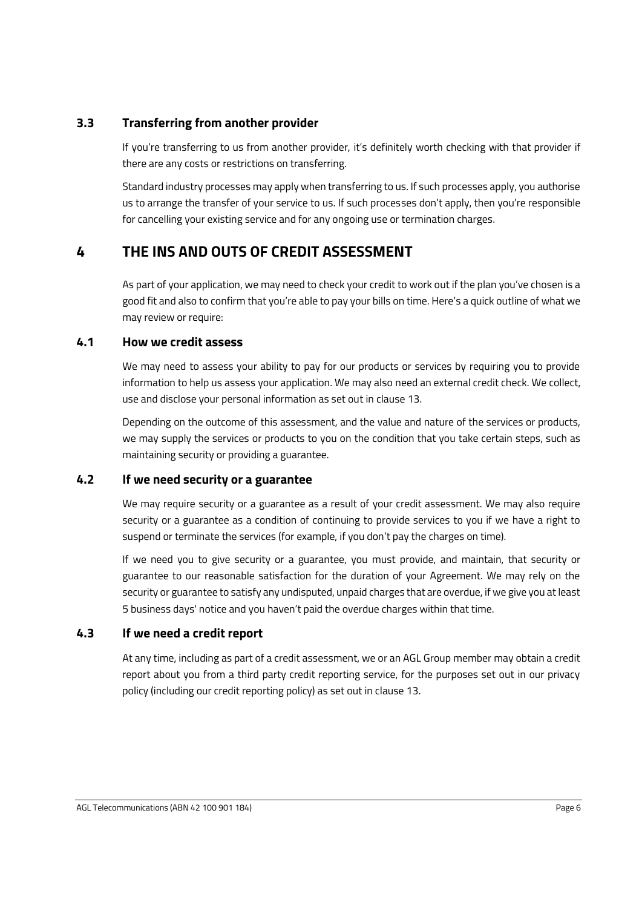### <span id="page-8-0"></span>**3.3 Transferring from another provider**

If you're transferring to us from another provider, it's definitely worth checking with that provider if there are any costs or restrictions on transferring.

Standard industry processes may apply when transferring to us. If such processes apply, you authorise us to arrange the transfer of your service to us. If such processes don't apply, then you're responsible for cancelling your existing service and for any ongoing use or termination charges.

# <span id="page-8-1"></span>**4 THE INS AND OUTS OF CREDIT ASSESSMENT**

As part of your application, we may need to check your credit to work out if the plan you've chosen is a good fit and also to confirm that you're able to pay your bills on time. Here's a quick outline of what we may review or require:

### <span id="page-8-2"></span>**4.1 How we credit assess**

We may need to assess your ability to pay for our products or services by requiring you to provide information to help us assess your application. We may also need an external credit check. We collect, use and disclose your personal information as set out in clause [13.](#page-22-1)

Depending on the outcome of this assessment, and the value and nature of the services or products, we may supply the services or products to you on the condition that you take certain steps, such as maintaining security or providing a guarantee.

# <span id="page-8-3"></span>**4.2 If we need security or a guarantee**

We may require security or a guarantee as a result of your credit assessment. We may also require security or a guarantee as a condition of continuing to provide services to you if we have a right to suspend or terminate the services (for example, if you don't pay the charges on time).

If we need you to give security or a guarantee, you must provide, and maintain, that security or guarantee to our reasonable satisfaction for the duration of your Agreement. We may rely on the security or guarantee to satisfy any undisputed, unpaid charges that are overdue, if we give you at least 5 business days' notice and you haven't paid the overdue charges within that time.

# <span id="page-8-4"></span>**4.3 If we need a credit report**

At any time, including as part of a credit assessment, we or an AGL Group member may obtain a credit report about you from a third party credit reporting service, for the purposes set out in our privacy policy (including our credit reporting policy) as set out in clause [13.](#page-22-1)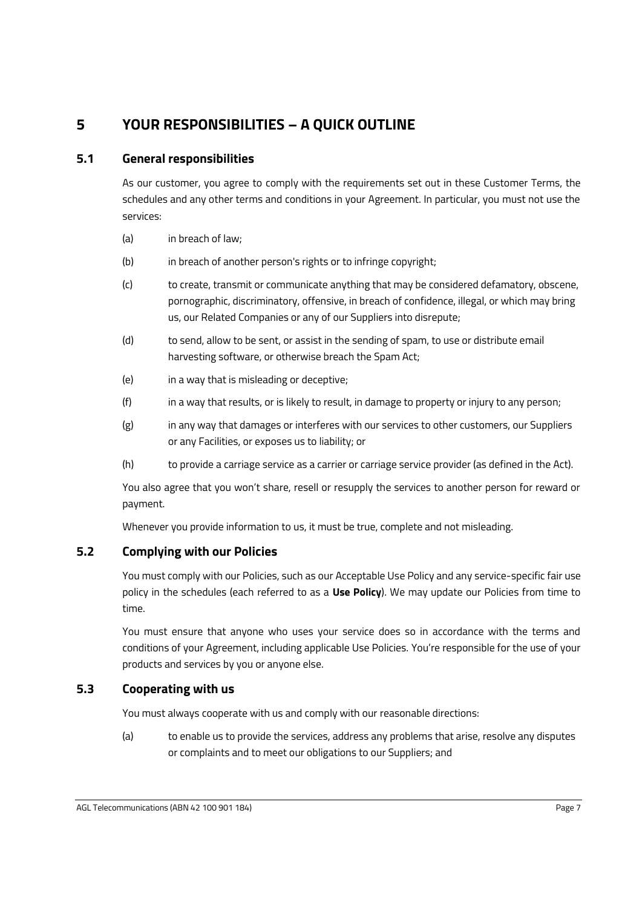# <span id="page-9-0"></span>**5 YOUR RESPONSIBILITIES – A QUICK OUTLINE**

# <span id="page-9-1"></span>**5.1 General responsibilities**

As our customer, you agree to comply with the requirements set out in these Customer Terms, the schedules and any other terms and conditions in your Agreement. In particular, you must not use the services:

- (a) in breach of law;
- (b) in breach of another person's rights or to infringe copyright;
- (c) to create, transmit or communicate anything that may be considered defamatory, obscene, pornographic, discriminatory, offensive, in breach of confidence, illegal, or which may bring us, our Related Companies or any of our Suppliers into disrepute;
- (d) to send, allow to be sent, or assist in the sending of spam, to use or distribute email harvesting software, or otherwise breach the Spam Act;
- (e) in a way that is misleading or deceptive;
- (f) in a way that results, or is likely to result, in damage to property or injury to any person;
- (g) in any way that damages or interferes with our services to other customers, our Suppliers or any Facilities, or exposes us to liability; or
- (h) to provide a carriage service as a carrier or carriage service provider (as defined in the Act).

You also agree that you won't share, resell or resupply the services to another person for reward or payment.

Whenever you provide information to us, it must be true, complete and not misleading.

# <span id="page-9-2"></span>**5.2 Complying with our Policies**

You must comply with our Policies, such as our Acceptable Use Policy and any service-specific fair use policy in the schedules (each referred to as a **Use Policy**). We may update our Policies from time to time.

You must ensure that anyone who uses your service does so in accordance with the terms and conditions of your Agreement, including applicable Use Policies. You're responsible for the use of your products and services by you or anyone else.

# <span id="page-9-3"></span>**5.3 Cooperating with us**

You must always cooperate with us and comply with our reasonable directions:

(a) to enable us to provide the services, address any problems that arise, resolve any disputes or complaints and to meet our obligations to our Suppliers; and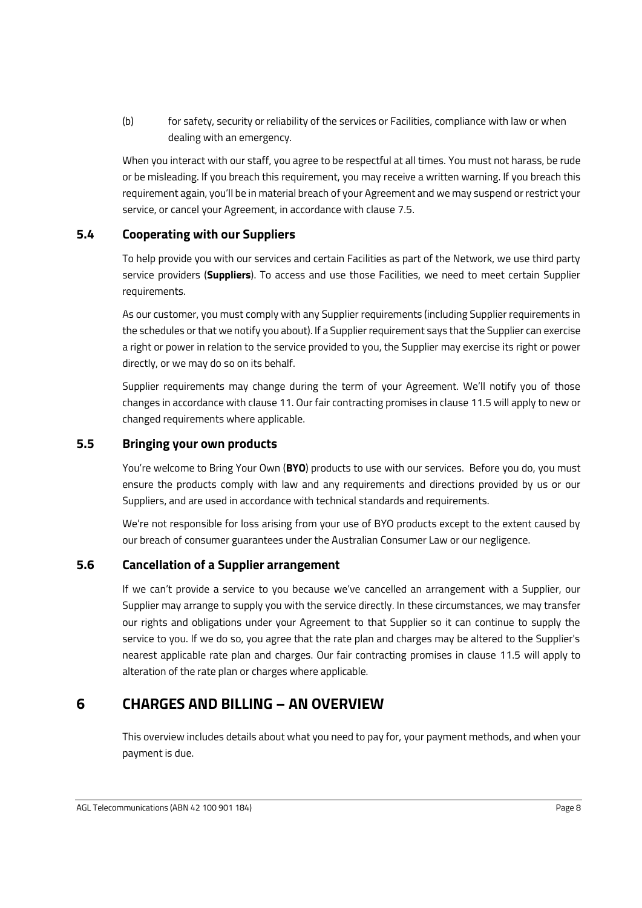(b) for safety, security or reliability of the services or Facilities, compliance with law or when dealing with an emergency.

When you interact with our staff, you agree to be respectful at all times. You must not harass, be rude or be misleading. If you breach this requirement, you may receive a written warning. If you breach this requirement again, you'll be in material breach of your Agreement and we may suspend or restrict your service, or cancel your Agreement, in accordance with clause [7.5.](#page-16-2)

# <span id="page-10-0"></span>**5.4 Cooperating with our Suppliers**

To help provide you with our services and certain Facilities as part of the Network, we use third party service providers (**Suppliers**). To access and use those Facilities, we need to meet certain Supplier requirements.

As our customer, you must comply with any Supplier requirements (including Supplier requirements in the schedules or that we notify you about). If a Supplier requirement says that the Supplier can exercise a right or power in relation to the service provided to you, the Supplier may exercise its right or power directly, or we may do so on its behalf.

Supplier requirements may change during the term of your Agreement. We'll notify you of those changes in accordance with claus[e 11.](#page-20-2) Our fair contracting promises in clause [11.5](#page-21-3) will apply to new or changed requirements where applicable.

# <span id="page-10-1"></span>**5.5 Bringing your own products**

You're welcome to Bring Your Own (**BYO**) products to use with our services. Before you do, you must ensure the products comply with law and any requirements and directions provided by us or our Suppliers, and are used in accordance with technical standards and requirements.

We're not responsible for loss arising from your use of BYO products except to the extent caused by our breach of consumer guarantees under the Australian Consumer Law or our negligence.

### <span id="page-10-2"></span>**5.6 Cancellation of a Supplier arrangement**

If we can't provide a service to you because we've cancelled an arrangement with a Supplier, our Supplier may arrange to supply you with the service directly. In these circumstances, we may transfer our rights and obligations under your Agreement to that Supplier so it can continue to supply the service to you. If we do so, you agree that the rate plan and charges may be altered to the Supplier's nearest applicable rate plan and charges. Our fair contracting promises in clause [11.5](#page-21-3) will apply to alteration of the rate plan or charges where applicable.

# <span id="page-10-3"></span>**6 CHARGES AND BILLING – AN OVERVIEW**

This overview includes details about what you need to pay for, your payment methods, and when your payment is due.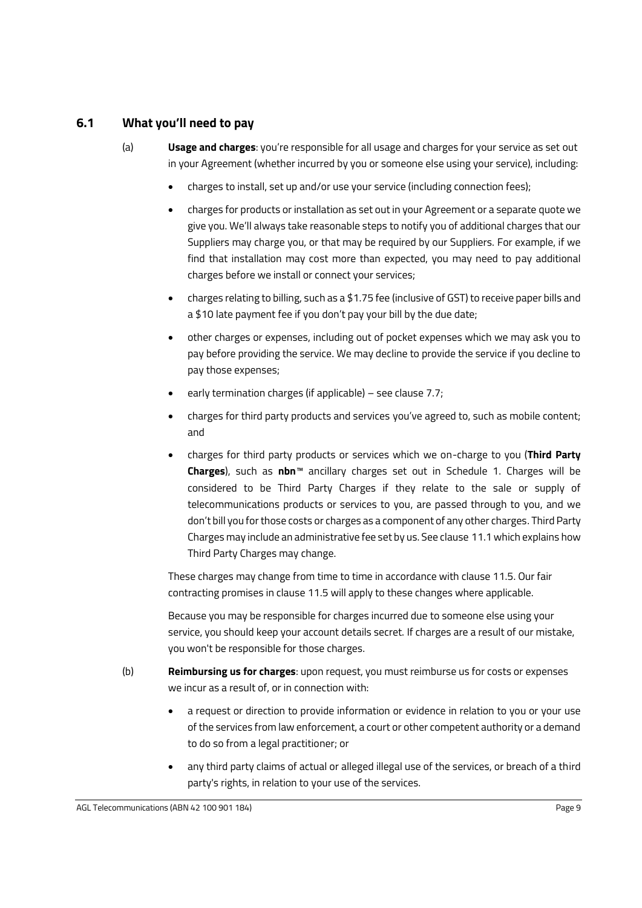### <span id="page-11-2"></span><span id="page-11-0"></span>**6.1 What you'll need to pay**

- (a) **Usage and charges**: you're responsible for all usage and charges for your service as set out in your Agreement (whether incurred by you or someone else using your service), including:
	- charges to install, set up and/or use your service (including connection fees);
	- charges for products or installation as set out in your Agreement or a separate quote we give you. We'll always take reasonable steps to notify you of additional charges that our Suppliers may charge you, or that may be required by our Suppliers. For example, if we find that installation may cost more than expected, you may need to pay additional charges before we install or connect your services;
	- charges relating to billing, such as a \$1.75 fee (inclusive of GST) to receive paper bills and a \$10 late payment fee if you don't pay your bill by the due date;
	- other charges or expenses, including out of pocket expenses which we may ask you to pay before providing the service. We may decline to provide the service if you decline to pay those expenses;
	- early termination charges (if applicable) see clause [7.7;](#page-17-1)
	- charges for third party products and services you've agreed to, such as mobile content; and
	- charges for third party products or services which we on-charge to you (**Third Party Charges**), such as **nbn**™ ancillary charges set out in [Schedule 1.](#page-28-1) Charges will be considered to be Third Party Charges if they relate to the sale or supply of telecommunications products or services to you, are passed through to you, and we don't bill you for those costs or charges as a component of any other charges. Third Party Charges may include an administrative fee set by us. See clause [11.1](#page-20-3) which explains how Third Party Charges may change.

These charges may change from time to time in accordance with clause [11.5.](#page-21-3) Our fair contracting promises in claus[e 11.5](#page-21-3) will apply to these changes where applicable.

Because you may be responsible for charges incurred due to someone else using your service, you should keep your account details secret. If charges are a result of our mistake, you won't be responsible for those charges.

- <span id="page-11-1"></span>(b) **Reimbursing us for charges**: upon request, you must reimburse us for costs or expenses we incur as a result of, or in connection with:
	- a request or direction to provide information or evidence in relation to you or your use of the services from law enforcement, a court or other competent authority or a demand to do so from a legal practitioner; or
	- any third party claims of actual or alleged illegal use of the services, or breach of a third party's rights, in relation to your use of the services.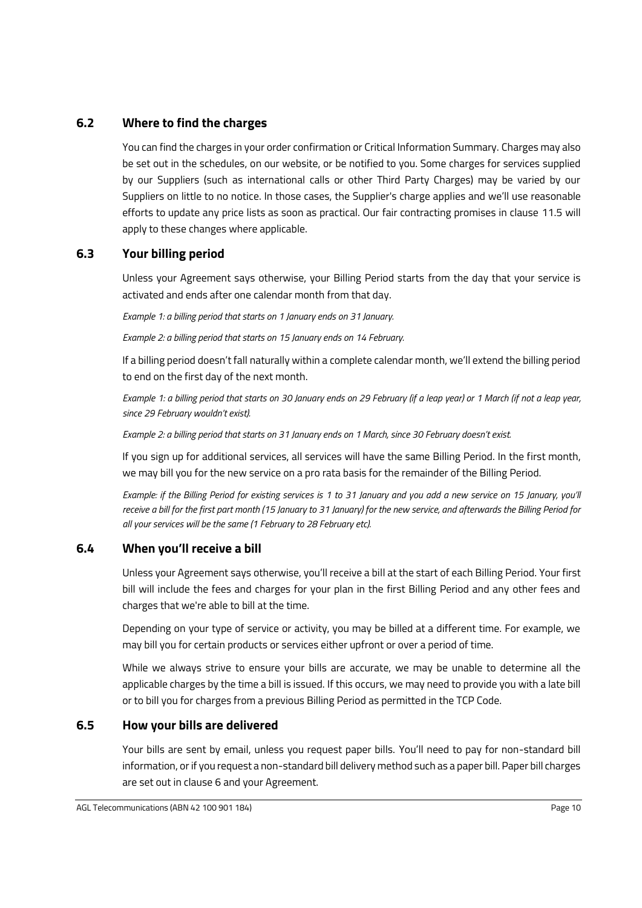### <span id="page-12-0"></span>**6.2 Where to find the charges**

You can find the charges in your order confirmation or Critical Information Summary. Charges may also be set out in the schedules, on our website, or be notified to you. Some charges for services supplied by our Suppliers (such as international calls or other Third Party Charges) may be varied by our Suppliers on little to no notice. In those cases, the Supplier's charge applies and we'll use reasonable efforts to update any price lists as soon as practical. Our fair contracting promises in clause [11.5](#page-21-3) will apply to these changes where applicable.

### <span id="page-12-1"></span>**6.3 Your billing period**

Unless your Agreement says otherwise, your Billing Period starts from the day that your service is activated and ends after one calendar month from that day.

*Example 1: a billing period that starts on 1 January ends on 31 January.* 

*Example 2: a billing period that starts on 15 January ends on 14 February.*

If a billing period doesn't fall naturally within a complete calendar month, we'll extend the billing period to end on the first day of the next month.

*Example 1: a billing period that starts on 30 January ends on 29 February (if a leap year) or 1 March (if not a leap year, since 29 February wouldn't exist).* 

*Example 2: a billing period that starts on 31 January ends on 1 March, since 30 February doesn't exist.*

If you sign up for additional services, all services will have the same Billing Period. In the first month, we may bill you for the new service on a pro rata basis for the remainder of the Billing Period.

*Example: if the Billing Period for existing services is 1 to 31 January and you add a new service on 15 January, you'll receive a bill for the first part month (15 January to 31 January) for the new service, and afterwards the Billing Period for all your services will be the same (1 February to 28 February etc).* 

### <span id="page-12-2"></span>**6.4 When you'll receive a bill**

Unless your Agreement says otherwise, you'll receive a bill at the start of each Billing Period. Your first bill will include the fees and charges for your plan in the first Billing Period and any other fees and charges that we're able to bill at the time.

Depending on your type of service or activity, you may be billed at a different time. For example, we may bill you for certain products or services either upfront or over a period of time.

While we always strive to ensure your bills are accurate, we may be unable to determine all the applicable charges by the time a bill is issued. If this occurs, we may need to provide you with a late bill or to bill you for charges from a previous Billing Period as permitted in the TCP Code.

### <span id="page-12-3"></span>**6.5 How your bills are delivered**

Your bills are sent by email, unless you request paper bills. You'll need to pay for non-standard bill information, or if you request a non-standard bill delivery method such as a paper bill. Paper bill charges are set out in claus[e 6](#page-10-3) and your Agreement.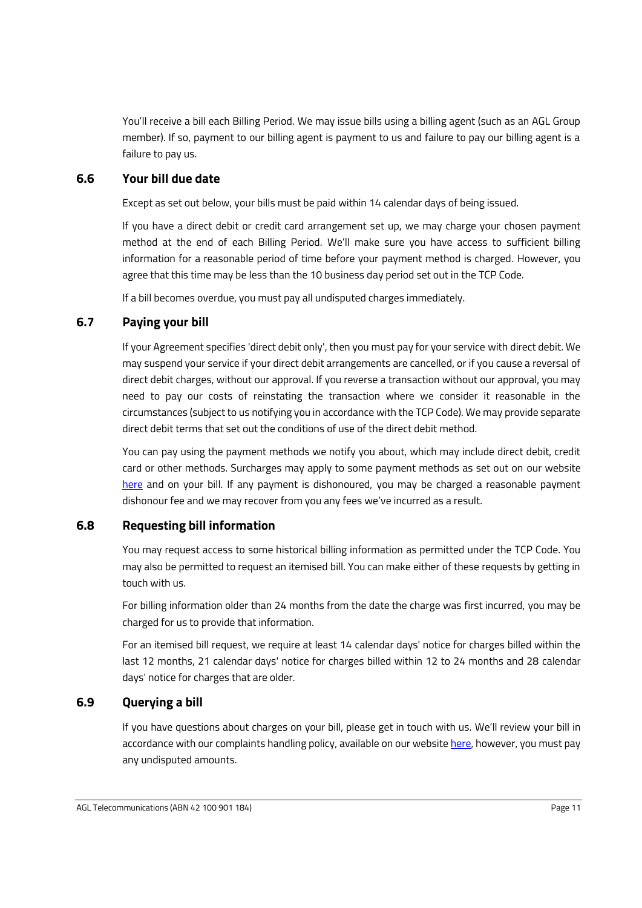You'll receive a bill each Billing Period. We may issue bills using a billing agent (such as an AGL Group member). If so, payment to our billing agent is payment to us and failure to pay our billing agent is a failure to pay us.

# <span id="page-13-0"></span>**6.6 Your bill due date**

Except as set out below, your bills must be paid within 14 calendar days of being issued.

If you have a direct debit or credit card arrangement set up, we may charge your chosen payment method at the end of each Billing Period. We'll make sure you have access to sufficient billing information for a reasonable period of time before your payment method is charged. However, you agree that this time may be less than the 10 business day period set out in the TCP Code.

If a bill becomes overdue, you must pay all undisputed charges immediately.

### <span id="page-13-1"></span>**6.7 Paying your bill**

If your Agreement specifies 'direct debit only', then you must pay for your service with direct debit. We may suspend your service if your direct debit arrangements are cancelled, or if you cause a reversal of direct debit charges, without our approval. If you reverse a transaction without our approval, you may need to pay our costs of reinstating the transaction where we consider it reasonable in the circumstances (subject to us notifying you in accordance with the TCP Code). We may provide separate direct debit terms that set out the conditions of use of the direct debit method.

You can pay using the payment methods we notify you about, which may include direct debit, credit card or other methods. Surcharges may apply to some payment methods as set out on our website [here](https://www.agl.com.au/help/internet/billing-and-payments) and on your bill. If any payment is dishonoured, you may be charged a reasonable payment dishonour fee and we may recover from you any fees we've incurred as a result.

# <span id="page-13-2"></span>**6.8 Requesting bill information**

You may request access to some historical billing information as permitted under the TCP Code. You may also be permitted to request an itemised bill. You can make either of these requests by getting in touch with us.

For billing information older than 24 months from the date the charge was first incurred, you may be charged for us to provide that information.

For an itemised bill request, we require at least 14 calendar days' notice for charges billed within the last 12 months, 21 calendar days' notice for charges billed within 12 to 24 months and 28 calendar days' notice for charges that are older.

# <span id="page-13-3"></span>**6.9 Querying a bill**

If you have questions about charges on your bill, please get in touch with us. We'll review your bill in accordance with our complaints handling policy, available on our website [here,](https://www.agl.com.au/content/dam/digital/agl/documents/terms-and-conditions/telecommunications/agl-telecommunications-complaints-handling-policy.pdf) however, you must pay any undisputed amounts.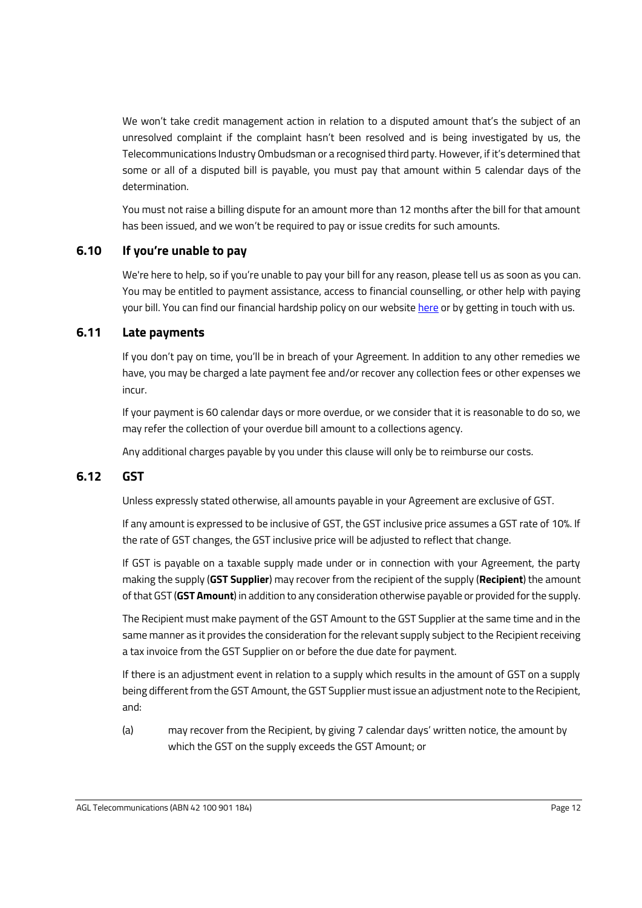We won't take credit management action in relation to a disputed amount that's the subject of an unresolved complaint if the complaint hasn't been resolved and is being investigated by us, the Telecommunications Industry Ombudsman or a recognised third party. However, if it's determined that some or all of a disputed bill is payable, you must pay that amount within 5 calendar days of the determination.

You must not raise a billing dispute for an amount more than 12 months after the bill for that amount has been issued, and we won't be required to pay or issue credits for such amounts.

### <span id="page-14-0"></span>**6.10 If you're unable to pay**

We're here to help, so if you're unable to pay your bill for any reason, please tell us as soon as you can. You may be entitled to payment assistance, access to financial counselling, or other help with paying your bill. You can find our financial hardship policy on our website [here](https://www.agl.com.au/content/dam/digital/agl/documents/terms-and-conditions/telecommunications/agl-telecommunications-financial-hardship-policy.pdf) or by getting in touch with us.

### <span id="page-14-1"></span>**6.11 Late payments**

If you don't pay on time, you'll be in breach of your Agreement. In addition to any other remedies we have, you may be charged a late payment fee and/or recover any collection fees or other expenses we incur.

If your payment is 60 calendar days or more overdue, or we consider that it is reasonable to do so, we may refer the collection of your overdue bill amount to a collections agency.

Any additional charges payable by you under this clause will only be to reimburse our costs.

# <span id="page-14-2"></span>**6.12 GST**

Unless expressly stated otherwise, all amounts payable in your Agreement are exclusive of GST.

If any amount is expressed to be inclusive of GST, the GST inclusive price assumes a GST rate of 10%. If the rate of GST changes, the GST inclusive price will be adjusted to reflect that change.

If GST is payable on a taxable supply made under or in connection with your Agreement, the party making the supply (**GST Supplier**) may recover from the recipient of the supply (**Recipient**) the amount of that GST (**GST Amount**) in addition to any consideration otherwise payable or provided for the supply.

The Recipient must make payment of the GST Amount to the GST Supplier at the same time and in the same manner as it provides the consideration for the relevant supply subject to the Recipient receiving a tax invoice from the GST Supplier on or before the due date for payment.

If there is an adjustment event in relation to a supply which results in the amount of GST on a supply being different from the GST Amount, the GST Supplier must issue an adjustment note to the Recipient, and:

(a) may recover from the Recipient, by giving 7 calendar days' written notice, the amount by which the GST on the supply exceeds the GST Amount; or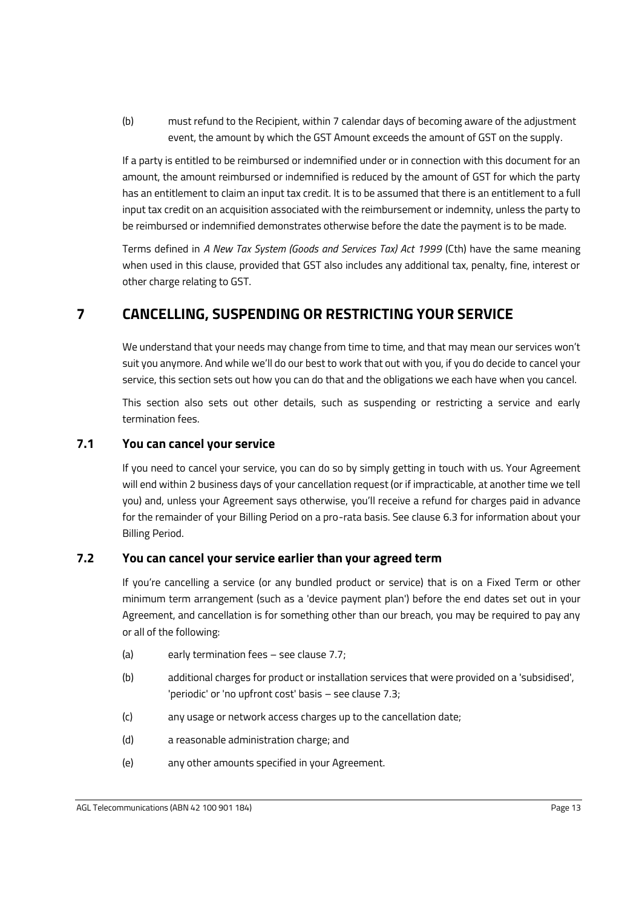(b) must refund to the Recipient, within 7 calendar days of becoming aware of the adjustment event, the amount by which the GST Amount exceeds the amount of GST on the supply.

If a party is entitled to be reimbursed or indemnified under or in connection with this document for an amount, the amount reimbursed or indemnified is reduced by the amount of GST for which the party has an entitlement to claim an input tax credit. It is to be assumed that there is an entitlement to a full input tax credit on an acquisition associated with the reimbursement or indemnity, unless the party to be reimbursed or indemnified demonstrates otherwise before the date the payment is to be made.

Terms defined in *A New Tax System (Goods and Services Tax) Act 1999* (Cth) have the same meaning when used in this clause, provided that GST also includes any additional tax, penalty, fine, interest or other charge relating to GST.

# <span id="page-15-0"></span>**7 CANCELLING, SUSPENDING OR RESTRICTING YOUR SERVICE**

We understand that your needs may change from time to time, and that may mean our services won't suit you anymore. And while we'll do our best to work that out with you, if you do decide to cancel your service, this section sets out how you can do that and the obligations we each have when you cancel.

This section also sets out other details, such as suspending or restricting a service and early termination fees.

# <span id="page-15-1"></span>**7.1 You can cancel your service**

If you need to cancel your service, you can do so by simply getting in touch with us. Your Agreement will end within 2 business days of your cancellation request (or if impracticable, at another time we tell you) and, unless your Agreement says otherwise, you'll receive a refund for charges paid in advance for the remainder of your Billing Period on a pro-rata basis. See clause [6.3](#page-12-1) for information about your Billing Period.

# <span id="page-15-2"></span>**7.2 You can cancel your service earlier than your agreed term**

If you're cancelling a service (or any bundled product or service) that is on a Fixed Term or other minimum term arrangement (such as a 'device payment plan') before the end dates set out in your Agreement, and cancellation is for something other than our breach, you may be required to pay any or all of the following:

- (a) early termination fees see clause [7.7;](#page-17-1)
- (b) additional charges for product or installation services that were provided on a 'subsidised', 'periodic' or 'no upfront cost' basis – see claus[e 7.3;](#page-16-0)
- (c) any usage or network access charges up to the cancellation date;
- (d) a reasonable administration charge; and
- (e) any other amounts specified in your Agreement.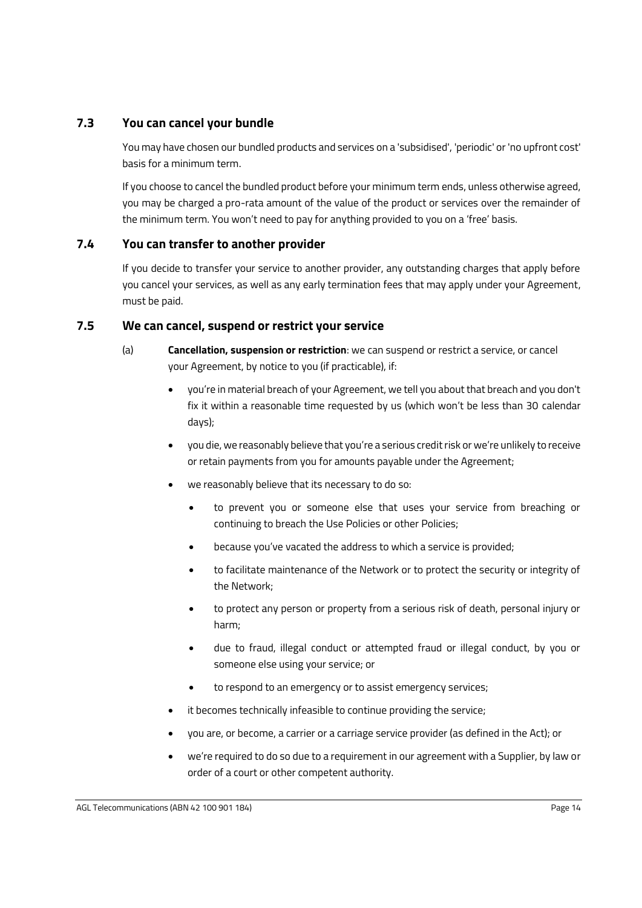### <span id="page-16-0"></span>**7.3 You can cancel your bundle**

You may have chosen our bundled products and services on a 'subsidised', 'periodic' or 'no upfront cost' basis for a minimum term.

If you choose to cancel the bundled product before your minimum term ends, unless otherwise agreed, you may be charged a pro-rata amount of the value of the product or services over the remainder of the minimum term. You won't need to pay for anything provided to you on a 'free' basis.

### <span id="page-16-1"></span>**7.4 You can transfer to another provider**

If you decide to transfer your service to another provider, any outstanding charges that apply before you cancel your services, as well as any early termination fees that may apply under your Agreement, must be paid.

### <span id="page-16-2"></span>**7.5 We can cancel, suspend or restrict your service**

- (a) **Cancellation, suspension or restriction**: we can suspend or restrict a service, or cancel your Agreement, by notice to you (if practicable), if:
	- you're in material breach of your Agreement, we tell you about that breach and you don't fix it within a reasonable time requested by us (which won't be less than 30 calendar days);
	- you die, we reasonably believe that you're a serious credit risk or we're unlikely to receive or retain payments from you for amounts payable under the Agreement;
	- we reasonably believe that its necessary to do so:
		- to prevent you or someone else that uses your service from breaching or continuing to breach the Use Policies or other Policies;
		- because you've vacated the address to which a service is provided;
		- to facilitate maintenance of the Network or to protect the security or integrity of the Network;
		- to protect any person or property from a serious risk of death, personal injury or harm;
		- due to fraud, illegal conduct or attempted fraud or illegal conduct, by you or someone else using your service; or
		- to respond to an emergency or to assist emergency services;
	- it becomes technically infeasible to continue providing the service;
	- you are, or become, a carrier or a carriage service provider (as defined in the Act); or
	- we're required to do so due to a requirement in our agreement with a Supplier, by law or order of a court or other competent authority.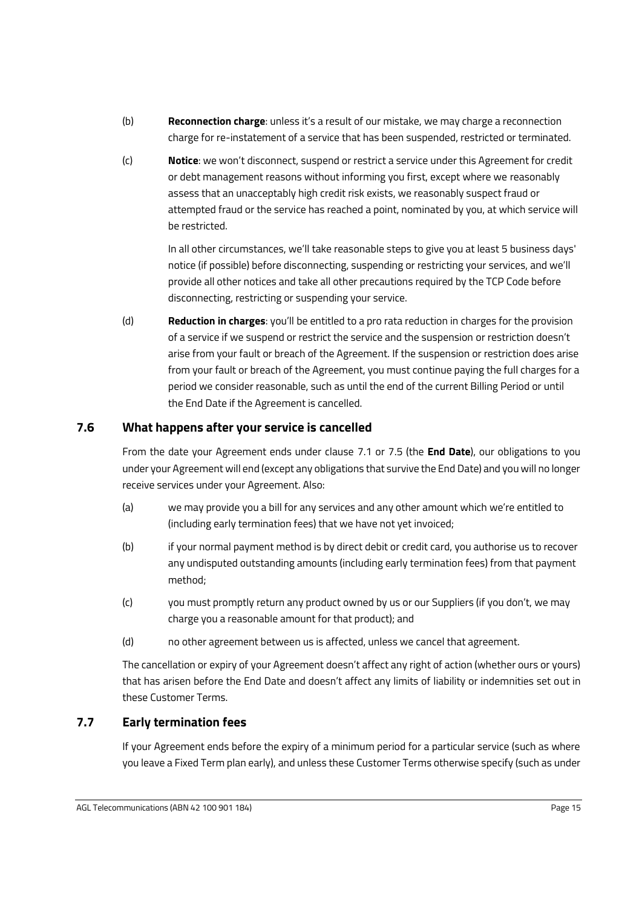- (b) **Reconnection charge**: unless it's a result of our mistake, we may charge a reconnection charge for re-instatement of a service that has been suspended, restricted or terminated.
- (c) **Notice**: we won't disconnect, suspend or restrict a service under this Agreement for credit or debt management reasons without informing you first, except where we reasonably assess that an unacceptably high credit risk exists, we reasonably suspect fraud or attempted fraud or the service has reached a point, nominated by you, at which service will be restricted.

In all other circumstances, we'll take reasonable steps to give you at least 5 business days' notice (if possible) before disconnecting, suspending or restricting your services, and we'll provide all other notices and take all other precautions required by the TCP Code before disconnecting, restricting or suspending your service.

(d) **Reduction in charges**: you'll be entitled to a pro rata reduction in charges for the provision of a service if we suspend or restrict the service and the suspension or restriction doesn't arise from your fault or breach of the Agreement. If the suspension or restriction does arise from your fault or breach of the Agreement, you must continue paying the full charges for a period we consider reasonable, such as until the end of the current Billing Period or until the End Date if the Agreement is cancelled.

# <span id="page-17-0"></span>**7.6 What happens after your service is cancelled**

From the date your Agreement ends under clause [7.1](#page-15-1) or [7.5](#page-16-2) (the **End Date**), our obligations to you under your Agreement will end (except any obligations that survive the End Date) and you will no longer receive services under your Agreement. Also:

- (a) we may provide you a bill for any services and any other amount which we're entitled to (including early termination fees) that we have not yet invoiced;
- (b) if your normal payment method is by direct debit or credit card, you authorise us to recover any undisputed outstanding amounts (including early termination fees) from that payment method;
- (c) you must promptly return any product owned by us or our Suppliers (if you don't, we may charge you a reasonable amount for that product); and
- (d) no other agreement between us is affected, unless we cancel that agreement.

The cancellation or expiry of your Agreement doesn't affect any right of action (whether ours or yours) that has arisen before the End Date and doesn't affect any limits of liability or indemnities set out in these Customer Terms.

# <span id="page-17-1"></span>**7.7 Early termination fees**

If your Agreement ends before the expiry of a minimum period for a particular service (such as where you leave a Fixed Term plan early), and unless these Customer Terms otherwise specify (such as under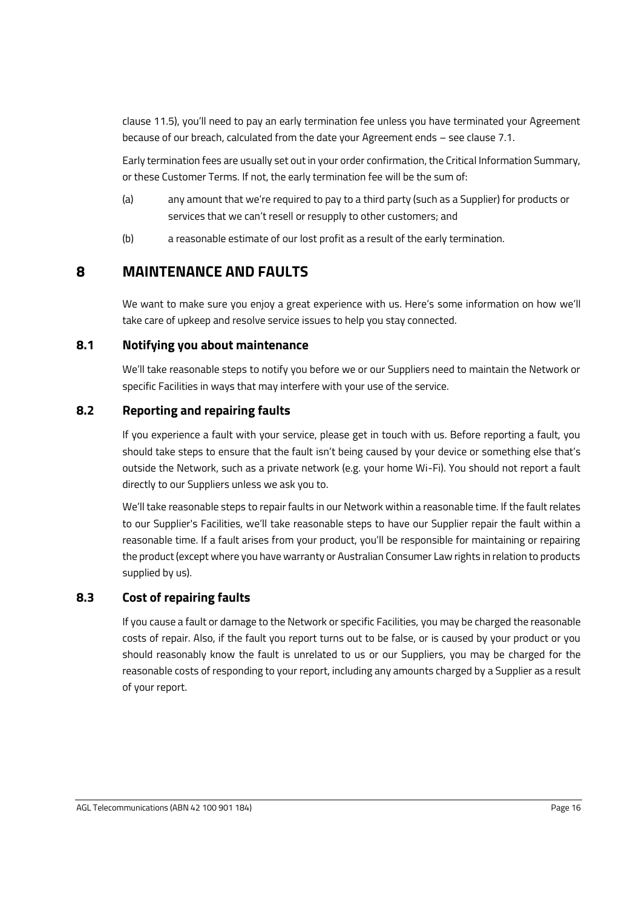claus[e 11.5](#page-21-3)), you'll need to pay an early termination fee unless you have terminated your Agreement because of our breach, calculated from the date your Agreement ends – see clause [7.1.](#page-15-1) 

Early termination fees are usually set out in your order confirmation, the Critical Information Summary, or these Customer Terms. If not, the early termination fee will be the sum of:

- (a) any amount that we're required to pay to a third party (such as a Supplier) for products or services that we can't resell or resupply to other customers; and
- (b) a reasonable estimate of our lost profit as a result of the early termination.

# <span id="page-18-0"></span>**8 MAINTENANCE AND FAULTS**

We want to make sure you enjoy a great experience with us. Here's some information on how we'll take care of upkeep and resolve service issues to help you stay connected.

### <span id="page-18-1"></span>**8.1 Notifying you about maintenance**

We'll take reasonable steps to notify you before we or our Suppliers need to maintain the Network or specific Facilities in ways that may interfere with your use of the service.

# <span id="page-18-2"></span>**8.2 Reporting and repairing faults**

If you experience a fault with your service, please get in touch with us. Before reporting a fault, you should take steps to ensure that the fault isn't being caused by your device or something else that's outside the Network, such as a private network (e.g. your home Wi-Fi). You should not report a fault directly to our Suppliers unless we ask you to.

We'll take reasonable steps to repair faults in our Network within a reasonable time. If the fault relates to our Supplier's Facilities, we'll take reasonable steps to have our Supplier repair the fault within a reasonable time. If a fault arises from your product, you'll be responsible for maintaining or repairing the product (except where you have warranty or Australian Consumer Law rights in relation to products supplied by us).

# <span id="page-18-3"></span>**8.3 Cost of repairing faults**

If you cause a fault or damage to the Network or specific Facilities, you may be charged the reasonable costs of repair. Also, if the fault you report turns out to be false, or is caused by your product or you should reasonably know the fault is unrelated to us or our Suppliers, you may be charged for the reasonable costs of responding to your report, including any amounts charged by a Supplier as a result of your report.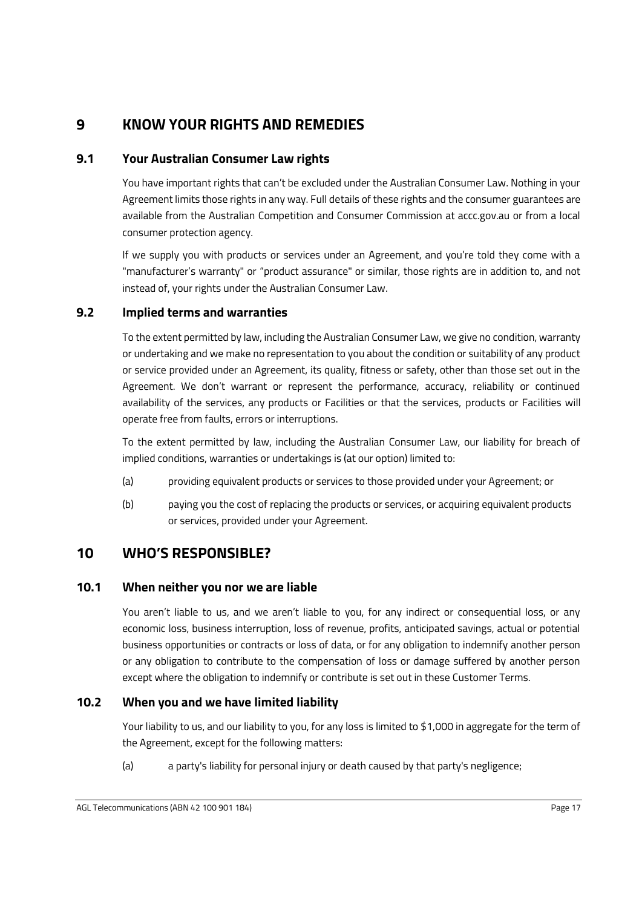# <span id="page-19-0"></span>**9 KNOW YOUR RIGHTS AND REMEDIES**

### <span id="page-19-1"></span>**9.1 Your Australian Consumer Law rights**

You have important rights that can't be excluded under the Australian Consumer Law. Nothing in your Agreement limits those rights in any way. Full details of these rights and the consumer guarantees are available from the Australian Competition and Consumer Commission at accc.gov.au or from a local consumer protection agency.

If we supply you with products or services under an Agreement, and you're told they come with a "manufacturer's warranty" or "product assurance" or similar, those rights are in addition to, and not instead of, your rights under the Australian Consumer Law.

### <span id="page-19-2"></span>**9.2 Implied terms and warranties**

To the extent permitted by law, including the Australian Consumer Law, we give no condition, warranty or undertaking and we make no representation to you about the condition or suitability of any product or service provided under an Agreement, its quality, fitness or safety, other than those set out in the Agreement. We don't warrant or represent the performance, accuracy, reliability or continued availability of the services, any products or Facilities or that the services, products or Facilities will operate free from faults, errors or interruptions.

To the extent permitted by law, including the Australian Consumer Law, our liability for breach of implied conditions, warranties or undertakings is (at our option) limited to:

- (a) providing equivalent products or services to those provided under your Agreement; or
- (b) paying you the cost of replacing the products or services, or acquiring equivalent products or services, provided under your Agreement.

# <span id="page-19-3"></span>**10 WHO'S RESPONSIBLE?**

### <span id="page-19-4"></span>**10.1 When neither you nor we are liable**

You aren't liable to us, and we aren't liable to you, for any indirect or consequential loss, or any economic loss, business interruption, loss of revenue, profits, anticipated savings, actual or potential business opportunities or contracts or loss of data, or for any obligation to indemnify another person or any obligation to contribute to the compensation of loss or damage suffered by another person except where the obligation to indemnify or contribute is set out in these Customer Terms.

# <span id="page-19-5"></span>**10.2 When you and we have limited liability**

Your liability to us, and our liability to you, for any loss is limited to \$1,000 in aggregate for the term of the Agreement, except for the following matters:

(a) a party's liability for personal injury or death caused by that party's negligence;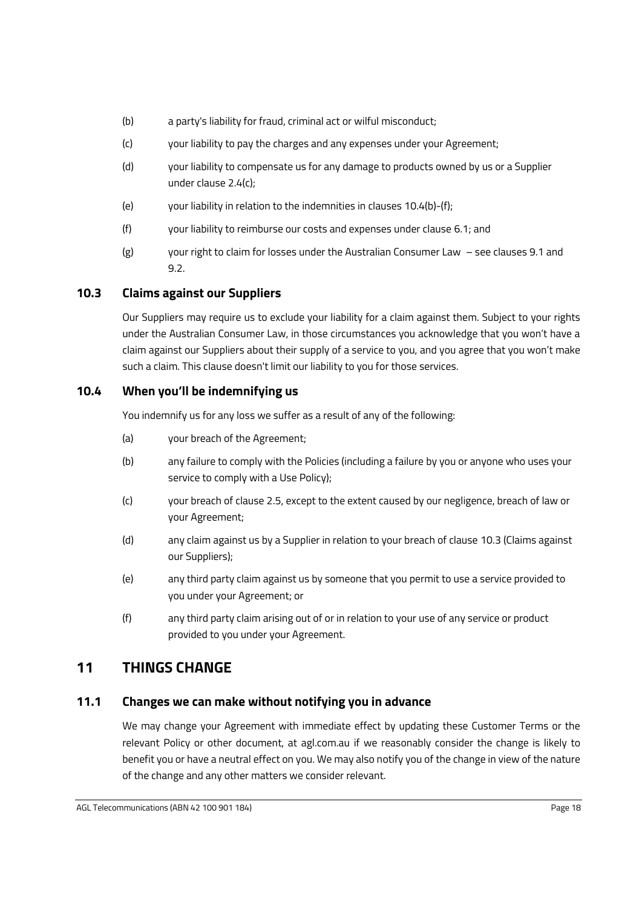- (b) a party's liability for fraud, criminal act or wilful misconduct;
- (c) your liability to pay the charges and any expenses under your Agreement;
- (d) your liability to compensate us for any damage to products owned by us or a Supplier under claus[e 2.4\(c\);](#page-4-4)
- (e) your liability in relation to the indemnities in clauses [10.4\(b\)-](#page-20-4)[\(f\);](#page-20-5)
- (f) your liability to reimburse our costs and expenses under clause [6.1;](#page-11-0) and
- (g) your right to claim for losses under the Australian Consumer Law see clauses [9.1](#page-19-1) and [9.2.](#page-19-2)

# <span id="page-20-0"></span>**10.3 Claims against our Suppliers**

Our Suppliers may require us to exclude your liability for a claim against them. Subject to your rights under the Australian Consumer Law, in those circumstances you acknowledge that you won't have a claim against our Suppliers about their supply of a service to you, and you agree that you won't make such a claim. This clause doesn't limit our liability to you for those services.

### <span id="page-20-1"></span>**10.4 When you'll be indemnifying us**

You indemnify us for any loss we suffer as a result of any of the following:

- (a) your breach of the Agreement;
- <span id="page-20-4"></span>(b) any failure to comply with the Policies (including a failure by you or anyone who uses your service to comply with a Use Policy);
- (c) your breach of claus[e 2.5,](#page-5-0) except to the extent caused by our negligence, breach of law or your Agreement;
- (d) any claim against us by a Supplier in relation to your breach of claus[e 10.3](#page-20-0) (Claims against our Suppliers);
- (e) any third party claim against us by someone that you permit to use a service provided to you under your Agreement; or
- <span id="page-20-5"></span>(f) any third party claim arising out of or in relation to your use of any service or product provided to you under your Agreement.

# <span id="page-20-2"></span>**11 THINGS CHANGE**

### <span id="page-20-3"></span>**11.1 Changes we can make without notifying you in advance**

We may change your Agreement with immediate effect by updating these Customer Terms or the relevant Policy or other document, at agl.com.au if we reasonably consider the change is likely to benefit you or have a neutral effect on you. We may also notify you of the change in view of the nature of the change and any other matters we consider relevant.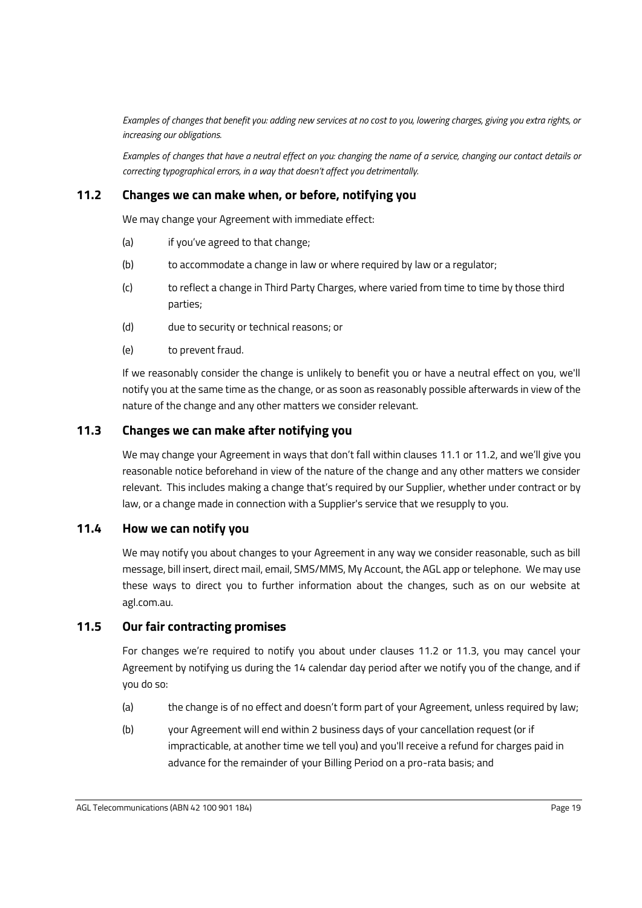*Examples of changes that benefit you: adding new services at no cost to you, lowering charges, giving you extra rights, or increasing our obligations.*

*Examples of changes that have a neutral effect on you: changing the name of a service, changing our contact details or correcting typographical errors, in a way that doesn't affect you detrimentally.*

### <span id="page-21-0"></span>**11.2 Changes we can make when, or before, notifying you**

We may change your Agreement with immediate effect:

- (a) if you've agreed to that change;
- (b) to accommodate a change in law or where required by law or a regulator;
- (c) to reflect a change in Third Party Charges, where varied from time to time by those third parties;
- (d) due to security or technical reasons; or
- (e) to prevent fraud.

If we reasonably consider the change is unlikely to benefit you or have a neutral effect on you, we'll notify you at the same time as the change, or as soon as reasonably possible afterwards in view of the nature of the change and any other matters we consider relevant.

### <span id="page-21-1"></span>**11.3 Changes we can make after notifying you**

We may change your Agreement in ways that don't fall within clauses [11.1](#page-20-3) o[r 11.2](#page-21-0), and we'll give you reasonable notice beforehand in view of the nature of the change and any other matters we consider relevant. This includes making a change that's required by our Supplier, whether under contract or by law, or a change made in connection with a Supplier's service that we resupply to you.

### <span id="page-21-2"></span>**11.4 How we can notify you**

We may notify you about changes to your Agreement in any way we consider reasonable, such as bill message, bill insert, direct mail, email, SMS/MMS, My Account, the AGL app or telephone. We may use these ways to direct you to further information about the changes, such as on our website at agl.com.au.

### <span id="page-21-3"></span>**11.5 Our fair contracting promises**

For changes we're required to notify you about under clauses [11.2](#page-21-0) or [11.3,](#page-21-1) you may cancel your Agreement by notifying us during the 14 calendar day period after we notify you of the change, and if you do so:

- (a) the change is of no effect and doesn't form part of your Agreement, unless required by law;
- (b) your Agreement will end within 2 business days of your cancellation request (or if impracticable, at another time we tell you) and you'll receive a refund for charges paid in advance for the remainder of your Billing Period on a pro-rata basis; and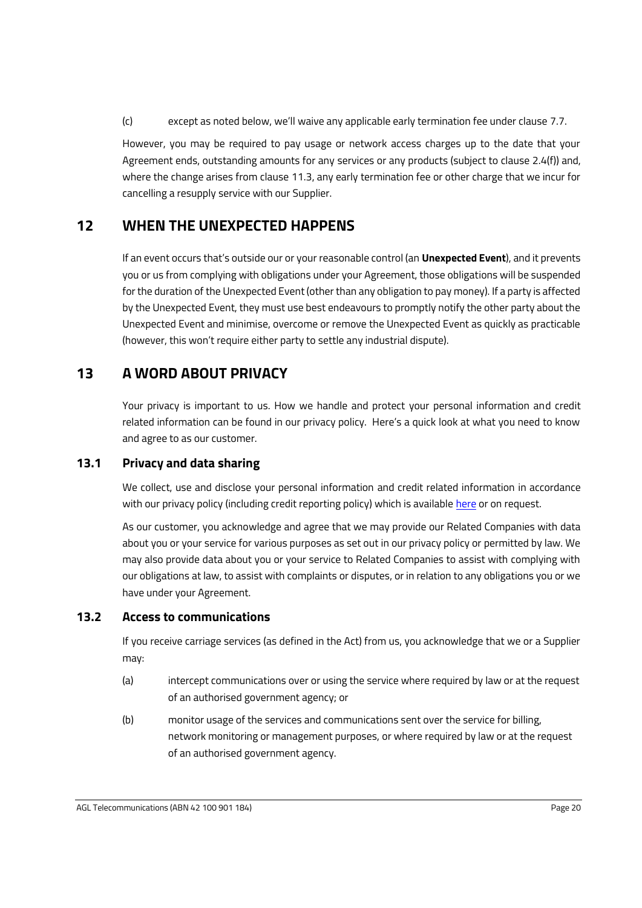(c) except as noted below, we'll waive any applicable early termination fee under clause [7.7.](#page-17-1)

However, you may be required to pay usage or network access charges up to the date that your Agreement ends, outstanding amounts for any services or any products (subject to claus[e 2.4\(f\)\)](#page-5-1) and, where the change arises from clause [11.3,](#page-21-1) any early termination fee or other charge that we incur for cancelling a resupply service with our Supplier.

# <span id="page-22-0"></span>**12 WHEN THE UNEXPECTED HAPPENS**

If an event occurs that's outside our or your reasonable control (an **Unexpected Event**), and it prevents you or us from complying with obligations under your Agreement, those obligations will be suspended for the duration of the Unexpected Event (other than any obligation to pay money). If a party is affected by the Unexpected Event, they must use best endeavours to promptly notify the other party about the Unexpected Event and minimise, overcome or remove the Unexpected Event as quickly as practicable (however, this won't require either party to settle any industrial dispute).

# <span id="page-22-1"></span>**13 A WORD ABOUT PRIVACY**

Your privacy is important to us. How we handle and protect your personal information and credit related information can be found in our privacy policy. Here's a quick look at what you need to know and agree to as our customer.

# <span id="page-22-2"></span>**13.1 Privacy and data sharing**

We collect, use and disclose your personal information and credit related information in accordance with our privacy policy (including credit reporting policy) which is available [here](https://www.agl.com.au/privacy-policy) or on request.

As our customer, you acknowledge and agree that we may provide our Related Companies with data about you or your service for various purposes as set out in our privacy policy or permitted by law. We may also provide data about you or your service to Related Companies to assist with complying with our obligations at law, to assist with complaints or disputes, or in relation to any obligations you or we have under your Agreement.

# <span id="page-22-3"></span>**13.2 Access to communications**

If you receive carriage services (as defined in the Act) from us, you acknowledge that we or a Supplier may:

- (a) intercept communications over or using the service where required by law or at the request of an authorised government agency; or
- (b) monitor usage of the services and communications sent over the service for billing, network monitoring or management purposes, or where required by law or at the request of an authorised government agency.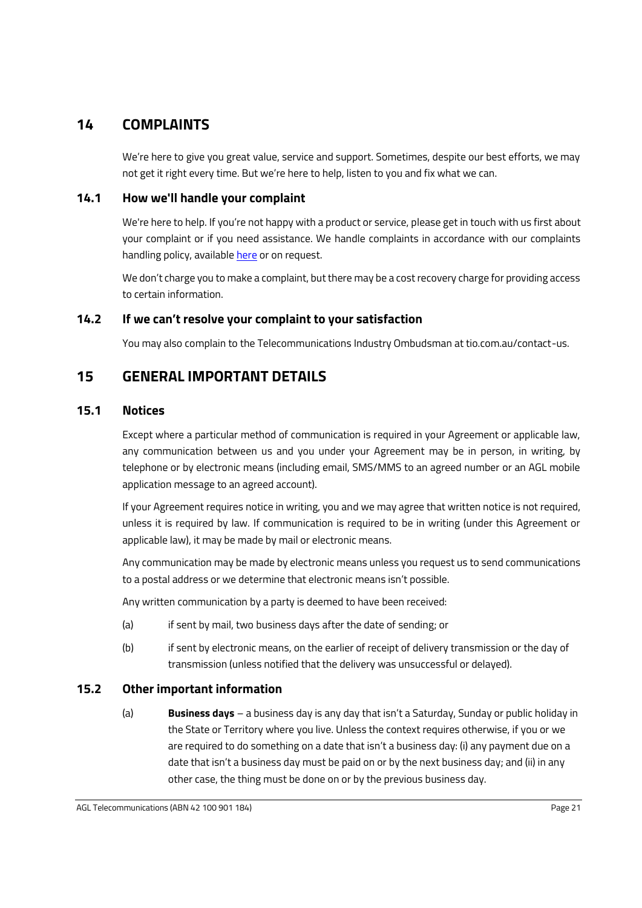# <span id="page-23-0"></span>**14 COMPLAINTS**

We're here to give you great value, service and support. Sometimes, despite our best efforts, we may not get it right every time. But we're here to help, listen to you and fix what we can.

### <span id="page-23-1"></span>**14.1 How we'll handle your complaint**

We're here to help. If you're not happy with a product or service, please get in touch with us first about your complaint or if you need assistance. We handle complaints in accordance with our complaints handling policy, availabl[e here](https://www.agl.com.au/content/dam/digital/agl/documents/terms-and-conditions/telecommunications/agl-telecommunications-complaints-handling-policy.pdf) or on request.

We don't charge you to make a complaint, but there may be a cost recovery charge for providing access to certain information.

### <span id="page-23-2"></span>**14.2 If we can't resolve your complaint to your satisfaction**

You may also complain to the Telecommunications Industry Ombudsman at tio.com.au/contact-us.

# <span id="page-23-3"></span>**15 GENERAL IMPORTANT DETAILS**

### <span id="page-23-4"></span>**15.1 Notices**

Except where a particular method of communication is required in your Agreement or applicable law, any communication between us and you under your Agreement may be in person, in writing, by telephone or by electronic means (including email, SMS/MMS to an agreed number or an AGL mobile application message to an agreed account).

If your Agreement requires notice in writing, you and we may agree that written notice is not required, unless it is required by law. If communication is required to be in writing (under this Agreement or applicable law), it may be made by mail or electronic means.

Any communication may be made by electronic means unless you request us to send communications to a postal address or we determine that electronic means isn't possible.

Any written communication by a party is deemed to have been received:

- (a) if sent by mail, two business days after the date of sending; or
- (b) if sent by electronic means, on the earlier of receipt of delivery transmission or the day of transmission (unless notified that the delivery was unsuccessful or delayed).

### <span id="page-23-5"></span>**15.2 Other important information**

(a) **Business days** – a business day is any day that isn't a Saturday, Sunday or public holiday in the State or Territory where you live. Unless the context requires otherwise, if you or we are required to do something on a date that isn't a business day: (i) any payment due on a date that isn't a business day must be paid on or by the next business day; and (ii) in any other case, the thing must be done on or by the previous business day.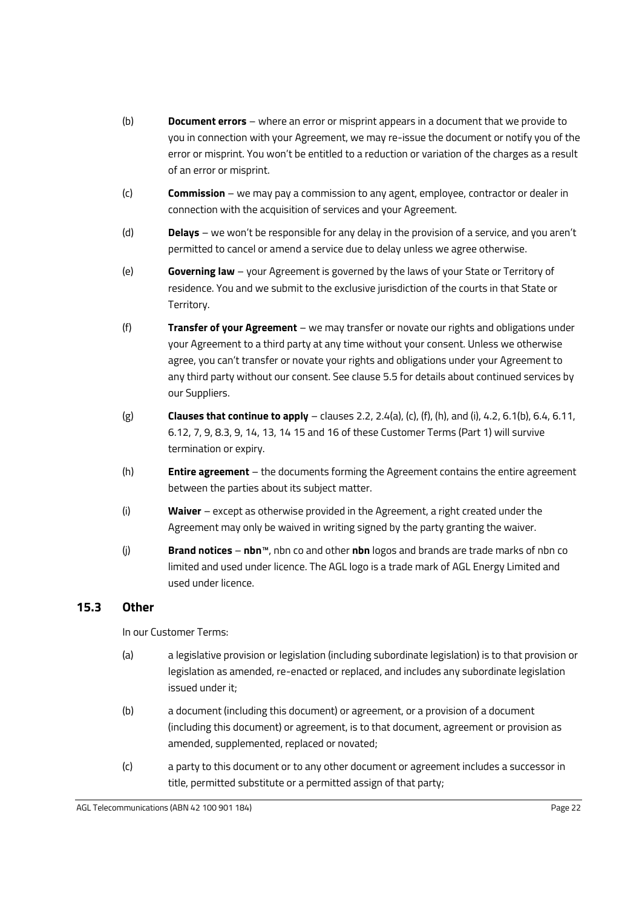- (b) **Document errors** where an error or misprint appears in a document that we provide to you in connection with your Agreement, we may re-issue the document or notify you of the error or misprint. You won't be entitled to a reduction or variation of the charges as a result of an error or misprint.
- (c) **Commission** we may pay a commission to any agent, employee, contractor or dealer in connection with the acquisition of services and your Agreement.
- (d) **Delays** we won't be responsible for any delay in the provision of a service, and you aren't permitted to cancel or amend a service due to delay unless we agree otherwise.
- (e) **Governing law**  your Agreement is governed by the laws of your State or Territory of residence. You and we submit to the exclusive jurisdiction of the courts in that State or Territory.
- (f) **Transfer of your Agreement** we may transfer or novate our rights and obligations under your Agreement to a third party at any time without your consent. Unless we otherwise agree, you can't transfer or novate your rights and obligations under your Agreement to any third party without our consent. See claus[e 5.5](#page-10-1) for details about continued services by our Suppliers.
- (g) **Clauses that continue to apply**  clause[s 2.2,](#page-4-0) [2.4\(a\),](#page-4-5) [\(c\),](#page-4-4) [\(f\),](#page-5-1) [\(h\),](#page-5-2) an[d \(i\),](#page-5-3) [4.2,](#page-8-3) [6.1\(b\),](#page-11-1) [6.4,](#page-12-2) [6.11,](#page-14-1) [6.12,](#page-14-2) [7,](#page-15-0) [9,](#page-19-0) [8.3,](#page-18-3) [9,](#page-19-0) [14,](#page-23-0) [13,](#page-22-1) [14](#page-23-0) [15](#page-23-3) an[d 16](#page-25-0) of these Customer Terms (Part 1) will survive termination or expiry.
- (h) **Entire agreement** the documents forming the Agreement contains the entire agreement between the parties about its subject matter.
- (i) **Waiver** except as otherwise provided in the Agreement, a right created under the Agreement may only be waived in writing signed by the party granting the waiver.
- (j) **Brand notices nbn**™, nbn co and other **nbn** logos and brands are trade marks of nbn co limited and used under licence. The AGL logo is a trade mark of AGL Energy Limited and used under licence.

# <span id="page-24-0"></span>**15.3 Other**

In our Customer Terms:

- (a) a legislative provision or legislation (including subordinate legislation) is to that provision or legislation as amended, re-enacted or replaced, and includes any subordinate legislation issued under it;
- (b) a document (including this document) or agreement, or a provision of a document (including this document) or agreement, is to that document, agreement or provision as amended, supplemented, replaced or novated;
- (c) a party to this document or to any other document or agreement includes a successor in title, permitted substitute or a permitted assign of that party;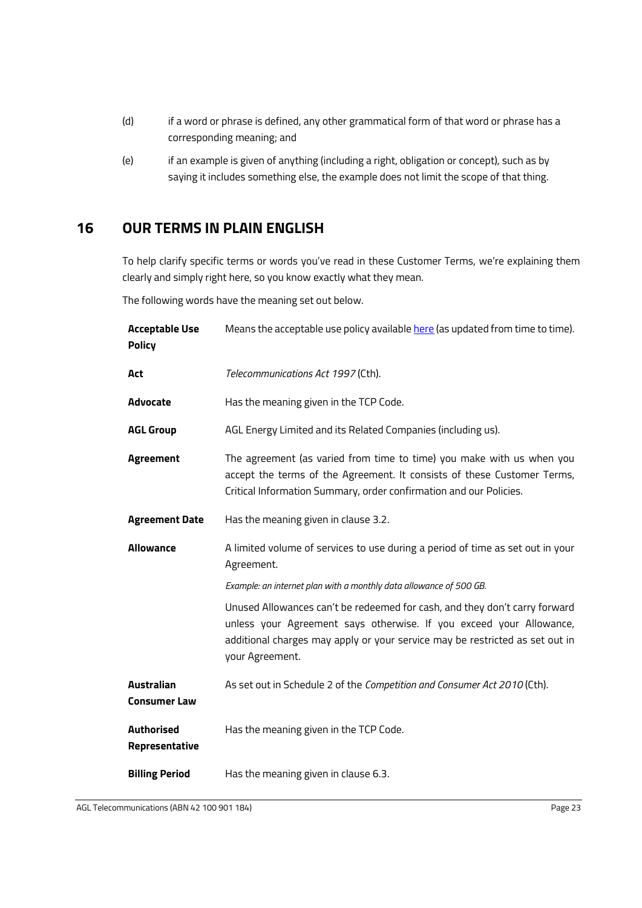- (d) if a word or phrase is defined, any other grammatical form of that word or phrase has a corresponding meaning; and
- (e) if an example is given of anything (including a right, obligation or concept), such as by saying it includes something else, the example does not limit the scope of that thing.

# <span id="page-25-0"></span>**16 OUR TERMS IN PLAIN ENGLISH**

To help clarify specific terms or words you've read in these Customer Terms, we're explaining them clearly and simply right here, so you know exactly what they mean.

The following words have the meaning set out below.

| <b>Acceptable Use</b><br><b>Policy</b>   | Means the acceptable use policy available here (as updated from time to time).                                                                                                                                                                       |
|------------------------------------------|------------------------------------------------------------------------------------------------------------------------------------------------------------------------------------------------------------------------------------------------------|
| Act                                      | Telecommunications Act 1997 (Cth).                                                                                                                                                                                                                   |
| <b>Advocate</b>                          | Has the meaning given in the TCP Code.                                                                                                                                                                                                               |
| <b>AGL Group</b>                         | AGL Energy Limited and its Related Companies (including us).                                                                                                                                                                                         |
| <b>Agreement</b>                         | The agreement (as varied from time to time) you make with us when you<br>accept the terms of the Agreement. It consists of these Customer Terms,<br>Critical Information Summary, order confirmation and our Policies.                               |
| <b>Agreement Date</b>                    | Has the meaning given in clause 3.2.                                                                                                                                                                                                                 |
| <b>Allowance</b>                         | A limited volume of services to use during a period of time as set out in your<br>Agreement.                                                                                                                                                         |
|                                          | Example: an internet plan with a monthly data allowance of 500 GB.                                                                                                                                                                                   |
|                                          | Unused Allowances can't be redeemed for cash, and they don't carry forward<br>unless your Agreement says otherwise. If you exceed your Allowance,<br>additional charges may apply or your service may be restricted as set out in<br>your Agreement. |
| <b>Australian</b><br><b>Consumer Law</b> | As set out in Schedule 2 of the Competition and Consumer Act 2010 (Cth).                                                                                                                                                                             |
| <b>Authorised</b><br>Representative      | Has the meaning given in the TCP Code.                                                                                                                                                                                                               |
| <b>Billing Period</b>                    | Has the meaning given in clause 6.3.                                                                                                                                                                                                                 |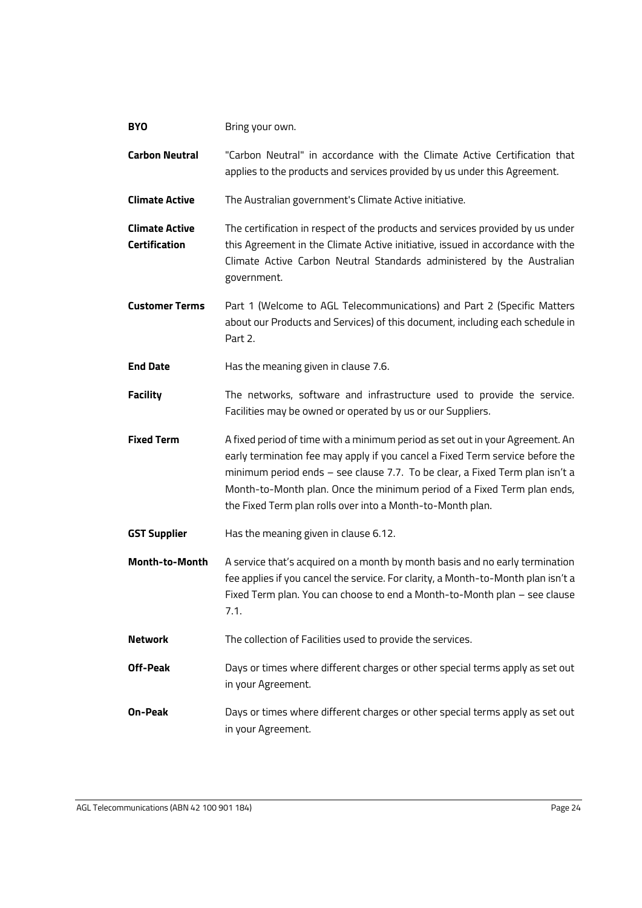| <b>BYO</b>                                    | Bring your own.                                                                                                                                                                                                                                                                                                                                                                         |
|-----------------------------------------------|-----------------------------------------------------------------------------------------------------------------------------------------------------------------------------------------------------------------------------------------------------------------------------------------------------------------------------------------------------------------------------------------|
| <b>Carbon Neutral</b>                         | "Carbon Neutral" in accordance with the Climate Active Certification that<br>applies to the products and services provided by us under this Agreement.                                                                                                                                                                                                                                  |
| <b>Climate Active</b>                         | The Australian government's Climate Active initiative.                                                                                                                                                                                                                                                                                                                                  |
| <b>Climate Active</b><br><b>Certification</b> | The certification in respect of the products and services provided by us under<br>this Agreement in the Climate Active initiative, issued in accordance with the<br>Climate Active Carbon Neutral Standards administered by the Australian<br>government.                                                                                                                               |
| <b>Customer Terms</b>                         | Part 1 (Welcome to AGL Telecommunications) and Part 2 (Specific Matters<br>about our Products and Services) of this document, including each schedule in<br>Part 2.                                                                                                                                                                                                                     |
| <b>End Date</b>                               | Has the meaning given in clause 7.6.                                                                                                                                                                                                                                                                                                                                                    |
| <b>Facility</b>                               | The networks, software and infrastructure used to provide the service.<br>Facilities may be owned or operated by us or our Suppliers.                                                                                                                                                                                                                                                   |
|                                               |                                                                                                                                                                                                                                                                                                                                                                                         |
| <b>Fixed Term</b>                             | A fixed period of time with a minimum period as set out in your Agreement. An<br>early termination fee may apply if you cancel a Fixed Term service before the<br>minimum period ends - see clause 7.7. To be clear, a Fixed Term plan isn't a<br>Month-to-Month plan. Once the minimum period of a Fixed Term plan ends,<br>the Fixed Term plan rolls over into a Month-to-Month plan. |
| <b>GST Supplier</b>                           | Has the meaning given in clause 6.12.                                                                                                                                                                                                                                                                                                                                                   |
| Month-to-Month                                | A service that's acquired on a month by month basis and no early termination<br>fee applies if you cancel the service. For clarity, a Month-to-Month plan isn't a<br>Fixed Term plan. You can choose to end a Month-to-Month plan - see clause<br>7.1.                                                                                                                                  |
| <b>Network</b>                                | The collection of Facilities used to provide the services.                                                                                                                                                                                                                                                                                                                              |
| Off-Peak                                      | Days or times where different charges or other special terms apply as set out<br>in your Agreement.                                                                                                                                                                                                                                                                                     |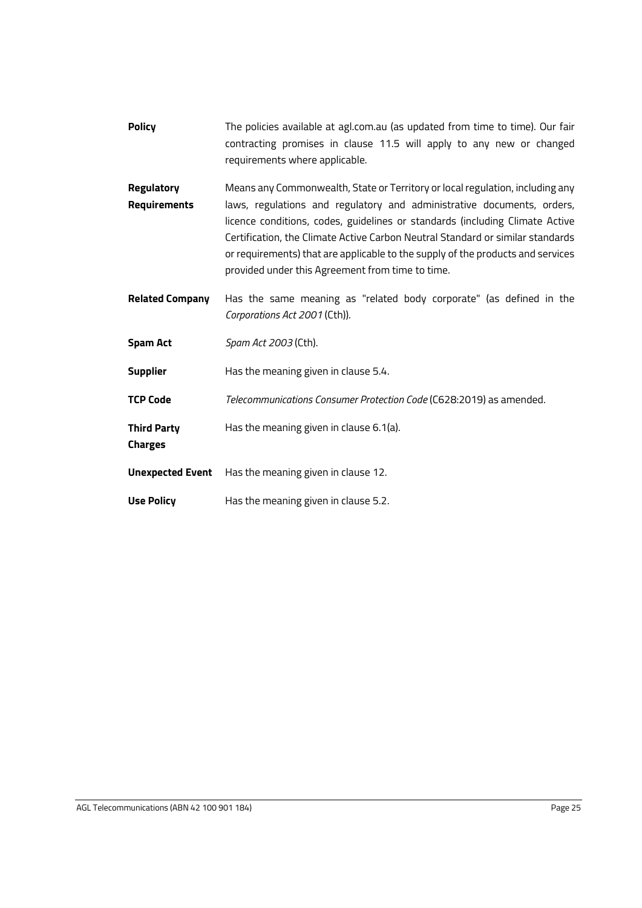- **Policy** The policies available at agl.com.au (as updated from time to time). Our fair contracting promises in clause [11.5](#page-21-3) will apply to any new or changed requirements where applicable.
- **Regulatory Requirements** Means any Commonwealth, State or Territory or local regulation, including any laws, regulations and regulatory and administrative documents, orders, licence conditions, codes, guidelines or standards (including Climate Active Certification, the Climate Active Carbon Neutral Standard or similar standards or requirements) that are applicable to the supply of the products and services provided under this Agreement from time to time.
- **Related Company** Has the same meaning as "related body corporate" (as defined in the *Corporations Act 2001* (Cth)).
- **Spam Act** *Spam Act 2003* (Cth).
- **Supplier** Has the meaning given in claus[e 5.4.](#page-10-0)
- **TCP Code** *Telecommunications Consumer Protection Code* (C628:2019) as amended.
- **Third Party**  Has the meaning given in claus[e 6.1\(a\).](#page-11-2)
- **Charges**
- **Unexpected Event** Has the meaning given in claus[e 12.](#page-22-0)
- **Use Policy** Has the meaning given in claus[e 5.2.](#page-9-2)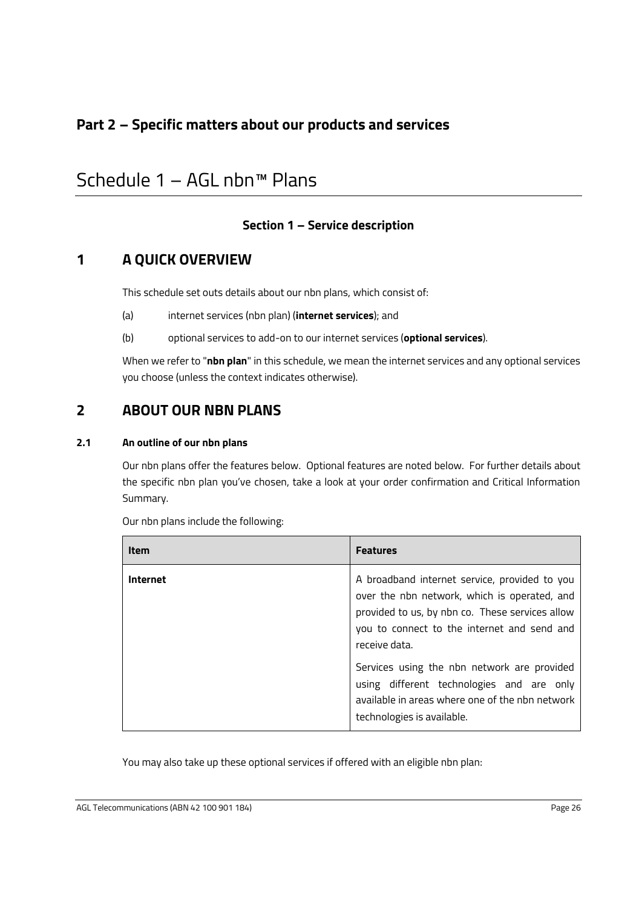# **Part 2 – Specific matters about our products and services**

# <span id="page-28-1"></span>Schedule 1 – AGL nbn™ Plans

# <span id="page-28-0"></span>**Section 1 – Service description**

# **1 A QUICK OVERVIEW**

This schedule set outs details about our nbn plans, which consist of:

- (a) internet services (nbn plan) (**internet services**); and
- (b) optional services to add-on to our internet services (**optional services**).

When we refer to "**nbn plan**" in this schedule, we mean the internet services and any optional services you choose (unless the context indicates otherwise).

# **2 ABOUT OUR NBN PLANS**

#### **2.1 An outline of our nbn plans**

Our nbn plans offer the features below. Optional features are noted below. For further details about the specific nbn plan you've chosen, take a look at your order confirmation and Critical Information Summary.

| <b>Item</b> | Features                                                                                                                                                                                                         |
|-------------|------------------------------------------------------------------------------------------------------------------------------------------------------------------------------------------------------------------|
| Internet    | A broadband internet service, provided to you<br>over the nbn network, which is operated, and<br>provided to us, by nbn co. These services allow<br>you to connect to the internet and send and<br>receive data. |
|             | Services using the nbn network are provided<br>using different technologies and are only<br>available in areas where one of the nbn network<br>technologies is available.                                        |

Our nbn plans include the following:

You may also take up these optional services if offered with an eligible nbn plan: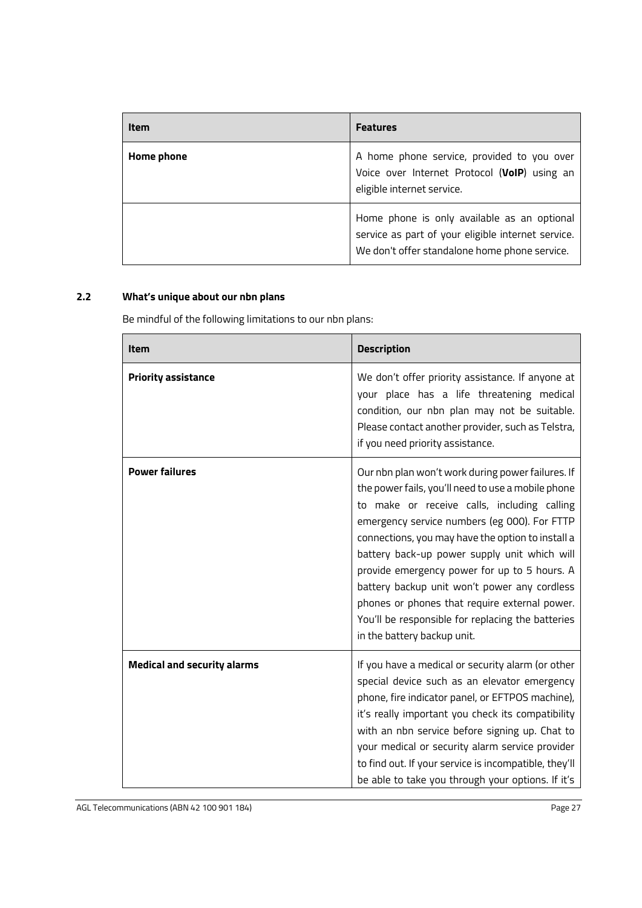| <b>Item</b> | <b>Features</b>                                                                                                                                    |
|-------------|----------------------------------------------------------------------------------------------------------------------------------------------------|
| Home phone  | A home phone service, provided to you over<br>Voice over Internet Protocol (VoIP) using an<br>eligible internet service.                           |
|             | Home phone is only available as an optional<br>service as part of your eligible internet service.<br>We don't offer standalone home phone service. |

# **2.2 What's unique about our nbn plans**

Be mindful of the following limitations to our nbn plans:

| <b>Item</b>                        | <b>Description</b>                                                                                                                                                                                                                                                                                                                                                                                                                                                                                                                               |
|------------------------------------|--------------------------------------------------------------------------------------------------------------------------------------------------------------------------------------------------------------------------------------------------------------------------------------------------------------------------------------------------------------------------------------------------------------------------------------------------------------------------------------------------------------------------------------------------|
| <b>Priority assistance</b>         | We don't offer priority assistance. If anyone at<br>your place has a life threatening medical<br>condition, our nbn plan may not be suitable.<br>Please contact another provider, such as Telstra,<br>if you need priority assistance.                                                                                                                                                                                                                                                                                                           |
| <b>Power failures</b>              | Our nbn plan won't work during power failures. If<br>the power fails, you'll need to use a mobile phone<br>to make or receive calls, including calling<br>emergency service numbers (eg 000). For FTTP<br>connections, you may have the option to install a<br>battery back-up power supply unit which will<br>provide emergency power for up to 5 hours. A<br>battery backup unit won't power any cordless<br>phones or phones that require external power.<br>You'll be responsible for replacing the batteries<br>in the battery backup unit. |
| <b>Medical and security alarms</b> | If you have a medical or security alarm (or other<br>special device such as an elevator emergency<br>phone, fire indicator panel, or EFTPOS machine),<br>it's really important you check its compatibility<br>with an nbn service before signing up. Chat to<br>your medical or security alarm service provider<br>to find out. If your service is incompatible, they'll<br>be able to take you through your options. If it's                                                                                                                    |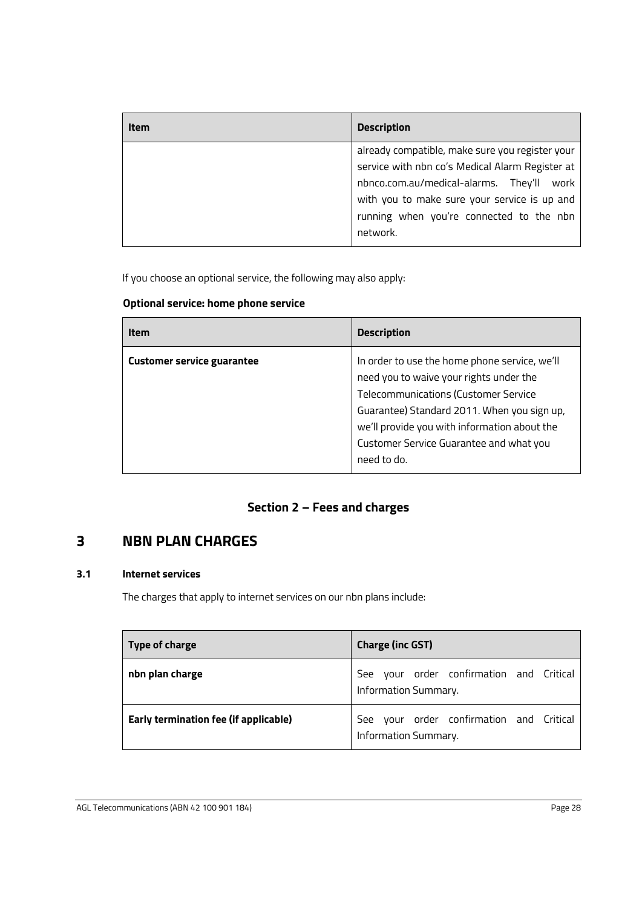| Item | <b>Description</b>                                                                                                                                                                                 |
|------|----------------------------------------------------------------------------------------------------------------------------------------------------------------------------------------------------|
|      | already compatible, make sure you register your<br>service with nbn co's Medical Alarm Register at<br>nbnco.com.au/medical-alarms. They'll<br>work<br>with you to make sure your service is up and |
|      | running when you're connected to the nbn<br>network.                                                                                                                                               |

If you choose an optional service, the following may also apply:

# **Optional service: home phone service**

| <b>Item</b>                       | <b>Description</b>                                                                                                                                                                                                                                                                               |
|-----------------------------------|--------------------------------------------------------------------------------------------------------------------------------------------------------------------------------------------------------------------------------------------------------------------------------------------------|
| <b>Customer service guarantee</b> | In order to use the home phone service, we'll<br>need you to waive your rights under the<br><b>Telecommunications (Customer Service</b><br>Guarantee) Standard 2011. When you sign up,<br>we'll provide you with information about the<br>Customer Service Guarantee and what you<br>need to do. |

# **Section 2 – Fees and charges**

# **3 NBN PLAN CHARGES**

#### **3.1 Internet services**

The charges that apply to internet services on our nbn plans include:

| Type of charge                        | <b>Charge (inc GST)</b>                                             |
|---------------------------------------|---------------------------------------------------------------------|
| nbn plan charge                       | your order confirmation and Critical<br>See<br>Information Summary. |
| Early termination fee (if applicable) | your order confirmation and Critical<br>See<br>Information Summary. |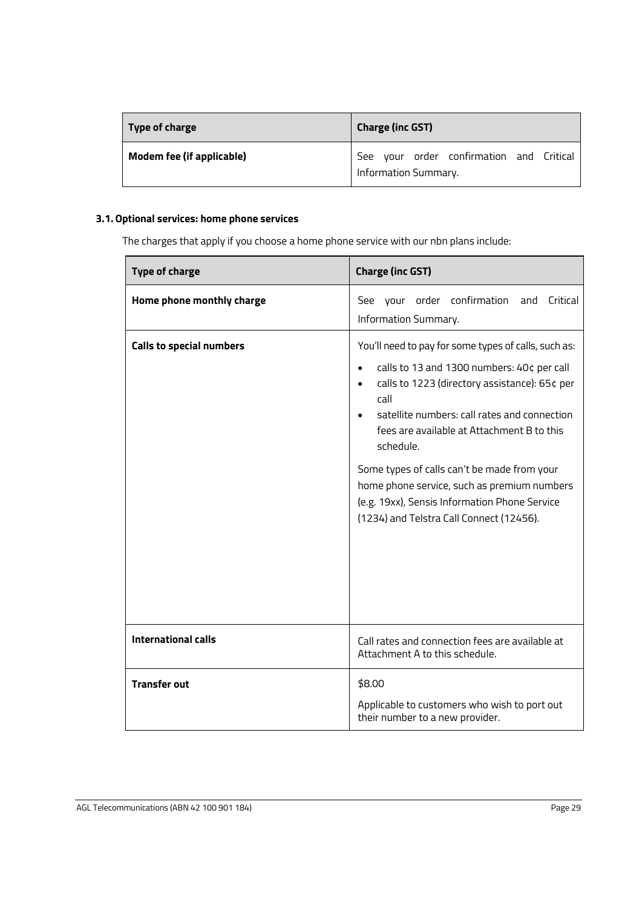| Type of charge                   | <b>Charge (inc GST)</b>                                          |
|----------------------------------|------------------------------------------------------------------|
| <b>Modem fee (if applicable)</b> | See your order confirmation and Critical<br>Information Summary. |

#### **3.1. Optional services: home phone services**

The charges that apply if you choose a home phone service with our nbn plans include:

| <b>Type of charge</b>           | <b>Charge (inc GST)</b>                                                                                                                                                                                                                                                                                                                                                                                                                                           |
|---------------------------------|-------------------------------------------------------------------------------------------------------------------------------------------------------------------------------------------------------------------------------------------------------------------------------------------------------------------------------------------------------------------------------------------------------------------------------------------------------------------|
| Home phone monthly charge       | See your order confirmation and Critical<br>Information Summary.                                                                                                                                                                                                                                                                                                                                                                                                  |
| <b>Calls to special numbers</b> | You'll need to pay for some types of calls, such as:<br>calls to 13 and 1300 numbers: 40¢ per call<br>calls to 1223 (directory assistance): 65¢ per<br>call<br>satellite numbers: call rates and connection<br>fees are available at Attachment B to this<br>schedule.<br>Some types of calls can't be made from your<br>home phone service, such as premium numbers<br>(e.g. 19xx), Sensis Information Phone Service<br>(1234) and Telstra Call Connect (12456). |
| <b>International calls</b>      | Call rates and connection fees are available at<br>Attachment A to this schedule.                                                                                                                                                                                                                                                                                                                                                                                 |
| <b>Transfer out</b>             | \$8.00<br>Applicable to customers who wish to port out<br>their number to a new provider.                                                                                                                                                                                                                                                                                                                                                                         |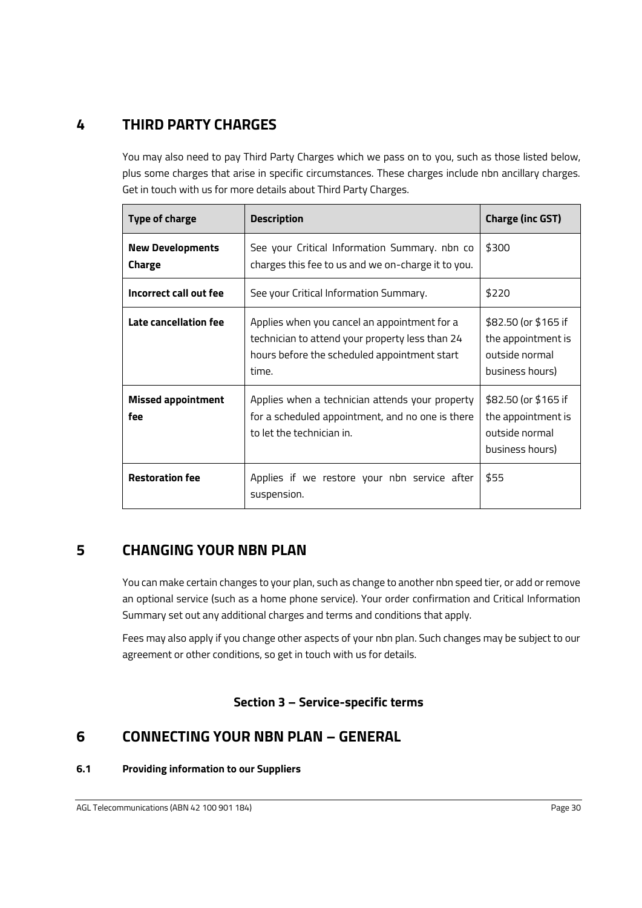# **4 THIRD PARTY CHARGES**

You may also need to pay Third Party Charges which we pass on to you, such as those listed below, plus some charges that arise in specific circumstances. These charges include nbn ancillary charges. Get in touch with us for more details about Third Party Charges.

| <b>Type of charge</b>             | <b>Description</b>                                                                                                                                       | <b>Charge (inc GST)</b>                                                         |
|-----------------------------------|----------------------------------------------------------------------------------------------------------------------------------------------------------|---------------------------------------------------------------------------------|
| <b>New Developments</b><br>Charge | See your Critical Information Summary. nbn co<br>charges this fee to us and we on-charge it to you.                                                      | \$300                                                                           |
| Incorrect call out fee            | See your Critical Information Summary.                                                                                                                   | \$220                                                                           |
| Late cancellation fee             | Applies when you cancel an appointment for a<br>technician to attend your property less than 24<br>hours before the scheduled appointment start<br>time. | \$82.50 (or \$165 if<br>the appointment is<br>outside normal<br>business hours) |
| <b>Missed appointment</b><br>fee  | Applies when a technician attends your property<br>for a scheduled appointment, and no one is there<br>to let the technician in.                         | \$82.50 (or \$165 if<br>the appointment is<br>outside normal<br>business hours) |
| <b>Restoration fee</b>            | Applies if we restore your nbn service after<br>suspension.                                                                                              | \$55                                                                            |

# **5 CHANGING YOUR NBN PLAN**

You can make certain changes to your plan, such as change to another nbn speed tier, or add or remove an optional service (such as a home phone service). Your order confirmation and Critical Information Summary set out any additional charges and terms and conditions that apply.

Fees may also apply if you change other aspects of your nbn plan. Such changes may be subject to our agreement or other conditions, so get in touch with us for details.

# **Section 3 – Service-specific terms**

# **6 CONNECTING YOUR NBN PLAN – GENERAL**

### **6.1 Providing information to our Suppliers**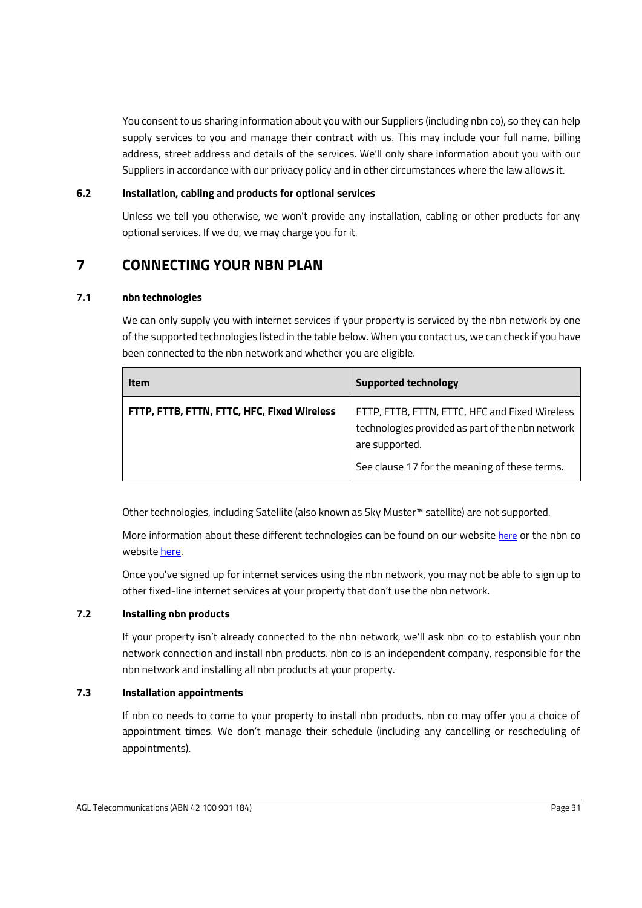You consent to us sharing information about you with our Suppliers (including nbn co), so they can help supply services to you and manage their contract with us. This may include your full name, billing address, street address and details of the services. We'll only share information about you with our Suppliers in accordance with our privacy policy and in other circumstances where the law allows it.

#### **6.2 Installation, cabling and products for optional services**

Unless we tell you otherwise, we won't provide any installation, cabling or other products for any optional services. If we do, we may charge you for it.

# **7 CONNECTING YOUR NBN PLAN**

#### **7.1 nbn technologies**

We can only supply you with internet services if your property is serviced by the nbn network by one of the supported technologies listed in the table below. When you contact us, we can check if you have been connected to the nbn network and whether you are eligible.

| <b>Item</b>                                 | <b>Supported technology</b>                                                                                                                                           |
|---------------------------------------------|-----------------------------------------------------------------------------------------------------------------------------------------------------------------------|
| FTTP, FTTB, FTTN, FTTC, HFC, Fixed Wireless | FTTP, FTTB, FTTN, FTTC, HFC and Fixed Wireless<br>technologies provided as part of the nbn network<br>are supported.<br>See clause 17 for the meaning of these terms. |

Other technologies, including Satellite (also known as Sky Muster™ satellite) are not supported.

More information about these different technologies can be found on our website [here](https://www.agl.com.au/help/internet/nbn-features) or the nbn co website [here.](https://www.nbnco.com.au/learn/network-technology)

Once you've signed up for internet services using the nbn network, you may not be able to sign up to other fixed-line internet services at your property that don't use the nbn network.

#### <span id="page-33-0"></span>**7.2 Installing nbn products**

If your property isn't already connected to the nbn network, we'll ask nbn co to establish your nbn network connection and install nbn products. nbn co is an independent company, responsible for the nbn network and installing all nbn products at your property.

#### **7.3 Installation appointments**

If nbn co needs to come to your property to install nbn products, nbn co may offer you a choice of appointment times. We don't manage their schedule (including any cancelling or rescheduling of appointments).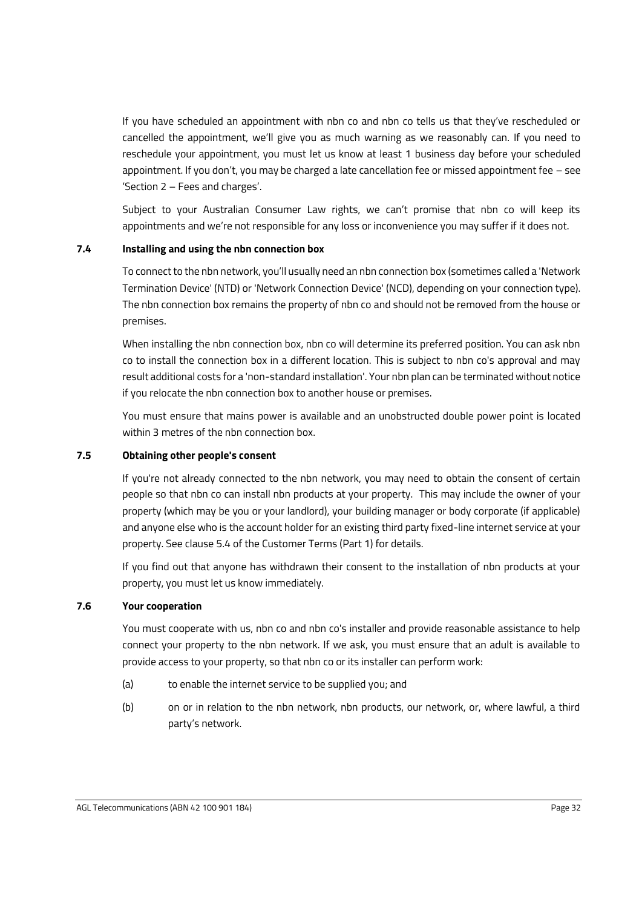If you have scheduled an appointment with nbn co and nbn co tells us that they've rescheduled or cancelled the appointment, we'll give you as much warning as we reasonably can. If you need to reschedule your appointment, you must let us know at least 1 business day before your scheduled appointment. If you don't, you may be charged a late cancellation fee or missed appointment fee – see 'Section 2 – Fees and charges'.

Subject to your Australian Consumer Law rights, we can't promise that nbn co will keep its appointments and we're not responsible for any loss or inconvenience you may suffer if it does not.

#### **7.4 Installing and using the nbn connection box**

To connect to the nbn network, you'll usually need an nbn connection box (sometimes called a 'Network Termination Device' (NTD) or 'Network Connection Device' (NCD), depending on your connection type). The nbn connection box remains the property of nbn co and should not be removed from the house or premises.

When installing the nbn connection box, nbn co will determine its preferred position. You can ask nbn co to install the connection box in a different location. This is subject to nbn co's approval and may result additional costs for a 'non-standard installation'. Your nbn plan can be terminated without notice if you relocate the nbn connection box to another house or premises.

You must ensure that mains power is available and an unobstructed double power point is located within 3 metres of the nbn connection box.

#### <span id="page-34-0"></span>**7.5 Obtaining other people's consent**

If you're not already connected to the nbn network, you may need to obtain the consent of certain people so that nbn co can install nbn products at your property. This may include the owner of your property (which may be you or your landlord), your building manager or body corporate (if applicable) and anyone else who is the account holder for an existing third party fixed-line internet service at your property. See claus[e 5.4](#page-10-0) of the Customer Terms (Part 1) for details.

If you find out that anyone has withdrawn their consent to the installation of nbn products at your property, you must let us know immediately.

#### <span id="page-34-1"></span>**7.6 Your cooperation**

You must cooperate with us, nbn co and nbn co's installer and provide reasonable assistance to help connect your property to the nbn network. If we ask, you must ensure that an adult is available to provide access to your property, so that nbn co or its installer can perform work:

- (a) to enable the internet service to be supplied you; and
- (b) on or in relation to the nbn network, nbn products, our network, or, where lawful, a third party's network.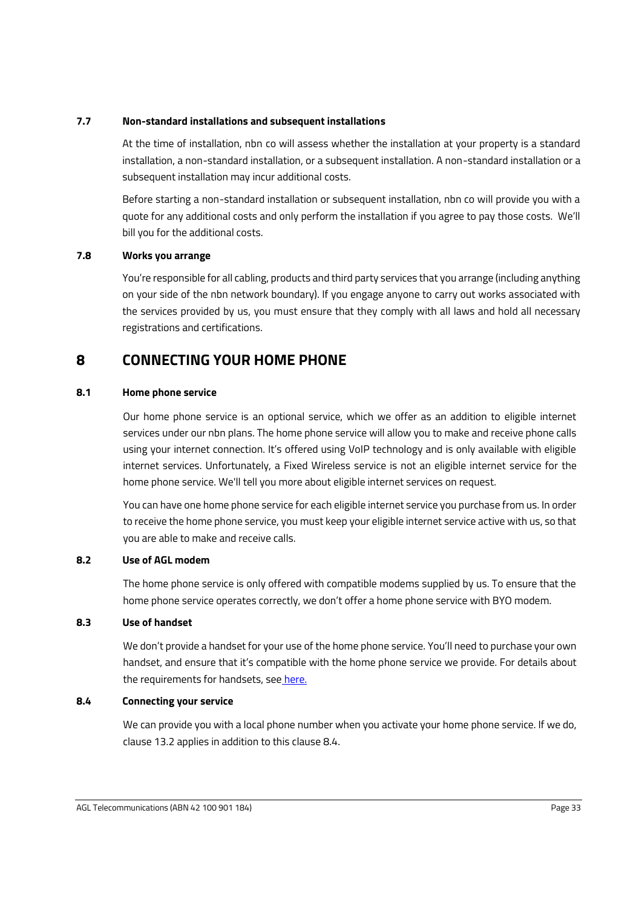#### **7.7 Non-standard installations and subsequent installations**

At the time of installation, nbn co will assess whether the installation at your property is a standard installation, a non-standard installation, or a subsequent installation. A non-standard installation or a subsequent installation may incur additional costs.

Before starting a non-standard installation or subsequent installation, nbn co will provide you with a quote for any additional costs and only perform the installation if you agree to pay those costs. We'll bill you for the additional costs.

#### **7.8 Works you arrange**

You're responsible for all cabling, products and third party services that you arrange (including anything on your side of the nbn network boundary). If you engage anyone to carry out works associated with the services provided by us, you must ensure that they comply with all laws and hold all necessary registrations and certifications.

# **8 CONNECTING YOUR HOME PHONE**

#### **8.1 Home phone service**

Our home phone service is an optional service, which we offer as an addition to eligible internet services under our nbn plans. The home phone service will allow you to make and receive phone calls using your internet connection. It's offered using VoIP technology and is only available with eligible internet services. Unfortunately, a Fixed Wireless service is not an eligible internet service for the home phone service. We'll tell you more about eligible internet services on request.

You can have one home phone service for each eligible internet service you purchase from us. In order to receive the home phone service, you must keep your eligible internet service active with us, so that you are able to make and receive calls.

#### **8.2 Use of AGL modem**

The home phone service is only offered with compatible modems supplied by us. To ensure that the home phone service operates correctly, we don't offer a home phone service with BYO modem.

#### **8.3 Use of handset**

We don't provide a handset for your use of the home phone service. You'll need to purchase your own handset, and ensure that it's compatible with the home phone service we provide. For details about the requirements for handsets, see [here.](https://www.agl.com.au/help-support/internet-mobile/connect-the-internet/connect-a-home-phone)

#### <span id="page-35-0"></span>**8.4 Connecting your service**

We can provide you with a local phone number when you activate your home phone service. If we do, clause [13.2](#page-40-0) applies in addition to this clause [8.4.](#page-35-0)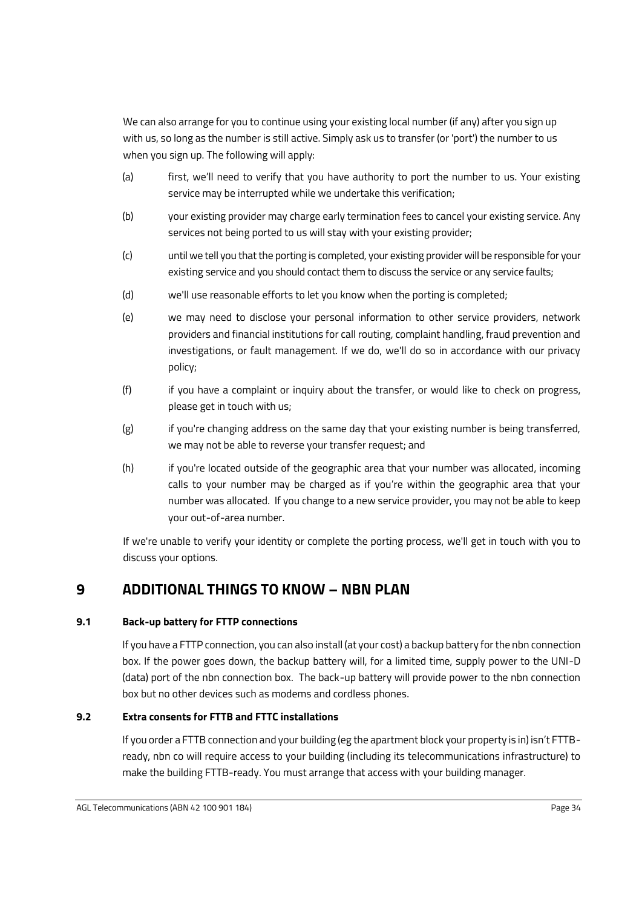We can also arrange for you to continue using your existing local number (if any) after you sign up with us, so long as the number is still active. Simply ask us to transfer (or 'port') the number to us when you sign up. The following will apply:

- (a) first, we'll need to verify that you have authority to port the number to us. Your existing service may be interrupted while we undertake this verification;
- (b) your existing provider may charge early termination fees to cancel your existing service. Any services not being ported to us will stay with your existing provider;
- (c) until we tell you that the porting is completed, your existing provider will be responsible for your existing service and you should contact them to discuss the service or any service faults;
- (d) we'll use reasonable efforts to let you know when the porting is completed;
- (e) we may need to disclose your personal information to other service providers, network providers and financial institutions for call routing, complaint handling, fraud prevention and investigations, or fault management. If we do, we'll do so in accordance with our privacy policy;
- (f) if you have a complaint or inquiry about the transfer, or would like to check on progress, please get in touch with us;
- (g) if you're changing address on the same day that your existing number is being transferred, we may not be able to reverse your transfer request; and
- (h) if you're located outside of the geographic area that your number was allocated, incoming calls to your number may be charged as if you're within the geographic area that your number was allocated. If you change to a new service provider, you may not be able to keep your out-of-area number.

If we're unable to verify your identity or complete the porting process, we'll get in touch with you to discuss your options.

# <span id="page-36-1"></span>**9 ADDITIONAL THINGS TO KNOW – NBN PLAN**

### **9.1 Back-up battery for FTTP connections**

If you have a FTTP connection, you can also install (at your cost) a backup battery for the nbn connection box. If the power goes down, the backup battery will, for a limited time, supply power to the UNI-D (data) port of the nbn connection box. The back-up battery will provide power to the nbn connection box but no other devices such as modems and cordless phones.

### <span id="page-36-0"></span>**9.2 Extra consents for FTTB and FTTC installations**

If you order a FTTB connection and your building (eg the apartment block your property is in) isn't FTTBready, nbn co will require access to your building (including its telecommunications infrastructure) to make the building FTTB-ready. You must arrange that access with your building manager.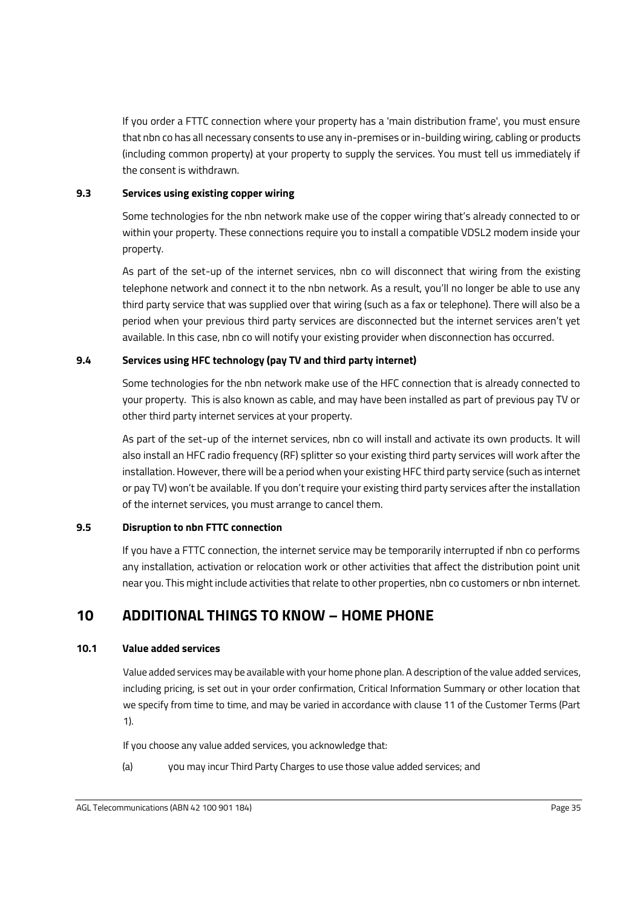If you order a FTTC connection where your property has a 'main distribution frame', you must ensure that nbn co has all necessary consents to use any in-premises or in-building wiring, cabling or products (including common property) at your property to supply the services. You must tell us immediately if the consent is withdrawn.

#### **9.3 Services using existing copper wiring**

Some technologies for the nbn network make use of the copper wiring that's already connected to or within your property. These connections require you to install a compatible VDSL2 modem inside your property.

As part of the set-up of the internet services, nbn co will disconnect that wiring from the existing telephone network and connect it to the nbn network. As a result, you'll no longer be able to use any third party service that was supplied over that wiring (such as a fax or telephone). There will also be a period when your previous third party services are disconnected but the internet services aren't yet available. In this case, nbn co will notify your existing provider when disconnection has occurred.

#### **9.4 Services using HFC technology (pay TV and third party internet)**

Some technologies for the nbn network make use of the HFC connection that is already connected to your property. This is also known as cable, and may have been installed as part of previous pay TV or other third party internet services at your property.

As part of the set-up of the internet services, nbn co will install and activate its own products. It will also install an HFC radio frequency (RF) splitter so your existing third party services will work after the installation. However, there will be a period when your existing HFC third party service (such as internet or pay TV) won't be available. If you don't require your existing third party services after the installation of the internet services, you must arrange to cancel them.

#### **9.5 Disruption to nbn FTTC connection**

If you have a FTTC connection, the internet service may be temporarily interrupted if nbn co performs any installation, activation or relocation work or other activities that affect the distribution point unit near you. This might include activities that relate to other properties, nbn co customers or nbn internet.

# **10 ADDITIONAL THINGS TO KNOW – HOME PHONE**

#### **10.1 Value added services**

Value added services may be available with your home phone plan. A description of the value added services, including pricing, is set out in your order confirmation, Critical Information Summary or other location that we specify from time to time, and may be varied in accordance with clause 11 of the Customer Terms (Part 1).

If you choose any value added services, you acknowledge that:

(a) you may incur Third Party Charges to use those value added services; and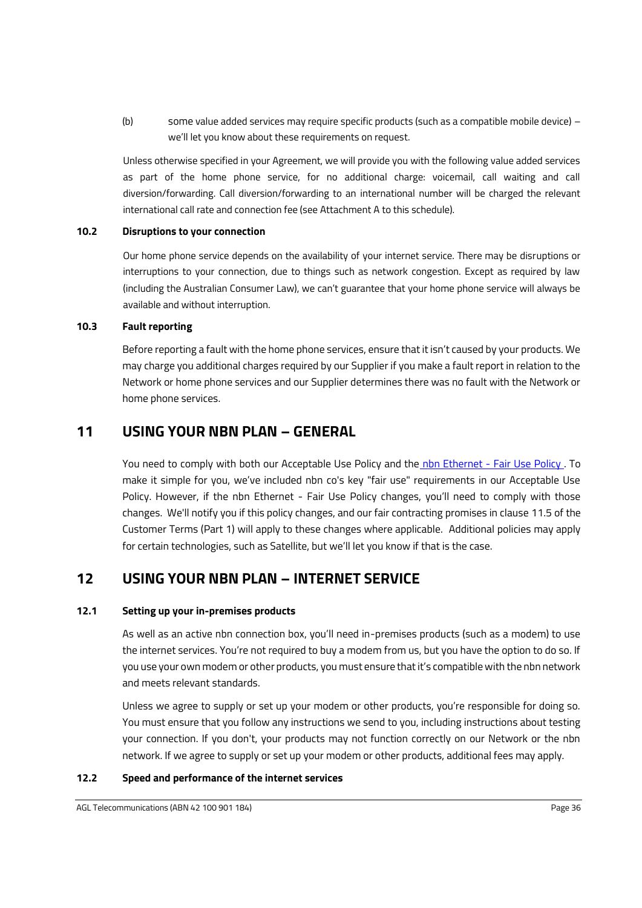(b) some value added services may require specific products (such as a compatible mobile device) – we'll let you know about these requirements on request.

Unless otherwise specified in your Agreement, we will provide you with the following value added services as part of the home phone service, for no additional charge: voicemail, call waiting and call diversion/forwarding. Call diversion/forwarding to an international number will be charged the relevant international call rate and connection fee (see Attachment A to this schedule).

#### **10.2 Disruptions to your connection**

Our home phone service depends on the availability of your internet service. There may be disruptions or interruptions to your connection, due to things such as network congestion. Except as required by law (including the Australian Consumer Law), we can't guarantee that your home phone service will always be available and without interruption.

#### **10.3 Fault reporting**

<span id="page-38-0"></span>Before reporting a fault with the home phone services, ensure that it isn't caused by your products. We may charge you additional charges required by our Supplier if you make a fault report in relation to the Network or home phone services and our Supplier determines there was no fault with the Network or home phone services.

# **11 USING YOUR NBN PLAN – GENERAL**

You need to comply with both our Acceptable Use Policy and the [nbn Ethernet -](https://www.nbnco.com.au/sell-nbn-services/supply-agreements/wba) Fair Use Policy . To make it simple for you, we've included nbn co's key "fair use" requirements in our Acceptable Use Policy. However, if the nbn Ethernet - Fair Use Policy changes, you'll need to comply with those changes. We'll notify you if this policy changes, and our fair contracting promises in clause [11.5](#page-21-3) of the Customer Terms (Part 1) will apply to these changes where applicable. Additional policies may apply for certain technologies, such as Satellite, but we'll let you know if that is the case.

# **12 USING YOUR NBN PLAN – INTERNET SERVICE**

#### **12.1 Setting up your in-premises products**

As well as an active nbn connection box, you'll need in-premises products (such as a modem) to use the internet services. You're not required to buy a modem from us, but you have the option to do so. If you use your own modem or other products, you must ensure that it's compatible with the nbn network and meets relevant standards.

Unless we agree to supply or set up your modem or other products, you're responsible for doing so. You must ensure that you follow any instructions we send to you, including instructions about testing your connection. If you don't, your products may not function correctly on our Network or the nbn network. If we agree to supply or set up your modem or other products, additional fees may apply.

#### **12.2 Speed and performance of the internet services**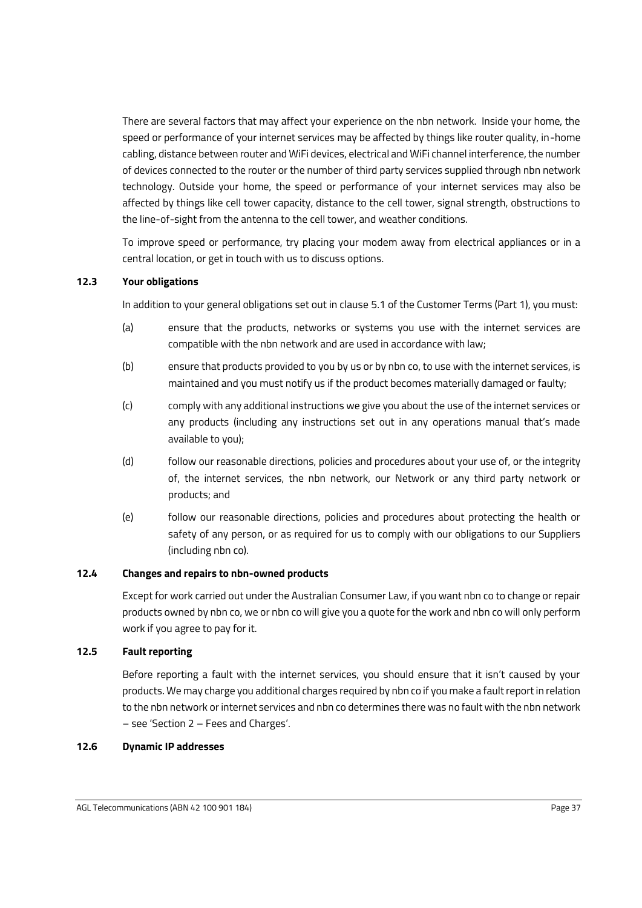There are several factors that may affect your experience on the nbn network. Inside your home, the speed or performance of your internet services may be affected by things like router quality, in-home cabling, distance between router and WiFi devices, electrical and WiFi channel interference, the number of devices connected to the router or the number of third party services supplied through nbn network technology. Outside your home, the speed or performance of your internet services may also be affected by things like cell tower capacity, distance to the cell tower, signal strength, obstructions to the line-of-sight from the antenna to the cell tower, and weather conditions.

To improve speed or performance, try placing your modem away from electrical appliances or in a central location, or get in touch with us to discuss options.

#### <span id="page-39-0"></span>**12.3 Your obligations**

In addition to your general obligations set out in clause [5.1](#page-9-1) of the Customer Terms (Part 1), you must:

- (a) ensure that the products, networks or systems you use with the internet services are compatible with the nbn network and are used in accordance with law;
- (b) ensure that products provided to you by us or by nbn co, to use with the internet services, is maintained and you must notify us if the product becomes materially damaged or faulty;
- (c) comply with any additional instructions we give you about the use of the internet services or any products (including any instructions set out in any operations manual that's made available to you);
- (d) follow our reasonable directions, policies and procedures about your use of, or the integrity of, the internet services, the nbn network, our Network or any third party network or products; and
- (e) follow our reasonable directions, policies and procedures about protecting the health or safety of any person, or as required for us to comply with our obligations to our Suppliers (including nbn co).

#### **12.4 Changes and repairs to nbn-owned products**

Except for work carried out under the Australian Consumer Law, if you want nbn co to change or repair products owned by nbn co, we or nbn co will give you a quote for the work and nbn co will only perform work if you agree to pay for it.

#### **12.5 Fault reporting**

Before reporting a fault with the internet services, you should ensure that it isn't caused by your products. We may charge you additional charges required by nbn co if you make a fault report in relation to the nbn network or internet services and nbn co determines there was no fault with the nbn network – see 'Section 2 – Fees and Charges'.

#### **12.6 Dynamic IP addresses**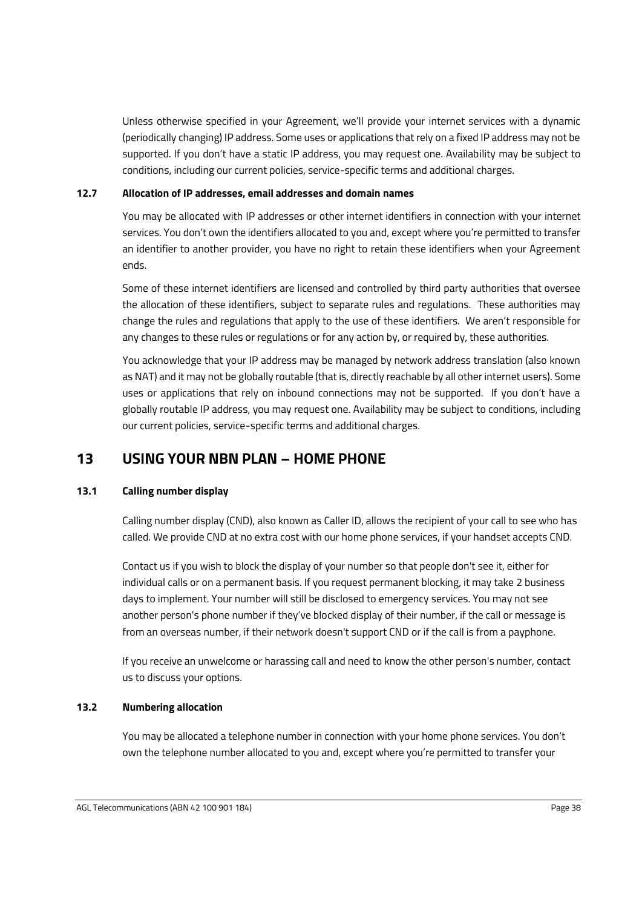Unless otherwise specified in your Agreement, we'll provide your internet services with a dynamic (periodically changing) IP address. Some uses or applications that rely on a fixed IP address may not be supported. If you don't have a static IP address, you may request one. Availability may be subject to conditions, including our current policies, service-specific terms and additional charges.

#### **12.7 Allocation of IP addresses, email addresses and domain names**

You may be allocated with IP addresses or other internet identifiers in connection with your internet services. You don't own the identifiers allocated to you and, except where you're permitted to transfer an identifier to another provider, you have no right to retain these identifiers when your Agreement ends.

Some of these internet identifiers are licensed and controlled by third party authorities that oversee the allocation of these identifiers, subject to separate rules and regulations. These authorities may change the rules and regulations that apply to the use of these identifiers. We aren't responsible for any changes to these rules or regulations or for any action by, or required by, these authorities.

You acknowledge that your IP address may be managed by network address translation (also known as NAT) and it may not be globally routable (that is, directly reachable by all other internet users). Some uses or applications that rely on inbound connections may not be supported. If you don't have a globally routable IP address, you may request one. Availability may be subject to conditions, including our current policies, service-specific terms and additional charges.

# **13 USING YOUR NBN PLAN – HOME PHONE**

#### **13.1 Calling number display**

Calling number display (CND), also known as Caller ID, allows the recipient of your call to see who has called. We provide CND at no extra cost with our home phone services, if your handset accepts CND.

Contact us if you wish to block the display of your number so that people don't see it, either for individual calls or on a permanent basis. If you request permanent blocking, it may take 2 business days to implement. Your number will still be disclosed to emergency services. You may not see another person's phone number if they've blocked display of their number, if the call or message is from an overseas number, if their network doesn't support CND or if the call is from a payphone.

If you receive an unwelcome or harassing call and need to know the other person's number, contact us to discuss your options.

#### <span id="page-40-0"></span>**13.2 Numbering allocation**

You may be allocated a telephone number in connection with your home phone services. You don't own the telephone number allocated to you and, except where you're permitted to transfer your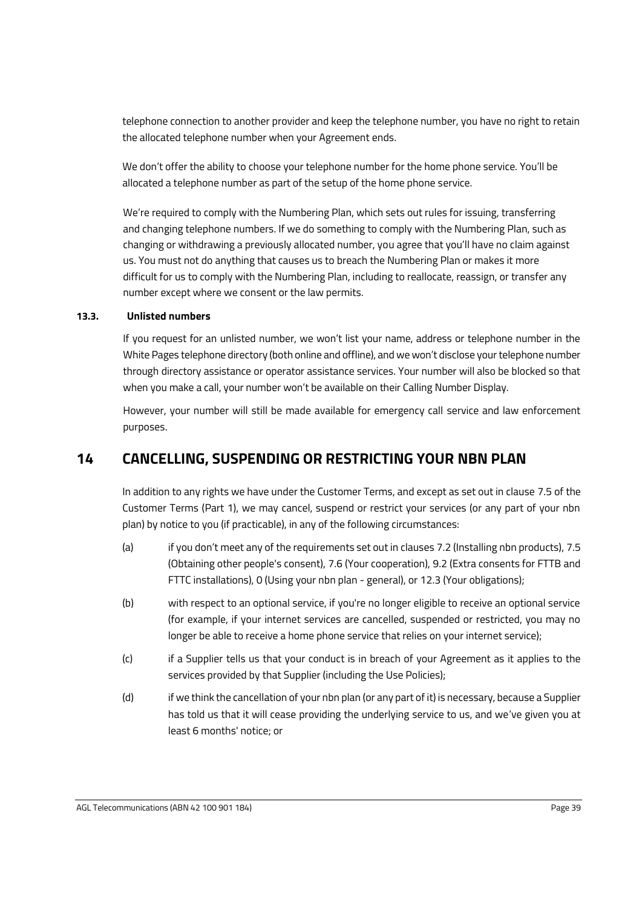telephone connection to another provider and keep the telephone number, you have no right to retain the allocated telephone number when your Agreement ends.

We don't offer the ability to choose your telephone number for the home phone service. You'll be allocated a telephone number as part of the setup of the home phone service.

We're required to comply with the Numbering Plan, which sets out rules for issuing, transferring and changing telephone numbers. If we do something to comply with the Numbering Plan, such as changing or withdrawing a previously allocated number, you agree that you'll have no claim against us. You must not do anything that causes us to breach the Numbering Plan or makes it more difficult for us to comply with the Numbering Plan, including to reallocate, reassign, or transfer any number except where we consent or the law permits.

#### **13.3. Unlisted numbers**

If you request for an unlisted number, we won't list your name, address or telephone number in the White Pages telephone directory (both online and offline), and we won't disclose your telephone number through directory assistance or operator assistance services. Your number will also be blocked so that when you make a call, your number won't be available on their Calling Number Display.

However, your number will still be made available for emergency call service and law enforcement purposes.

# <span id="page-41-2"></span>**14 CANCELLING, SUSPENDING OR RESTRICTING YOUR NBN PLAN**

In addition to any rights we have under the Customer Terms, and except as set out in clause [7.5](#page-16-2) of the Customer Terms (Part 1), we may cancel, suspend or restrict your services (or any part of your nbn plan) by notice to you (if practicable), in any of the following circumstances:

- (a) if you don't meet any of the requirements set out in clauses [7.2](#page-33-0) (Installing nbn products)[, 7.5](#page-34-0) (Obtaining other people's consent), [7.6](#page-34-1) (Your cooperation)[, 9.2](#page-36-0) (Extra consents for FTTB and FTTC installations), [0](#page-38-0) (Using your nbn plan - general), o[r 12.3](#page-39-0) (Your obligations);
- <span id="page-41-0"></span>(b) with respect to an optional service, if you're no longer eligible to receive an optional service (for example, if your internet services are cancelled, suspended or restricted, you may no longer be able to receive a home phone service that relies on your internet service);
- (c) if a Supplier tells us that your conduct is in breach of your Agreement as it applies to the services provided by that Supplier (including the Use Policies);
- <span id="page-41-1"></span>(d) if we think the cancellation of your nbn plan (or any part of it) is necessary, because a Supplier has told us that it will cease providing the underlying service to us, and we've given you at least 6 months' notice; or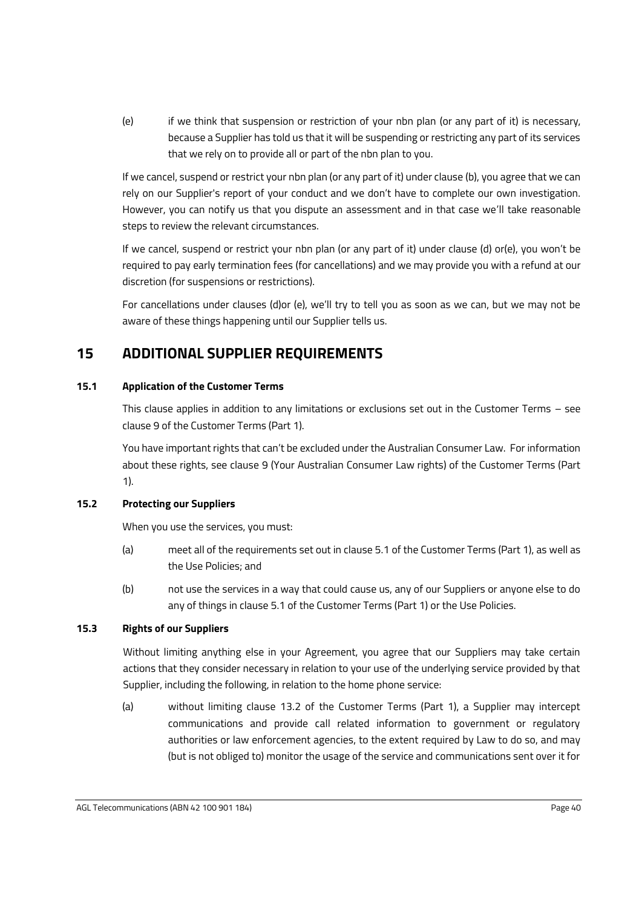<span id="page-42-0"></span>(e) if we think that suspension or restriction of your nbn plan (or any part of it) is necessary, because a Supplier has told us that it will be suspending or restricting any part of its services that we rely on to provide all or part of the nbn plan to you.

If we cancel, suspend or restrict your nbn plan (or any part of it) under clause [\(b\),](#page-41-0) you agree that we can rely on our Supplier's report of your conduct and we don't have to complete our own investigation. However, you can notify us that you dispute an assessment and in that case we'll take reasonable steps to review the relevant circumstances.

If we cancel, suspend or restrict your nbn plan (or any part of it) under clause [\(d\)](#page-41-1) o[r\(e\)](#page-42-0), you won't be required to pay early termination fees (for cancellations) and we may provide you with a refund at our discretion (for suspensions or restrictions).

For cancellations under clauses [\(d\)o](#page-41-1)r [\(e\)](#page-42-0), we'll try to tell you as soon as we can, but we may not be aware of these things happening until our Supplier tells us.

# **15 ADDITIONAL SUPPLIER REQUIREMENTS**

### <span id="page-42-2"></span>**15.1 Application of the Customer Terms**

This clause applies in addition to any limitations or exclusions set out in the Customer Terms – see claus[e 9](#page-19-0) of the Customer Terms (Part 1).

You have important rights that can't be excluded under the Australian Consumer Law. For information about these rights, see clause [9](#page-19-0) (Your Australian Consumer Law rights) of the Customer Terms (Part 1).

#### <span id="page-42-1"></span>**15.2 Protecting our Suppliers**

When you use the services, you must:

- (a) meet all of the requirements set out in clause [5.1](#page-9-1) of the Customer Terms (Part 1), as well as the Use Policies; and
- (b) not use the services in a way that could cause us, any of our Suppliers or anyone else to do any of things in clause [5.1](#page-9-1) of the Customer Terms (Part 1) or the Use Policies.

### <span id="page-42-3"></span>**15.3 Rights of our Suppliers**

Without limiting anything else in your Agreement, you agree that our Suppliers may take certain actions that they consider necessary in relation to your use of the underlying service provided by that Supplier, including the following, in relation to the home phone service:

(a) without limiting clause [13.2](#page-22-3) of the Customer Terms (Part 1), a Supplier may intercept communications and provide call related information to government or regulatory authorities or law enforcement agencies, to the extent required by Law to do so, and may (but is not obliged to) monitor the usage of the service and communications sent over it for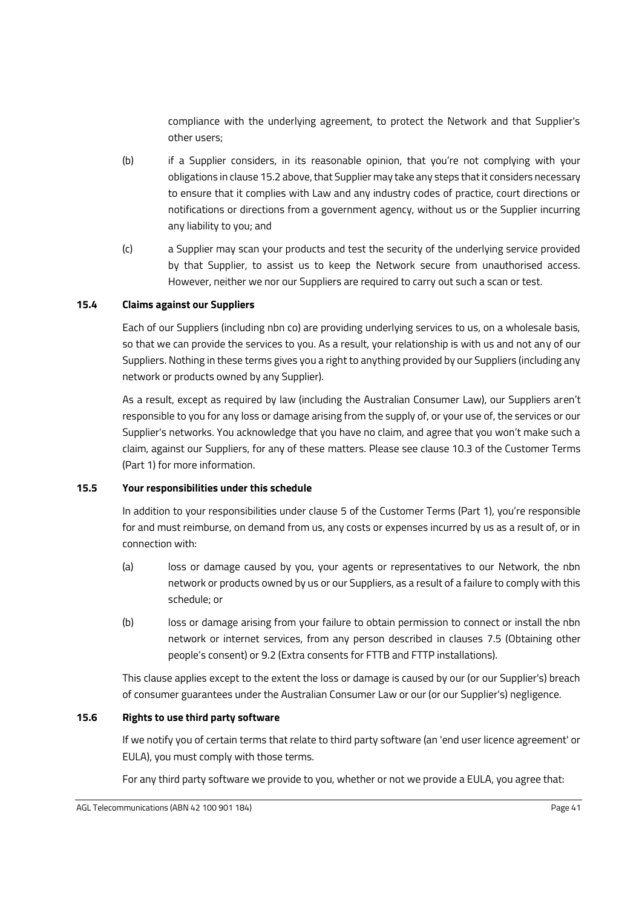compliance with the underlying agreement, to protect the Network and that Supplier's other users;

- (b) if a Supplier considers, in its reasonable opinion, that you're not complying with your obligations in claus[e 15.2](#page-42-1) above, that Supplier may take any steps that it considers necessary to ensure that it complies with Law and any industry codes of practice, court directions or notifications or directions from a government agency, without us or the Supplier incurring any liability to you; and
- (c) a Supplier may scan your products and test the security of the underlying service provided by that Supplier, to assist us to keep the Network secure from unauthorised access. However, neither we nor our Suppliers are required to carry out such a scan or test.

#### <span id="page-43-1"></span>**15.4 Claims against our Suppliers**

Each of our Suppliers (including nbn co) are providing underlying services to us, on a wholesale basis, so that we can provide the services to you. As a result, your relationship is with us and not any of our Suppliers. Nothing in these terms gives you a right to anything provided by our Suppliers (including any network or products owned by any Supplier).

As a result, except as required by law (including the Australian Consumer Law), our Suppliers aren't responsible to you for any loss or damage arising from the supply of, or your use of, the services or our Supplier's networks. You acknowledge that you have no claim, and agree that you won't make such a claim, against our Suppliers, for any of these matters. Please see clause [10.3](#page-20-0) of the Customer Terms (Part 1) for more information.

#### <span id="page-43-2"></span>**15.5 Your responsibilities under this schedule**

In addition to your responsibilities under clause [5](#page-9-0) of the Customer Terms (Part 1), you're responsible for and must reimburse, on demand from us, any costs or expenses incurred by us as a result of, or in connection with:

- (a) loss or damage caused by you, your agents or representatives to our Network, the nbn network or products owned by us or our Suppliers, as a result of a failure to comply with this schedule; or
- (b) loss or damage arising from your failure to obtain permission to connect or install the nbn network or internet services, from any person described in clauses [7.5](#page-34-0) (Obtaining other people's consent) or [9.2](#page-36-0) (Extra consents for FTTB and FTTP installations).

This clause applies except to the extent the loss or damage is caused by our (or our Supplier's) breach of consumer guarantees under the Australian Consumer Law or our (or our Supplier's) negligence.

#### <span id="page-43-0"></span>**15.6 Rights to use third party software**

If we notify you of certain terms that relate to third party software (an 'end user licence agreement' or EULA), you must comply with those terms.

For any third party software we provide to you, whether or not we provide a EULA, you agree that: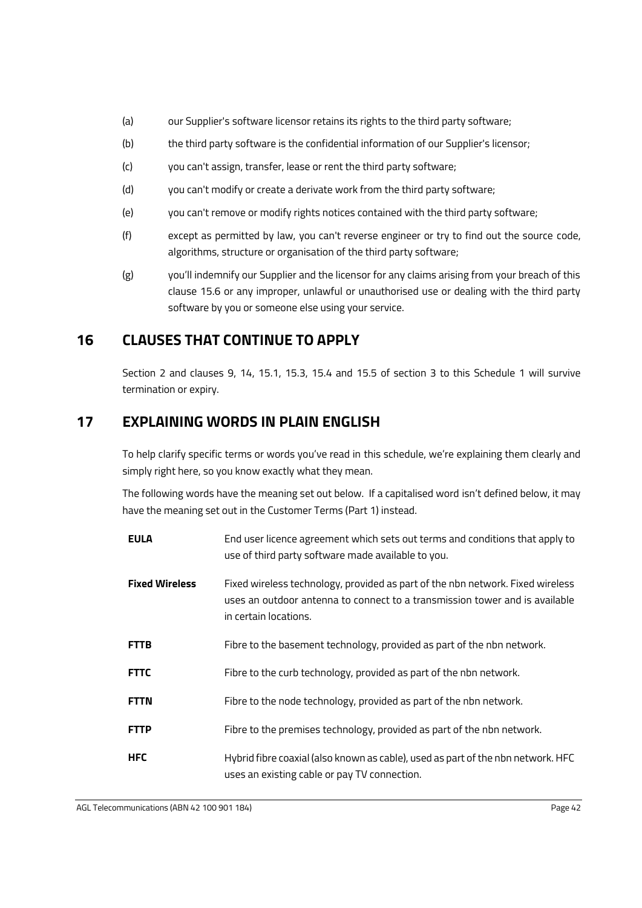- (a) our Supplier's software licensor retains its rights to the third party software;
- (b) the third party software is the confidential information of our Supplier's licensor;
- (c) you can't assign, transfer, lease or rent the third party software;
- (d) you can't modify or create a derivate work from the third party software;
- (e) you can't remove or modify rights notices contained with the third party software;
- (f) except as permitted by law, you can't reverse engineer or try to find out the source code, algorithms, structure or organisation of the third party software;
- (g) you'll indemnify our Supplier and the licensor for any claims arising from your breach of this clause [15.6](#page-43-0) or any improper, unlawful or unauthorised use or dealing with the third party software by you or someone else using your service.

# **16 CLAUSES THAT CONTINUE TO APPLY**

Section 2 and clauses [9,](#page-36-1) [14,](#page-41-2) [15.1,](#page-42-2) [15.3,](#page-42-3) [15.4](#page-43-1) and [15.5](#page-43-2) of section 3 to this [Schedule 1](#page-28-1) will survive termination or expiry.

# <span id="page-44-0"></span>**17 EXPLAINING WORDS IN PLAIN ENGLISH**

To help clarify specific terms or words you've read in this schedule, we're explaining them clearly and simply right here, so you know exactly what they mean.

The following words have the meaning set out below. If a capitalised word isn't defined below, it may have the meaning set out in the Customer Terms (Part 1) instead.

| <b>EULA</b>           | End user licence agreement which sets out terms and conditions that apply to<br>use of third party software made available to you.                                                     |
|-----------------------|----------------------------------------------------------------------------------------------------------------------------------------------------------------------------------------|
| <b>Fixed Wireless</b> | Fixed wireless technology, provided as part of the nbn network. Fixed wireless<br>uses an outdoor antenna to connect to a transmission tower and is available<br>in certain locations. |
| <b>FTTB</b>           | Fibre to the basement technology, provided as part of the nbn network.                                                                                                                 |
| <b>FTTC</b>           | Fibre to the curb technology, provided as part of the nbn network.                                                                                                                     |
| <b>FTTN</b>           | Fibre to the node technology, provided as part of the nbn network.                                                                                                                     |
| <b>FTTP</b>           | Fibre to the premises technology, provided as part of the nbn network.                                                                                                                 |
| <b>HFC</b>            | Hybrid fibre coaxial (also known as cable), used as part of the nbn network. HFC<br>uses an existing cable or pay TV connection.                                                       |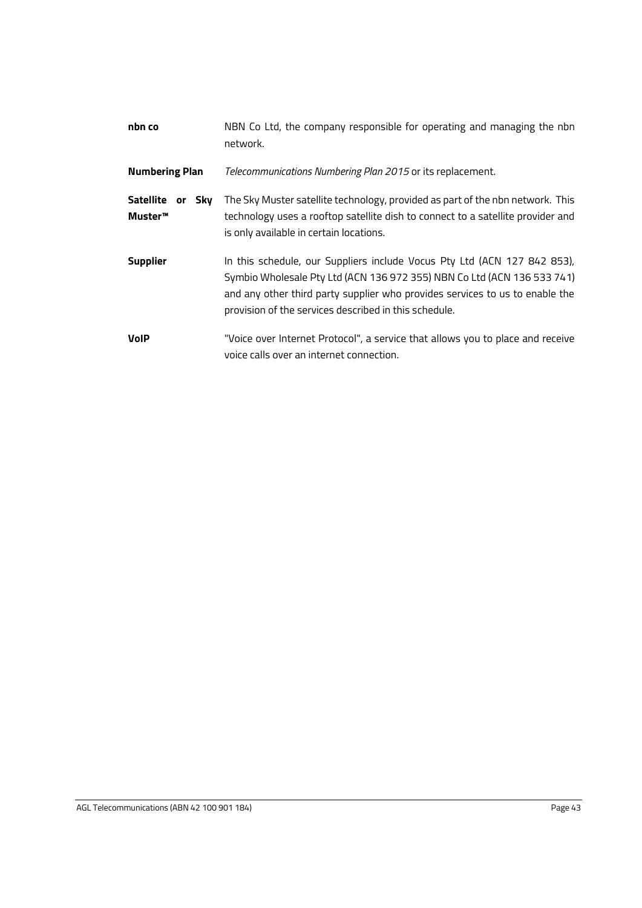| nbn co                                | NBN Co Ltd, the company responsible for operating and managing the nbn<br>network.                                                                                                                                                                                                           |
|---------------------------------------|----------------------------------------------------------------------------------------------------------------------------------------------------------------------------------------------------------------------------------------------------------------------------------------------|
| <b>Numbering Plan</b>                 | Telecommunications Numbering Plan 2015 or its replacement.                                                                                                                                                                                                                                   |
| Satellite or<br><b>Sky</b><br>Muster™ | The Sky Muster satellite technology, provided as part of the nbn network. This<br>technology uses a rooftop satellite dish to connect to a satellite provider and<br>is only available in certain locations.                                                                                 |
| <b>Supplier</b>                       | In this schedule, our Suppliers include Vocus Pty Ltd (ACN 127 842 853),<br>Symbio Wholesale Pty Ltd (ACN 136 972 355) NBN Co Ltd (ACN 136 533 741)<br>and any other third party supplier who provides services to us to enable the<br>provision of the services described in this schedule. |
| <b>VolP</b>                           | "Voice over Internet Protocol", a service that allows you to place and receive<br>voice calls over an internet connection.                                                                                                                                                                   |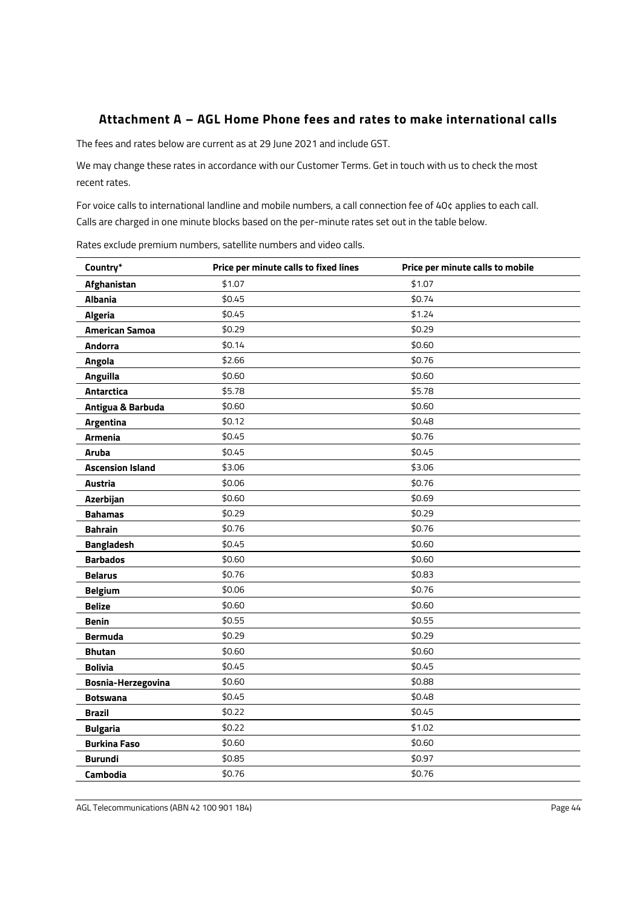### **Attachment A – AGL Home Phone fees and rates to make international calls**

The fees and rates below are current as at 29 June 2021 and include GST.

We may change these rates in accordance with our Customer Terms. Get in touch with us to check the most recent rates.

For voice calls to international landline and mobile numbers, a call connection fee of 40¢ applies to each call. Calls are charged in one minute blocks based on the per-minute rates set out in the table below.

**Country\* Price per minute calls to fixed lines Price per minute calls to mobile Afghanistan** \$1.07 \$1.07 **Albania** \$0.45 \$0.45 \$0.74 **Algeria** \$0.45 \$1.24 **American Samoa** \$0.29 \$0.29 \$0.29 **Andorra** \$0.14 \$0.14 \$0.60 **Angola** \$2.66 \$0.76 **Anguilla** \$0.60 \$0.60 \$0.60 **Antarctica** \$5.78 \$5.78 **Antigua & Barbuda**  $$0.60$   $$0.60$ **Argentina**  $$0.12$   $$0.48$ **Armenia**  $$0.45$   $$0.76$ **Aruba** \$0.45 \$0.45 **Ascension Island** \$3.06 \$3.06 **Austria** \$0.06 \$0.76 **Azerbijan** \$0.60 \$0.60 \$0.69 **Bahamas**  $$0.29$   $$0.29$ **Bahrain** \$0.76 \$0.76 \$0.76 **Bangladesh**  $$0.45$   $$0.60$ **Barbados** \$0.60 \$0.60 \$0.60 **Belarus** \$0.76 \$0.83 **Belgium**  $$0.06$   $$0.76$ **Belize** \$0.60 \$0.60 \$0.60 **Benin** \$0.55 \$0.55 **Bermuda** \$0.29 \$0.29 **Bhutan** \$0.60 \$0.60 \$0.60 **Bolivia** \$0.45 \$0.45 **Bosnia-Herzegovina** \$0.60 \$0.88 **Botswana** \$0.45 \$0.49 **Brazil** \$0.22 \$0.45 **Bulgaria** \$0.22 \$1.02 **Burkina Faso**  $$0.60$   $$0.60$ **Burundi** \$0.85 \$0.97 **Cambodia** \$0.76 \$0.76 \$0.76

Rates exclude premium numbers, satellite numbers and video calls.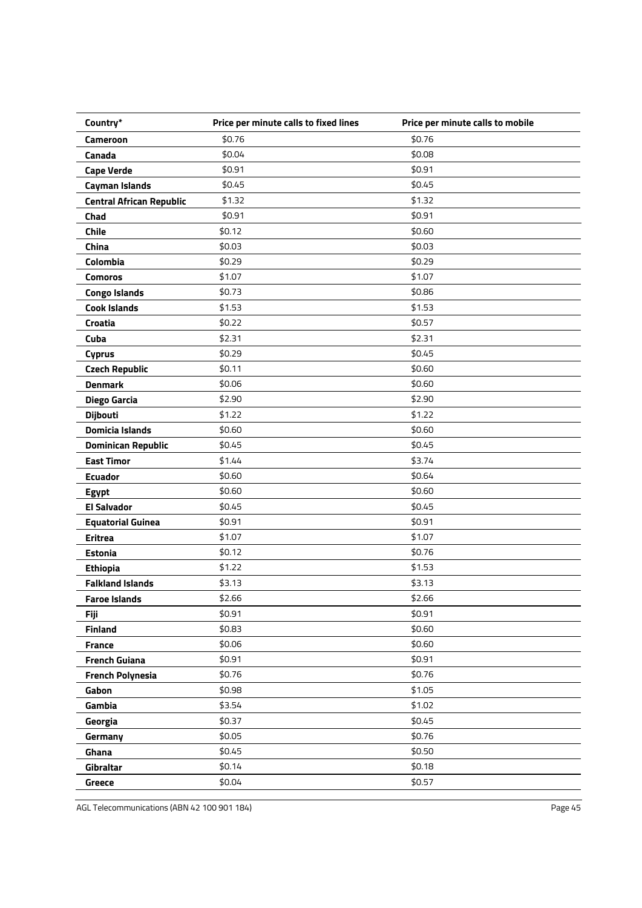| Country*                        | Price per minute calls to fixed lines | Price per minute calls to mobile |
|---------------------------------|---------------------------------------|----------------------------------|
| Cameroon                        | \$0.76                                | \$0.76                           |
| Canada                          | \$0.04                                | \$0.08                           |
| <b>Cape Verde</b>               | \$0.91                                | \$0.91                           |
| <b>Cayman Islands</b>           | \$0.45                                | \$0.45                           |
| <b>Central African Republic</b> | \$1.32                                | \$1.32                           |
| Chad                            | \$0.91                                | \$0.91                           |
| <b>Chile</b>                    | \$0.12                                | \$0.60                           |
| China                           | \$0.03                                | \$0.03                           |
| Colombia                        | \$0.29                                | \$0.29                           |
| <b>Comoros</b>                  | \$1.07                                | \$1.07                           |
| <b>Congo Islands</b>            | \$0.73                                | \$0.86                           |
| <b>Cook Islands</b>             | \$1.53                                | \$1.53                           |
| Croatia                         | \$0.22                                | \$0.57                           |
| Cuba                            | \$2.31                                | \$2.31                           |
| <b>Cyprus</b>                   | \$0.29                                | \$0.45                           |
| <b>Czech Republic</b>           | \$0.11                                | \$0.60                           |
| <b>Denmark</b>                  | \$0.06                                | \$0.60                           |
| Diego Garcia                    | \$2.90                                | \$2.90                           |
| <b>Dijbouti</b>                 | \$1.22                                | \$1.22                           |
| <b>Domicia Islands</b>          | \$0.60                                | \$0.60                           |
| <b>Dominican Republic</b>       | \$0.45                                | \$0.45                           |
| <b>East Timor</b>               | \$1.44                                | \$3.74                           |
| <b>Ecuador</b>                  | \$0.60                                | \$0.64                           |
| <b>Egypt</b>                    | \$0.60                                | \$0.60                           |
| <b>El Salvador</b>              | \$0.45                                | \$0.45                           |
| <b>Equatorial Guinea</b>        | \$0.91                                | \$0.91                           |
| <b>Eritrea</b>                  | \$1.07                                | \$1.07                           |
| <b>Estonia</b>                  | \$0.12                                | \$0.76                           |
| <b>Ethiopia</b>                 | \$1.22                                | \$1.53                           |
| <b>Falkland Islands</b>         | \$3.13                                | \$3.13                           |
| <b>Faroe Islands</b>            | \$2.66                                | \$2.66                           |
| <b>Fiji</b>                     | \$0.91                                | \$0.91                           |
| <b>Finland</b>                  | \$0.83                                | \$0.60                           |
| <b>France</b>                   | \$0.06                                | \$0.60                           |
| <b>French Guiana</b>            | \$0.91                                | \$0.91                           |
| <b>French Polynesia</b>         | \$0.76                                | \$0.76                           |
| Gabon                           | \$0.98                                | \$1.05                           |
| Gambia                          | \$3.54                                | \$1.02                           |
| Georgia                         | \$0.37                                | \$0.45                           |
| Germany                         | \$0.05                                | \$0.76                           |
| Ghana                           | \$0.45                                | \$0.50                           |
| Gibraltar                       | \$0.14                                | \$0.18                           |
| <b>Greece</b>                   | \$0.04                                | \$0.57                           |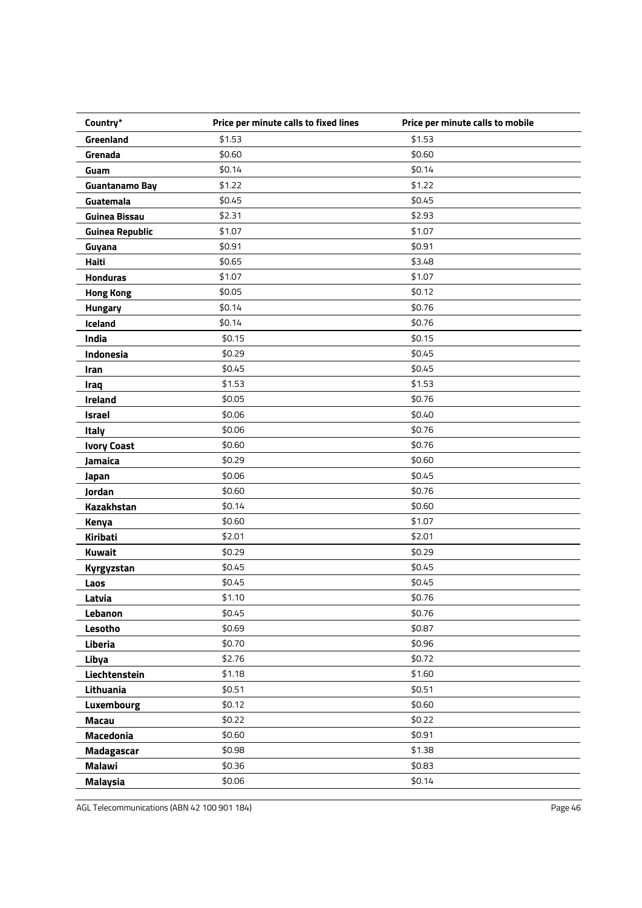| Country*               | Price per minute calls to fixed lines | Price per minute calls to mobile |
|------------------------|---------------------------------------|----------------------------------|
| Greenland              | \$1.53                                | \$1.53                           |
| Grenada                | \$0.60                                | \$0.60                           |
| Guam                   | \$0.14                                | \$0.14                           |
| <b>Guantanamo Bay</b>  | \$1.22                                | \$1.22                           |
| Guatemala              | \$0.45                                | \$0.45                           |
| <b>Guinea Bissau</b>   | \$2.31                                | \$2.93                           |
| <b>Guinea Republic</b> | \$1.07                                | \$1.07                           |
| Guyana                 | \$0.91                                | \$0.91                           |
| Haiti                  | \$0.65                                | \$3.48                           |
| <b>Honduras</b>        | \$1.07                                | \$1.07                           |
| <b>Hong Kong</b>       | \$0.05                                | \$0.12                           |
| Hungary                | \$0.14                                | \$0.76                           |
| Iceland                | \$0.14                                | \$0.76                           |
| India                  | \$0.15                                | \$0.15                           |
| Indonesia              | \$0.29                                | \$0.45                           |
| Iran                   | \$0.45                                | \$0.45                           |
| Iraq                   | \$1.53                                | \$1.53                           |
| Ireland                | \$0.05                                | \$0.76                           |
| <b>Israel</b>          | \$0.06                                | \$0.40                           |
| Italy                  | \$0.06                                | \$0.76                           |
| <b>Ivory Coast</b>     | \$0.60                                | \$0.76                           |
| Jamaica                | \$0.29                                | \$0.60                           |
| Japan                  | \$0.06                                | \$0.45                           |
| Jordan                 | \$0.60                                | \$0.76                           |
| Kazakhstan             | \$0.14                                | \$0.60                           |
| Kenya                  | \$0.60                                | \$1.07                           |
| Kiribati               | \$2.01                                | \$2.01                           |
| <b>Kuwait</b>          | \$0.29                                | \$0.29                           |
| Kyrgyzstan             | \$0.45                                | \$0.45                           |
| Laos                   | \$0.45                                | \$0.45                           |
| Latvia                 | \$1.10                                | \$0.76                           |
| Lebanon                | \$0.45                                | \$0.76                           |
| Lesotho                | \$0.69                                | \$0.87                           |
| Liberia                | \$0.70                                | \$0.96                           |
| Libya                  | \$2.76                                | \$0.72                           |
| Liechtenstein          | \$1.18                                | \$1.60                           |
| Lithuania              | \$0.51                                | \$0.51                           |
| Luxembourg             | \$0.12                                | \$0.60                           |
| <b>Macau</b>           | \$0.22                                | \$0.22                           |
| <b>Macedonia</b>       | \$0.60                                | \$0.91                           |
| <b>Madagascar</b>      | \$0.98                                | \$1.38                           |
| <b>Malawi</b>          | \$0.36                                | \$0.83                           |
| <b>Malaysia</b>        | \$0.06                                | \$0.14                           |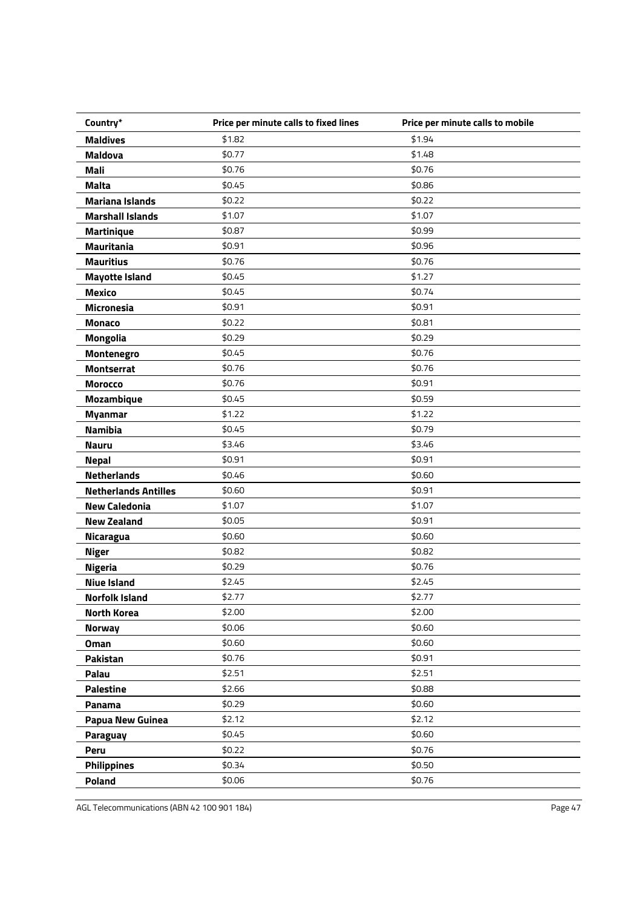| Country*                    | Price per minute calls to fixed lines | Price per minute calls to mobile |
|-----------------------------|---------------------------------------|----------------------------------|
| <b>Maldives</b>             | \$1.82                                | \$1.94                           |
| <b>Maldova</b>              | \$0.77                                | \$1.48                           |
| Mali                        | \$0.76                                | \$0.76                           |
| <b>Malta</b>                | \$0.45                                | \$0.86                           |
| <b>Mariana Islands</b>      | \$0.22                                | \$0.22                           |
| <b>Marshall Islands</b>     | \$1.07                                | \$1.07                           |
| <b>Martinique</b>           | \$0.87                                | \$0.99                           |
| <b>Mauritania</b>           | \$0.91                                | \$0.96                           |
| <b>Mauritius</b>            | \$0.76                                | \$0.76                           |
| <b>Mayotte Island</b>       | \$0.45                                | \$1.27                           |
| <b>Mexico</b>               | \$0.45                                | \$0.74                           |
| Micronesia                  | \$0.91                                | \$0.91                           |
| <b>Monaco</b>               | \$0.22                                | \$0.81                           |
| <b>Mongolia</b>             | \$0.29                                | \$0.29                           |
| Montenegro                  | \$0.45                                | \$0.76                           |
| <b>Montserrat</b>           | \$0.76                                | \$0.76                           |
| <b>Morocco</b>              | \$0.76                                | \$0.91                           |
| <b>Mozambique</b>           | \$0.45                                | \$0.59                           |
| <b>Myanmar</b>              | \$1.22                                | \$1.22                           |
| <b>Namibia</b>              | \$0.45                                | \$0.79                           |
| <b>Nauru</b>                | \$3.46                                | \$3.46                           |
| <b>Nepal</b>                | \$0.91                                | \$0.91                           |
| <b>Netherlands</b>          | \$0.46                                | \$0.60                           |
| <b>Netherlands Antilles</b> | \$0.60                                | \$0.91                           |
| <b>New Caledonia</b>        | \$1.07                                | \$1.07                           |
| <b>New Zealand</b>          | \$0.05                                | \$0.91                           |
| <b>Nicaragua</b>            | \$0.60                                | \$0.60                           |
| <b>Niger</b>                | \$0.82                                | \$0.82                           |
| <b>Nigeria</b>              | \$0.29                                | \$0.76                           |
| <b>Niue Island</b>          | \$2.45                                | \$2.45                           |
| Norfolk Island              | \$2.77                                | \$2.77                           |
| <b>North Korea</b>          | \$2.00                                | \$2.00                           |
| <b>Norway</b>               | \$0.06                                | \$0.60                           |
| <b>Oman</b>                 | \$0.60                                | \$0.60                           |
| Pakistan                    | \$0.76                                | \$0.91                           |
| Palau                       | \$2.51                                | \$2.51                           |
| <b>Palestine</b>            | \$2.66                                | \$0.88                           |
| Panama                      | \$0.29                                | \$0.60                           |
| <b>Papua New Guinea</b>     | \$2.12                                | \$2.12                           |
| Paraguay                    | \$0.45                                | \$0.60                           |
| Peru                        | \$0.22                                | \$0.76                           |
| <b>Philippines</b>          | \$0.34                                | \$0.50                           |
| Poland                      | \$0.06                                | \$0.76                           |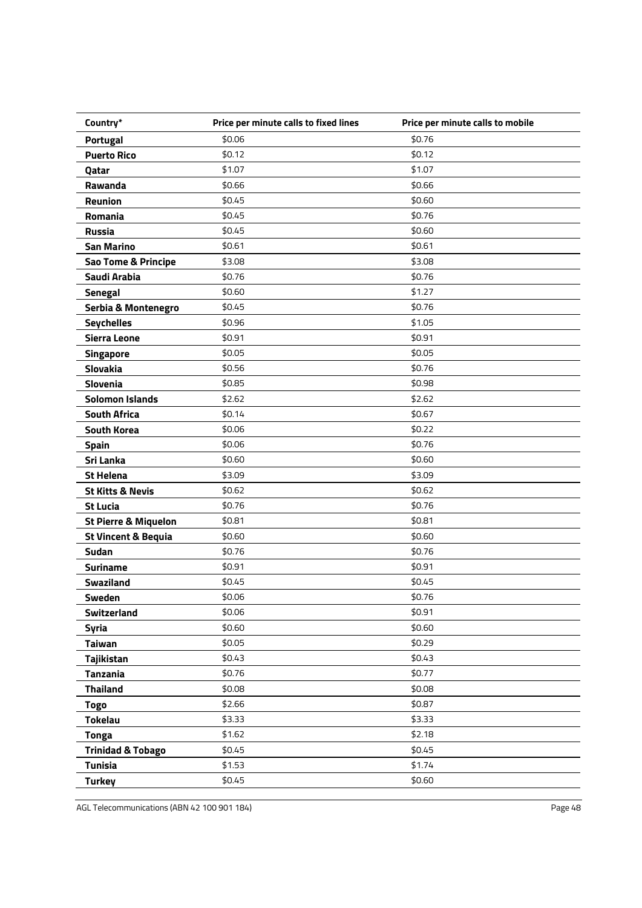| Country*                        | Price per minute calls to fixed lines | Price per minute calls to mobile |
|---------------------------------|---------------------------------------|----------------------------------|
| <b>Portugal</b>                 | \$0.06                                | \$0.76                           |
| <b>Puerto Rico</b>              | \$0.12                                | \$0.12                           |
| Qatar                           | \$1.07                                | \$1.07                           |
| Rawanda                         | \$0.66                                | \$0.66                           |
| Reunion                         | \$0.45                                | \$0.60                           |
| Romania                         | \$0.45                                | \$0.76                           |
| <b>Russia</b>                   | \$0.45                                | \$0.60                           |
| <b>San Marino</b>               | \$0.61                                | \$0.61                           |
| Sao Tome & Principe             | \$3.08                                | \$3.08                           |
| Saudi Arabia                    | \$0.76                                | \$0.76                           |
| <b>Senegal</b>                  | \$0.60                                | \$1.27                           |
| Serbia & Montenegro             | \$0.45                                | \$0.76                           |
| <b>Seychelles</b>               | \$0.96                                | \$1.05                           |
| <b>Sierra Leone</b>             | \$0.91                                | \$0.91                           |
| <b>Singapore</b>                | \$0.05                                | \$0.05                           |
| <b>Slovakia</b>                 | \$0.56                                | \$0.76                           |
| Slovenia                        | \$0.85                                | \$0.98                           |
| <b>Solomon Islands</b>          | \$2.62                                | \$2.62                           |
| <b>South Africa</b>             | \$0.14                                | \$0.67                           |
| <b>South Korea</b>              | \$0.06                                | \$0.22                           |
| <b>Spain</b>                    | \$0.06                                | \$0.76                           |
| Sri Lanka                       | \$0.60                                | \$0.60                           |
| <b>St Helena</b>                | \$3.09                                | \$3.09                           |
| <b>St Kitts &amp; Nevis</b>     | \$0.62                                | \$0.62                           |
| <b>St Lucia</b>                 | \$0.76                                | \$0.76                           |
| <b>St Pierre &amp; Miquelon</b> | \$0.81                                | \$0.81                           |
| <b>St Vincent &amp; Bequia</b>  | \$0.60                                | \$0.60                           |
| Sudan                           | \$0.76                                | \$0.76                           |
| <b>Suriname</b>                 | \$0.91                                | \$0.91                           |
| <b>Swaziland</b>                | \$0.45                                | \$0.45                           |
| Sweden                          | \$0.06                                | \$0.76                           |
| Switzerland                     | \$0.06                                | \$0.91                           |
| Syria                           | \$0.60                                | \$0.60                           |
| Taiwan                          | \$0.05                                | \$0.29                           |
| Tajikistan                      | \$0.43                                | \$0.43                           |
| <b>Tanzania</b>                 | \$0.76                                | \$0.77                           |
| <b>Thailand</b>                 | \$0.08                                | \$0.08                           |
| <b>Togo</b>                     | \$2.66                                | \$0.87                           |
| <b>Tokelau</b>                  | \$3.33                                | \$3.33                           |
| <b>Tonga</b>                    | \$1.62                                | \$2.18                           |
| <b>Trinidad &amp; Tobago</b>    | \$0.45                                | \$0.45                           |
| <b>Tunisia</b>                  | \$1.53                                | \$1.74                           |
| <b>Turkey</b>                   | \$0.45                                | \$0.60                           |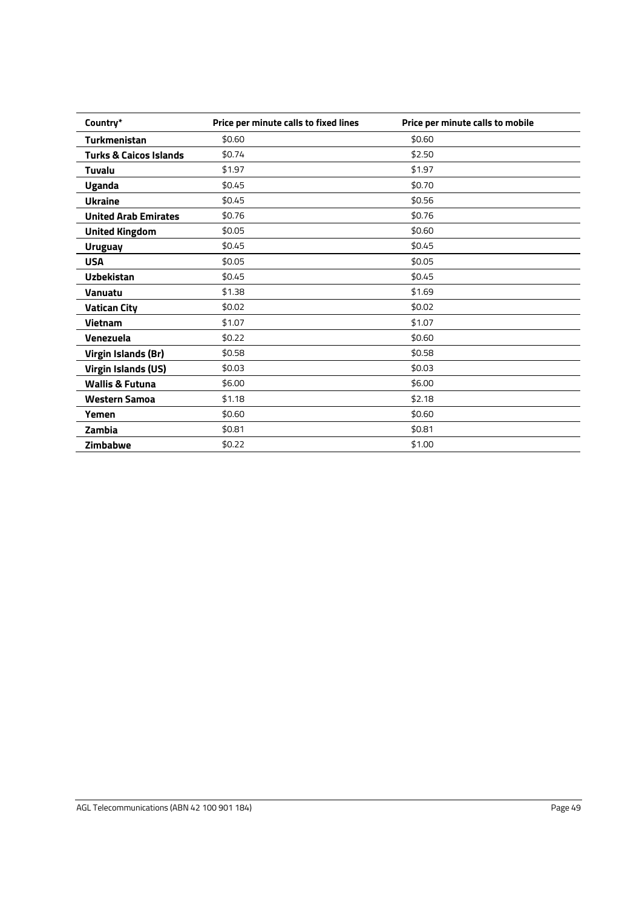| Country*                          | Price per minute calls to fixed lines | Price per minute calls to mobile |
|-----------------------------------|---------------------------------------|----------------------------------|
| <b>Turkmenistan</b>               | \$0.60                                | \$0.60                           |
| <b>Turks &amp; Caicos Islands</b> | \$0.74                                | \$2.50                           |
| Tuvalu                            | \$1.97                                | \$1.97                           |
| <b>Uganda</b>                     | \$0.45                                | \$0.70                           |
| <b>Ukraine</b>                    | \$0.45                                | \$0.56                           |
| <b>United Arab Emirates</b>       | \$0.76                                | \$0.76                           |
| <b>United Kingdom</b>             | \$0.05                                | \$0.60                           |
| <b>Uruguay</b>                    | \$0.45                                | \$0.45                           |
| <b>USA</b>                        | \$0.05                                | \$0.05                           |
| <b>Uzbekistan</b>                 | \$0.45                                | \$0.45                           |
| <b>Vanuatu</b>                    | \$1.38                                | \$1.69                           |
| <b>Vatican City</b>               | \$0.02                                | \$0.02                           |
| <b>Vietnam</b>                    | \$1.07                                | \$1.07                           |
| Venezuela                         | \$0.22                                | \$0.60                           |
| Virgin Islands (Br)               | \$0.58                                | \$0.58                           |
| <b>Virgin Islands (US)</b>        | \$0.03                                | \$0.03                           |
| <b>Wallis &amp; Futuna</b>        | \$6.00                                | \$6.00                           |
| <b>Western Samoa</b>              | \$1.18                                | \$2.18                           |
| Yemen                             | \$0.60                                | \$0.60                           |
| Zambia                            | \$0.81                                | \$0.81                           |
| Zimbabwe                          | \$0.22                                | \$1.00                           |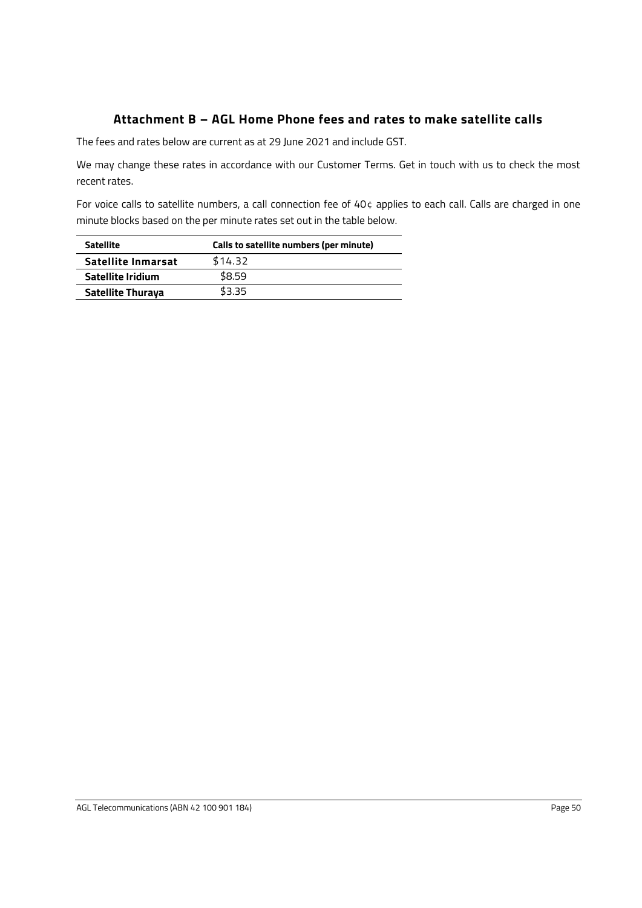# **Attachment B – AGL Home Phone fees and rates to make satellite calls**

The fees and rates below are current as at 29 June 2021 and include GST.

We may change these rates in accordance with our Customer Terms. Get in touch with us to check the most recent rates.

For voice calls to satellite numbers, a call connection fee of 40¢ applies to each call. Calls are charged in one minute blocks based on the per minute rates set out in the table below.

| <b>Satellite</b>         | Calls to satellite numbers (per minute) |
|--------------------------|-----------------------------------------|
| Satellite Inmarsat       | \$14.32                                 |
| Satellite Iridium        | \$8.59                                  |
| <b>Satellite Thuraya</b> | \$3.35                                  |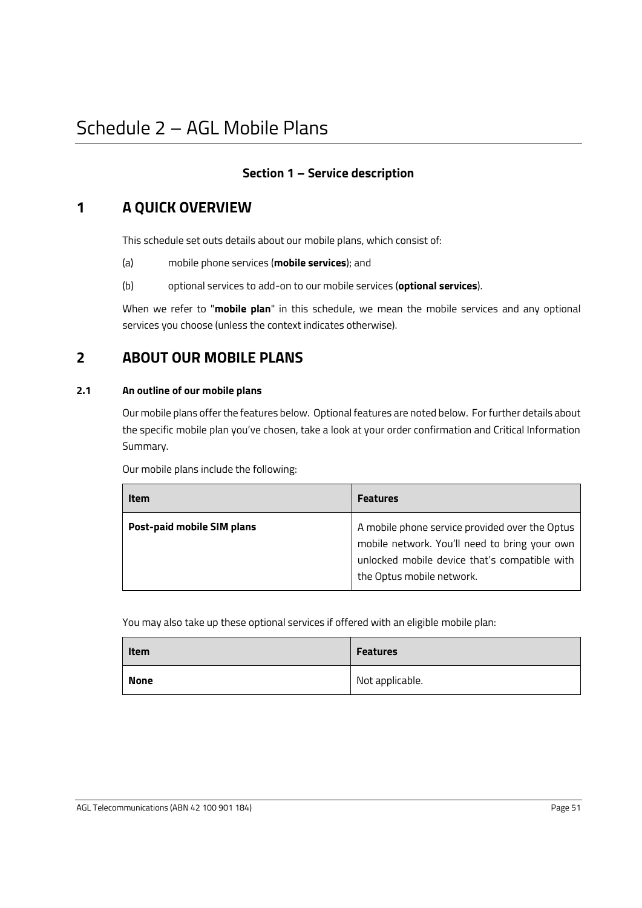# <span id="page-53-0"></span>**Section 1 – Service description**

# **1 A QUICK OVERVIEW**

This schedule set outs details about our mobile plans, which consist of:

- (a) mobile phone services (**mobile services**); and
- (b) optional services to add-on to our mobile services (**optional services**).

When we refer to "**mobile plan**" in this schedule, we mean the mobile services and any optional services you choose (unless the context indicates otherwise).

# **2 ABOUT OUR MOBILE PLANS**

#### **2.1 An outline of our mobile plans**

Our mobile plans offer the features below. Optional features are noted below. For further details about the specific mobile plan you've chosen, take a look at your order confirmation and Critical Information Summary.

Our mobile plans include the following:

| Item                              | <b>Features</b>                                                                                                                                                               |
|-----------------------------------|-------------------------------------------------------------------------------------------------------------------------------------------------------------------------------|
| <b>Post-paid mobile SIM plans</b> | A mobile phone service provided over the Optus<br>mobile network. You'll need to bring your own<br>unlocked mobile device that's compatible with<br>the Optus mobile network. |

You may also take up these optional services if offered with an eligible mobile plan:

| Item        | <b>Features</b> |
|-------------|-----------------|
| <b>None</b> | Not applicable. |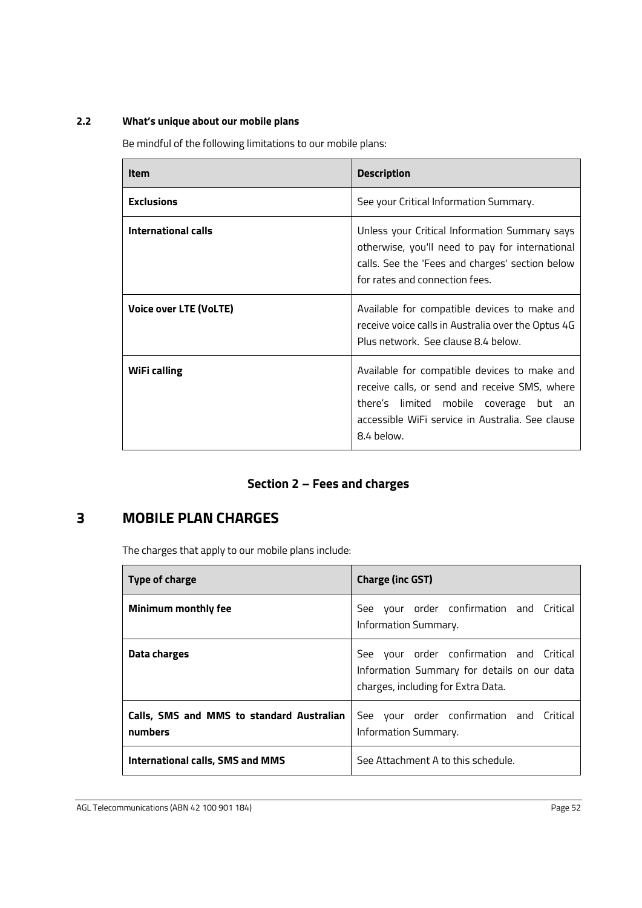#### **2.2 What's unique about our mobile plans**

Be mindful of the following limitations to our mobile plans:

| Item                   | <b>Description</b>                                                                                                                                                                                        |
|------------------------|-----------------------------------------------------------------------------------------------------------------------------------------------------------------------------------------------------------|
| <b>Exclusions</b>      | See your Critical Information Summary.                                                                                                                                                                    |
| International calls    | Unless your Critical Information Summary says<br>otherwise, you'll need to pay for international<br>calls. See the 'Fees and charges' section below<br>for rates and connection fees.                     |
| Voice over LTE (VoLTE) | Available for compatible devices to make and<br>receive voice calls in Australia over the Optus 4G<br>Plus network. See clause 8.4 below.                                                                 |
| WiFi calling           | Available for compatible devices to make and<br>receive calls, or send and receive SMS, where<br>there's limited mobile coverage but an<br>accessible WiFi service in Australia. See clause<br>8.4 below. |

# **Section 2 – Fees and charges**

# **3 MOBILE PLAN CHARGES**

The charges that apply to our mobile plans include:

| Type of charge                                       | <b>Charge (inc GST)</b>                                                                                                       |
|------------------------------------------------------|-------------------------------------------------------------------------------------------------------------------------------|
| Minimum monthly fee                                  | See your order confirmation and Critical<br>Information Summary.                                                              |
| Data charges                                         | See your order confirmation and Critical<br>Information Summary for details on our data<br>charges, including for Extra Data. |
| Calls, SMS and MMS to standard Australian<br>numbers | See your order confirmation and Critical<br>Information Summary.                                                              |
| International calls, SMS and MMS                     | See Attachment A to this schedule.                                                                                            |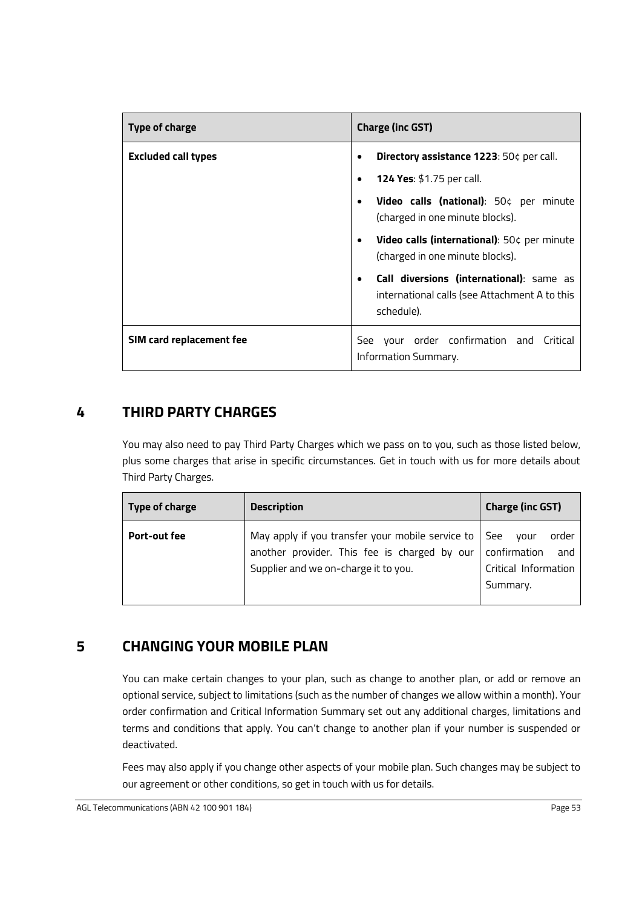| Type of charge             | <b>Charge (inc GST)</b>                                                                                              |
|----------------------------|----------------------------------------------------------------------------------------------------------------------|
| <b>Excluded call types</b> | Directory assistance 1223: 50¢ per call.<br>$\bullet$                                                                |
|                            | 124 Yes: \$1.75 per call.<br>$\bullet$                                                                               |
|                            | Video calls (national): 50¢ per minute<br>$\bullet$<br>(charged in one minute blocks).                               |
|                            | Video calls (international): 50¢ per minute<br>$\bullet$<br>(charged in one minute blocks).                          |
|                            | Call diversions (international): same as<br>$\bullet$<br>international calls (see Attachment A to this<br>schedule). |
| SIM card replacement fee   | See your order confirmation and Critical<br>Information Summary.                                                     |

# **4 THIRD PARTY CHARGES**

You may also need to pay Third Party Charges which we pass on to you, such as those listed below, plus some charges that arise in specific circumstances. Get in touch with us for more details about Third Party Charges.

| <b>Type of charge</b> | <b>Description</b>                                                                                                                       | <b>Charge (inc GST)</b>                                                         |
|-----------------------|------------------------------------------------------------------------------------------------------------------------------------------|---------------------------------------------------------------------------------|
| Port-out fee          | May apply if you transfer your mobile service to<br>another provider. This fee is charged by our<br>Supplier and we on-charge it to you. | See<br>order<br>vour<br>confirmation<br>and<br>Critical Information<br>Summary. |

# **5 CHANGING YOUR MOBILE PLAN**

You can make certain changes to your plan, such as change to another plan, or add or remove an optional service, subject to limitations (such as the number of changes we allow within a month). Your order confirmation and Critical Information Summary set out any additional charges, limitations and terms and conditions that apply. You can't change to another plan if your number is suspended or deactivated.

Fees may also apply if you change other aspects of your mobile plan. Such changes may be subject to our agreement or other conditions, so get in touch with us for details.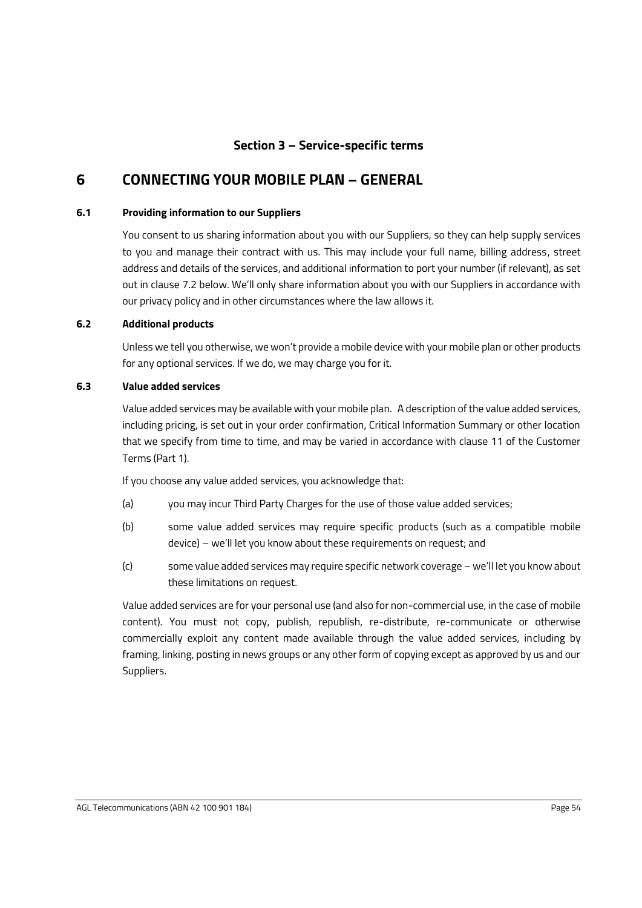# **Section 3 – Service-specific terms**

# **6 CONNECTING YOUR MOBILE PLAN – GENERAL**

#### <span id="page-56-0"></span>**6.1 Providing information to our Suppliers**

You consent to us sharing information about you with our Suppliers, so they can help supply services to you and manage their contract with us. This may include your full name, billing address, street address and details of the services, and additional information to port your number (if relevant), as set out in clause [7.2](#page-57-0) below. We'll only share information about you with our Suppliers in accordance with our privacy policy and in other circumstances where the law allows it.

#### **6.2 Additional products**

Unless we tell you otherwise, we won't provide a mobile device with your mobile plan or other products for any optional services. If we do, we may charge you for it.

#### **6.3 Value added services**

Value added services may be available with your mobile plan. A description of the value added services, including pricing, is set out in your order confirmation, Critical Information Summary or other location that we specify from time to time, and may be varied in accordance with clause 11 of the Customer Terms (Part 1).

If you choose any value added services, you acknowledge that:

- (a) you may incur Third Party Charges for the use of those value added services;
- (b) some value added services may require specific products (such as a compatible mobile device) – we'll let you know about these requirements on request; and
- (c) some value added services may require specific network coverage we'll let you know about these limitations on request.

Value added services are for your personal use (and also for non-commercial use, in the case of mobile content). You must not copy, publish, republish, re-distribute, re-communicate or otherwise commercially exploit any content made available through the value added services, including by framing, linking, posting in news groups or any other form of copying except as approved by us and our Suppliers.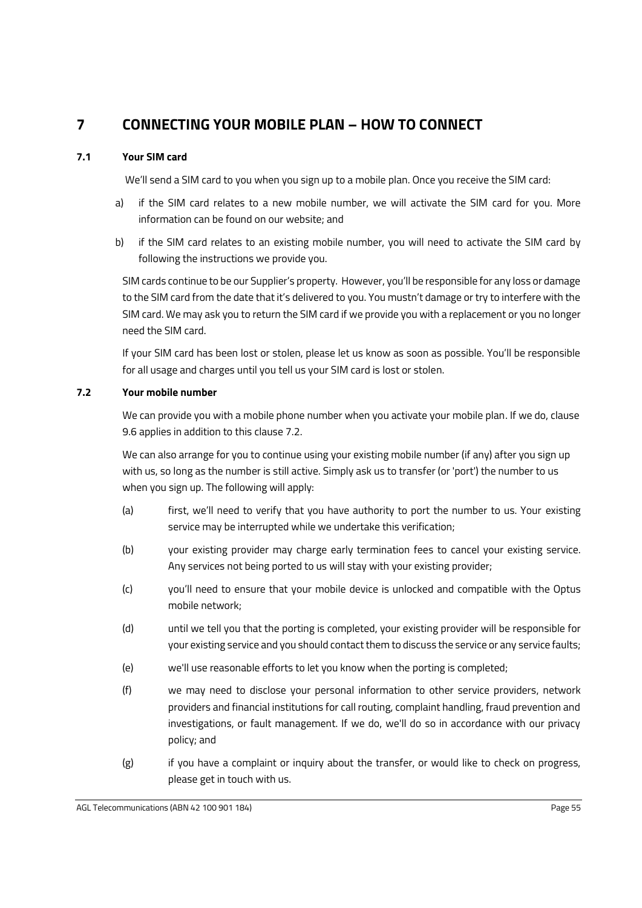# **7 CONNECTING YOUR MOBILE PLAN – HOW TO CONNECT**

#### **7.1 Your SIM card**

We'll send a SIM card to you when you sign up to a mobile plan. Once you receive the SIM card:

- a) if the SIM card relates to a new mobile number, we will activate the SIM card for you. More information can be found on our website; and
- b) if the SIM card relates to an existing mobile number, you will need to activate the SIM card by following the instructions we provide you.

SIM cards continue to be our Supplier's property. However, you'll be responsible for any loss or damage to the SIM card from the date that it's delivered to you. You mustn't damage or try to interfere with the SIM card. We may ask you to return the SIM card if we provide you with a replacement or you no longer need the SIM card.

If your SIM card has been lost or stolen, please let us know as soon as possible. You'll be responsible for all usage and charges until you tell us your SIM card is lost or stolen.

#### <span id="page-57-0"></span>**7.2 Your mobile number**

We can provide you with a mobile phone number when you activate your mobile plan. If we do, clause [9.6](#page-60-0) applies in addition to this clause [7.2.](#page-57-0)

We can also arrange for you to continue using your existing mobile number (if any) after you sign up with us, so long as the number is still active. Simply ask us to transfer (or 'port') the number to us when you sign up. The following will apply:

- (a) first, we'll need to verify that you have authority to port the number to us. Your existing service may be interrupted while we undertake this verification;
- (b) your existing provider may charge early termination fees to cancel your existing service. Any services not being ported to us will stay with your existing provider;
- (c) you'll need to ensure that your mobile device is unlocked and compatible with the Optus mobile network;
- (d) until we tell you that the porting is completed, your existing provider will be responsible for your existing service and you should contact them to discuss the service or any service faults;
- (e) we'll use reasonable efforts to let you know when the porting is completed;
- (f) we may need to disclose your personal information to other service providers, network providers and financial institutions for call routing, complaint handling, fraud prevention and investigations, or fault management. If we do, we'll do so in accordance with our privacy policy; and
- (g) if you have a complaint or inquiry about the transfer, or would like to check on progress, please get in touch with us.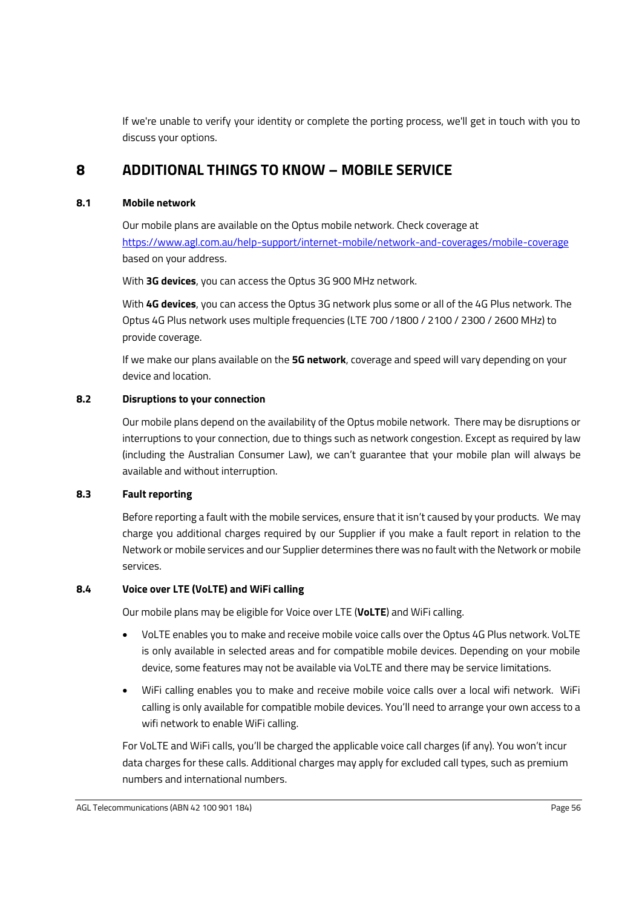If we're unable to verify your identity or complete the porting process, we'll get in touch with you to discuss your options.

# <span id="page-58-1"></span>**8 ADDITIONAL THINGS TO KNOW – MOBILE SERVICE**

#### **8.1 Mobile network**

Our mobile plans are available on the Optus mobile network. Check coverage at <https://www.agl.com.au/help-support/internet-mobile/network-and-coverages/mobile-coverage> based on your address.

With **3G devices**, you can access the Optus 3G 900 MHz network.

With **4G devices**, you can access the Optus 3G network plus some or all of the 4G Plus network. The Optus 4G Plus network uses multiple frequencies (LTE 700 /1800 / 2100 / 2300 / 2600 MHz) to provide coverage.

If we make our plans available on the **5G network**, coverage and speed will vary depending on your device and location.

#### **8.2 Disruptions to your connection**

Our mobile plans depend on the availability of the Optus mobile network. There may be disruptions or interruptions to your connection, due to things such as network congestion. Except as required by law (including the Australian Consumer Law), we can't guarantee that your mobile plan will always be available and without interruption.

#### **8.3 Fault reporting**

Before reporting a fault with the mobile services, ensure that it isn't caused by your products. We may charge you additional charges required by our Supplier if you make a fault report in relation to the Network or mobile services and our Supplier determines there was no fault with the Network or mobile services.

#### <span id="page-58-0"></span>**8.4 Voice over LTE (VoLTE) and WiFi calling**

Our mobile plans may be eligible for Voice over LTE (**VoLTE**) and WiFi calling.

- VoLTE enables you to make and receive mobile voice calls over the Optus 4G Plus network. VoLTE is only available in selected areas and for compatible mobile devices. Depending on your mobile device, some features may not be available via VoLTE and there may be service limitations.
- WiFi calling enables you to make and receive mobile voice calls over a local wifi network. WiFi calling is only available for compatible mobile devices. You'll need to arrange your own access to a wifi network to enable WiFi calling.

For VoLTE and WiFi calls, you'll be charged the applicable voice call charges (if any). You won't incur data charges for these calls. Additional charges may apply for excluded call types, such as premium numbers and international numbers.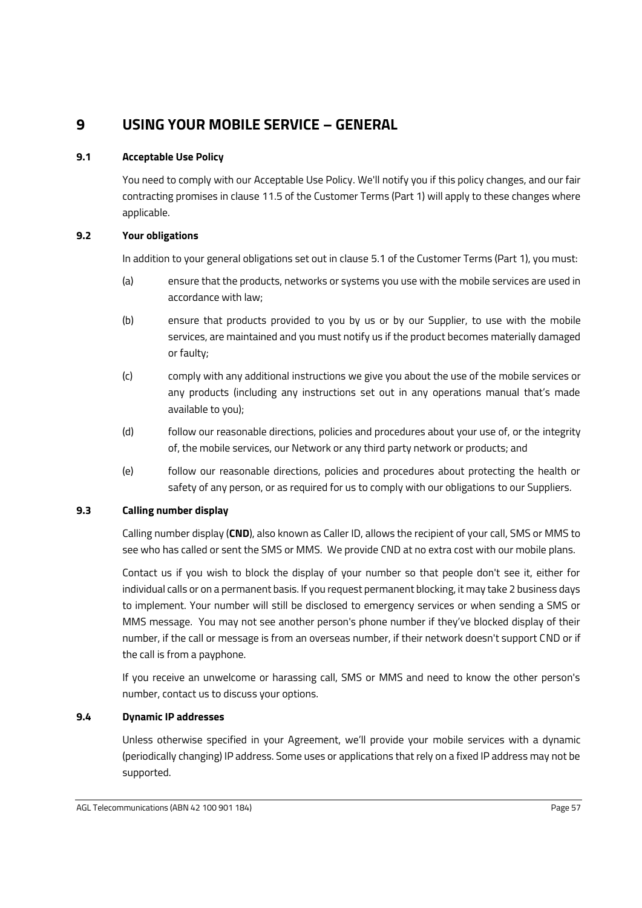# **9 USING YOUR MOBILE SERVICE – GENERAL**

### **9.1 Acceptable Use Policy**

You need to comply with our Acceptable Use Policy. We'll notify you if this policy changes, and our fair contracting promises in clause 11.5 of the Customer Terms (Part 1) will apply to these changes where applicable.

### **9.2 Your obligations**

In addition to your general obligations set out in clause 5.1 of the Customer Terms (Part 1), you must:

- (a) ensure that the products, networks or systems you use with the mobile services are used in accordance with law;
- (b) ensure that products provided to you by us or by our Supplier, to use with the mobile services, are maintained and you must notify us if the product becomes materially damaged or faulty;
- (c) comply with any additional instructions we give you about the use of the mobile services or any products (including any instructions set out in any operations manual that's made available to you);
- (d) follow our reasonable directions, policies and procedures about your use of, or the integrity of, the mobile services, our Network or any third party network or products; and
- (e) follow our reasonable directions, policies and procedures about protecting the health or safety of any person, or as required for us to comply with our obligations to our Suppliers.

### **9.3 Calling number display**

Calling number display (**CND**), also known as Caller ID, allows the recipient of your call, SMS or MMS to see who has called or sent the SMS or MMS. We provide CND at no extra cost with our mobile plans.

Contact us if you wish to block the display of your number so that people don't see it, either for individual calls or on a permanent basis. If you request permanent blocking, it may take 2 business days to implement. Your number will still be disclosed to emergency services or when sending a SMS or MMS message. You may not see another person's phone number if they've blocked display of their number, if the call or message is from an overseas number, if their network doesn't support CND or if the call is from a payphone.

If you receive an unwelcome or harassing call, SMS or MMS and need to know the other person's number, contact us to discuss your options.

### **9.4 Dynamic IP addresses**

Unless otherwise specified in your Agreement, we'll provide your mobile services with a dynamic (periodically changing) IP address. Some uses or applications that rely on a fixed IP address may not be supported.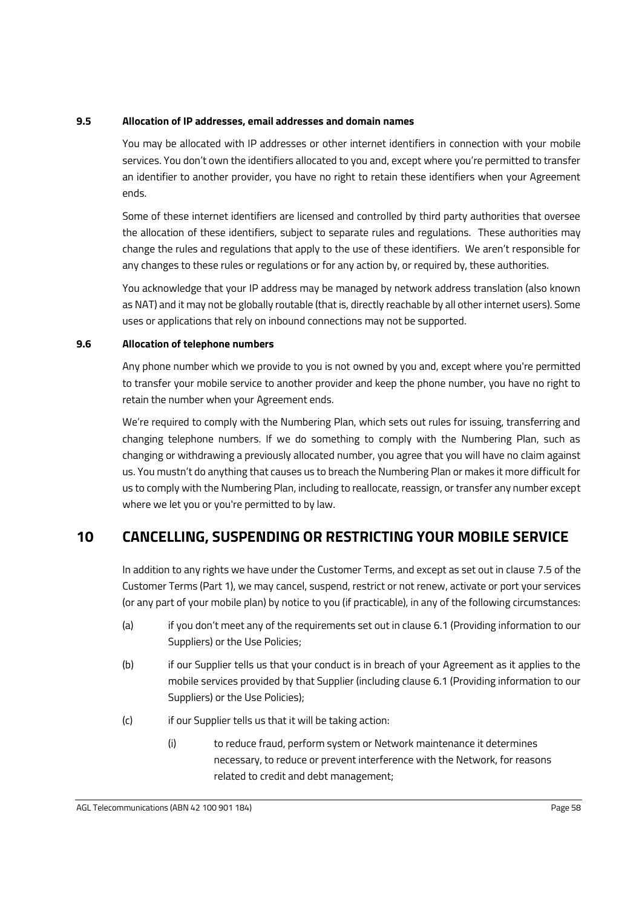#### **9.5 Allocation of IP addresses, email addresses and domain names**

You may be allocated with IP addresses or other internet identifiers in connection with your mobile services. You don't own the identifiers allocated to you and, except where you're permitted to transfer an identifier to another provider, you have no right to retain these identifiers when your Agreement ends.

Some of these internet identifiers are licensed and controlled by third party authorities that oversee the allocation of these identifiers, subject to separate rules and regulations. These authorities may change the rules and regulations that apply to the use of these identifiers. We aren't responsible for any changes to these rules or regulations or for any action by, or required by, these authorities.

You acknowledge that your IP address may be managed by network address translation (also known as NAT) and it may not be globally routable (that is, directly reachable by all other internet users). Some uses or applications that rely on inbound connections may not be supported.

#### <span id="page-60-0"></span>**9.6 Allocation of telephone numbers**

Any phone number which we provide to you is not owned by you and, except where you're permitted to transfer your mobile service to another provider and keep the phone number, you have no right to retain the number when your Agreement ends.

We're required to comply with the Numbering Plan, which sets out rules for issuing, transferring and changing telephone numbers. If we do something to comply with the Numbering Plan, such as changing or withdrawing a previously allocated number, you agree that you will have no claim against us. You mustn't do anything that causes us to breach the Numbering Plan or makes it more difficult for us to comply with the Numbering Plan, including to reallocate, reassign, or transfer any number except where we let you or you're permitted to by law.

# <span id="page-60-3"></span>**10 CANCELLING, SUSPENDING OR RESTRICTING YOUR MOBILE SERVICE**

In addition to any rights we have under the Customer Terms, and except as set out in clause 7.5 of the Customer Terms (Part 1), we may cancel, suspend, restrict or not renew, activate or port your services (or any part of your mobile plan) by notice to you (if practicable), in any of the following circumstances:

- (a) if you don't meet any of the requirements set out in clause [6.1](#page-56-0) (Providing information to our Suppliers) or the Use Policies;
- <span id="page-60-1"></span>(b) if our Supplier tells us that your conduct is in breach of your Agreement as it applies to the mobile services provided by that Supplier (including clause [6.1](#page-56-0) (Providing information to our Suppliers) or the Use Policies);
- <span id="page-60-2"></span>(c) if our Supplier tells us that it will be taking action:
	- (i) to reduce fraud, perform system or Network maintenance it determines necessary, to reduce or prevent interference with the Network, for reasons related to credit and debt management;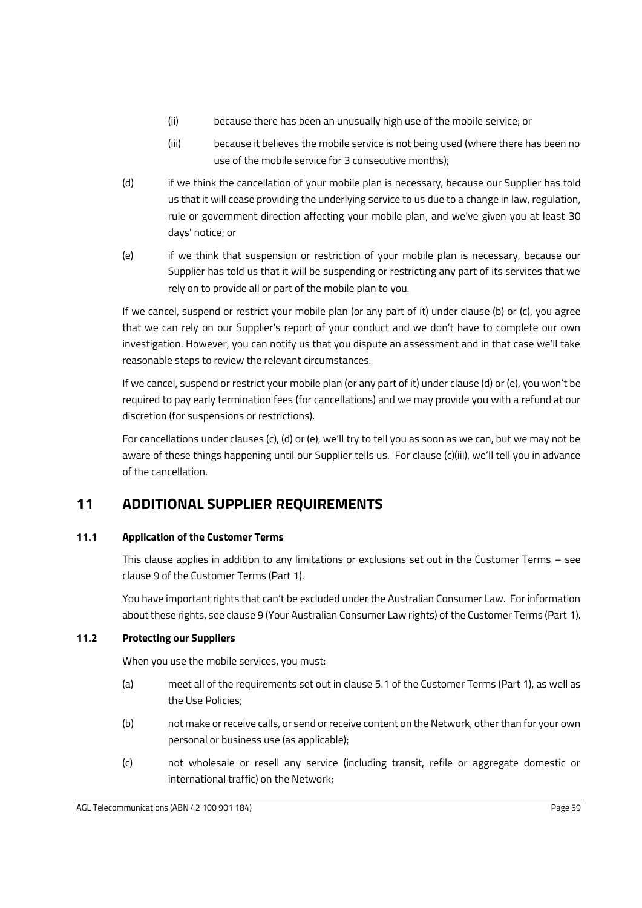- (ii) because there has been an unusually high use of the mobile service; or
- (iii) because it believes the mobile service is not being used (where there has been no use of the mobile service for 3 consecutive months);
- <span id="page-61-2"></span><span id="page-61-0"></span>(d) if we think the cancellation of your mobile plan is necessary, because our Supplier has told us that it will cease providing the underlying service to us due to a change in law, regulation, rule or government direction affecting your mobile plan, and we've given you at least 30 days' notice; or
- <span id="page-61-1"></span>(e) if we think that suspension or restriction of your mobile plan is necessary, because our Supplier has told us that it will be suspending or restricting any part of its services that we rely on to provide all or part of the mobile plan to you.

If we cancel, suspend or restrict your mobile plan (or any part of it) under clause [\(b\)](#page-60-1) or [\(c\),](#page-60-2) you agree that we can rely on our Supplier's report of your conduct and we don't have to complete our own investigation. However, you can notify us that you dispute an assessment and in that case we'll take reasonable steps to review the relevant circumstances.

If we cancel, suspend or restrict your mobile plan (or any part of it) under claus[e \(d\)](#page-61-0) or [\(e\)](#page-61-1), you won't be required to pay early termination fees (for cancellations) and we may provide you with a refund at our discretion (for suspensions or restrictions).

For cancellations under clauses [\(c\),](#page-60-2) [\(d\)](#page-61-0) or [\(e\)](#page-61-1), we'll try to tell you as soon as we can, but we may not be aware of these things happening until our Supplier tells us. For clause [\(c\)](#page-60-2)[\(iii\)](#page-61-2), we'll tell you in advance of the cancellation.

# **11 ADDITIONAL SUPPLIER REQUIREMENTS**

### <span id="page-61-3"></span>**11.1 Application of the Customer Terms**

This clause applies in addition to any limitations or exclusions set out in the Customer Terms – see clause 9 of the Customer Terms (Part 1).

You have important rights that can't be excluded under the Australian Consumer Law. For information about these rights, see clause 9 (Your Australian Consumer Law rights) of the Customer Terms (Part 1).

### **11.2 Protecting our Suppliers**

When you use the mobile services, you must:

- (a) meet all of the requirements set out in clause 5.1 of the Customer Terms (Part 1), as well as the Use Policies;
- (b) not make or receive calls, or send or receive content on the Network, other than for your own personal or business use (as applicable);
- (c) not wholesale or resell any service (including transit, refile or aggregate domestic or international traffic) on the Network;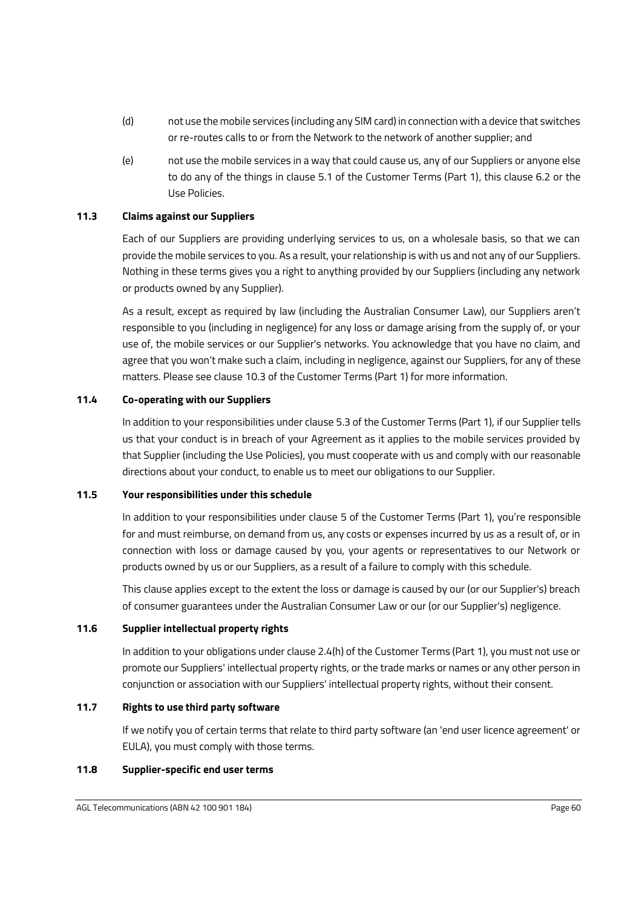- (d) not use the mobile services (including any SIM card) in connection with a device that switches or re-routes calls to or from the Network to the network of another supplier; and
- (e) not use the mobile services in a way that could cause us, any of our Suppliers or anyone else to do any of the things in clause 5.1 of the Customer Terms (Part 1), this clause 6.2 or the Use Policies.

#### <span id="page-62-0"></span>**11.3 Claims against our Suppliers**

Each of our Suppliers are providing underlying services to us, on a wholesale basis, so that we can provide the mobile services to you. As a result, your relationship is with us and not any of our Suppliers. Nothing in these terms gives you a right to anything provided by our Suppliers (including any network or products owned by any Supplier).

As a result, except as required by law (including the Australian Consumer Law), our Suppliers aren't responsible to you (including in negligence) for any loss or damage arising from the supply of, or your use of, the mobile services or our Supplier's networks. You acknowledge that you have no claim, and agree that you won't make such a claim, including in negligence, against our Suppliers, for any of these matters. Please see clause 10.3 of the Customer Terms (Part 1) for more information.

#### <span id="page-62-1"></span>**11.4 Co-operating with our Suppliers**

In addition to your responsibilities under clause 5.3 of the Customer Terms (Part 1), if our Supplier tells us that your conduct is in breach of your Agreement as it applies to the mobile services provided by that Supplier (including the Use Policies), you must cooperate with us and comply with our reasonable directions about your conduct, to enable us to meet our obligations to our Supplier.

#### <span id="page-62-2"></span>**11.5 Your responsibilities under this schedule**

In addition to your responsibilities under clause 5 of the Customer Terms (Part 1), you're responsible for and must reimburse, on demand from us, any costs or expenses incurred by us as a result of, or in connection with loss or damage caused by you, your agents or representatives to our Network or products owned by us or our Suppliers, as a result of a failure to comply with this schedule.

This clause applies except to the extent the loss or damage is caused by our (or our Supplier's) breach of consumer guarantees under the Australian Consumer Law or our (or our Supplier's) negligence.

#### <span id="page-62-3"></span>**11.6 Supplier intellectual property rights**

In addition to your obligations under clause 2.4(h) of the Customer Terms (Part 1), you must not use or promote our Suppliers' intellectual property rights, or the trade marks or names or any other person in conjunction or association with our Suppliers' intellectual property rights, without their consent.

#### <span id="page-62-4"></span>**11.7 Rights to use third party software**

If we notify you of certain terms that relate to third party software (an 'end user licence agreement' or EULA), you must comply with those terms.

#### **11.8 Supplier-specific end user terms**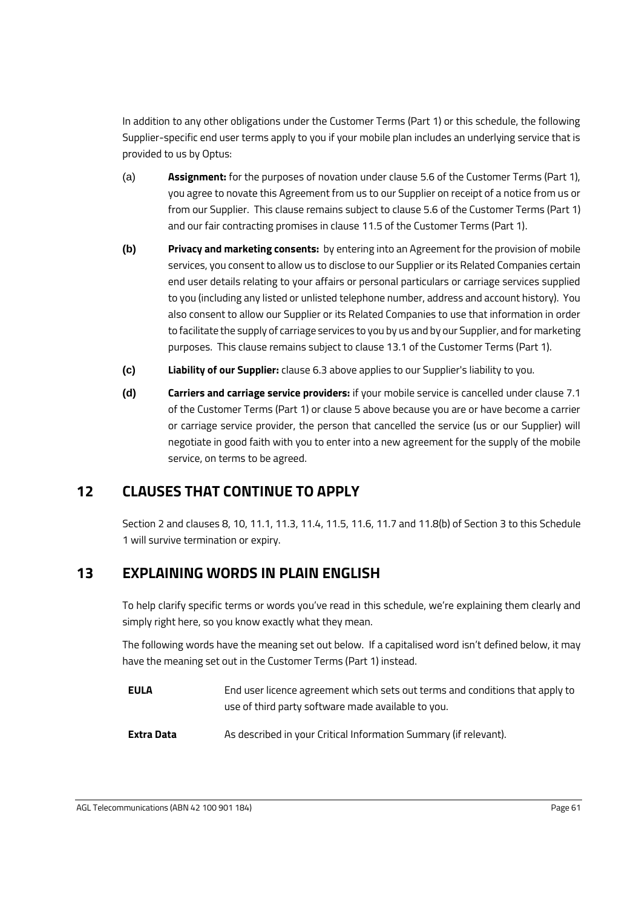In addition to any other obligations under the Customer Terms (Part 1) or this schedule, the following Supplier-specific end user terms apply to you if your mobile plan includes an underlying service that is provided to us by Optus:

- (a) **Assignment:** for the purposes of novation under clause 5.6 of the Customer Terms (Part 1), you agree to novate this Agreement from us to our Supplier on receipt of a notice from us or from our Supplier. This clause remains subject to clause 5.6 of the Customer Terms (Part 1) and our fair contracting promises in clause 11.5 of the Customer Terms (Part 1).
- <span id="page-63-0"></span>**(b) Privacy and marketing consents:** by entering into an Agreement for the provision of mobile services, you consent to allow us to disclose to our Supplier or its Related Companies certain end user details relating to your affairs or personal particulars or carriage services supplied to you (including any listed or unlisted telephone number, address and account history). You also consent to allow our Supplier or its Related Companies to use that information in order to facilitate the supply of carriage services to you by us and by our Supplier, and for marketing purposes. This clause remains subject to clause 13.1 of the Customer Terms (Part 1).
- **(c) Liability of our Supplier:** clause 6.3 above applies to our Supplier's liability to you.
- **(d) Carriers and carriage service providers:** if your mobile service is cancelled under clause 7.1 of the Customer Terms (Part 1) or clause 5 above because you are or have become a carrier or carriage service provider, the person that cancelled the service (us or our Supplier) will negotiate in good faith with you to enter into a new agreement for the supply of the mobile service, on terms to be agreed.

# **12 CLAUSES THAT CONTINUE TO APPLY**

Section 2 and clauses [8,](#page-58-1) [10,](#page-60-3) [11.1,](#page-61-3) [11.3,](#page-62-0) [11.4,](#page-62-1) [11.5,](#page-62-2) [11.6,](#page-62-3) [11.7](#page-62-4) and [11.8\(b\)](#page-63-0) of Section 3 to thi[s Schedule](#page-28-1)  [1](#page-28-1) will survive termination or expiry.

# **13 EXPLAINING WORDS IN PLAIN ENGLISH**

To help clarify specific terms or words you've read in this schedule, we're explaining them clearly and simply right here, so you know exactly what they mean.

The following words have the meaning set out below. If a capitalised word isn't defined below, it may have the meaning set out in the Customer Terms (Part 1) instead.

| <b>EULA</b> | End user licence agreement which sets out terms and conditions that apply to |
|-------------|------------------------------------------------------------------------------|
|             | use of third party software made available to you.                           |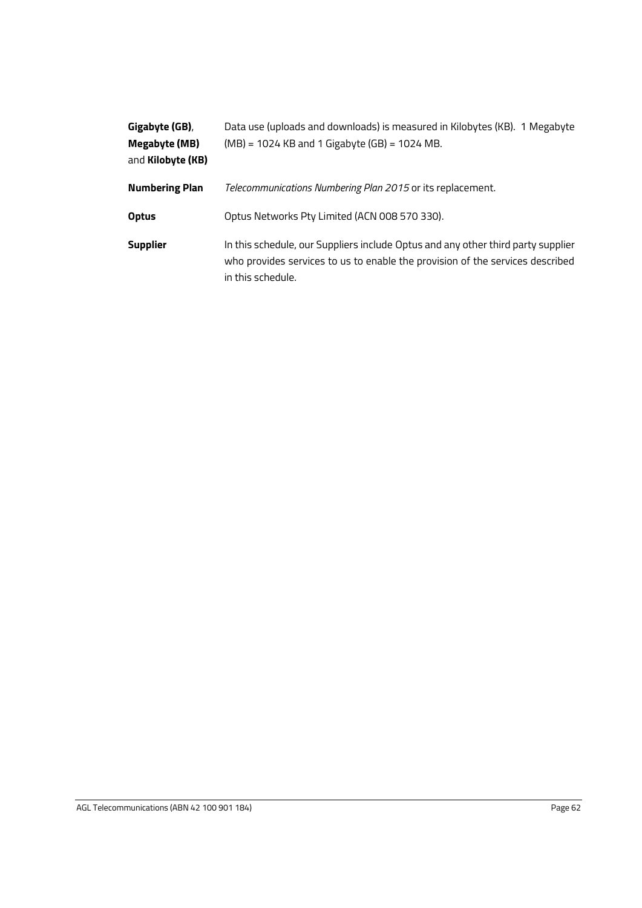| Gigabyte (GB),        | Data use (uploads and downloads) is measured in Kilobytes (KB). 1 Megabyte                                                                                                             |
|-----------------------|----------------------------------------------------------------------------------------------------------------------------------------------------------------------------------------|
| Megabyte (MB)         | $(MB) = 1024$ KB and 1 Gigabyte (GB) = 1024 MB.                                                                                                                                        |
| and Kilobyte (KB)     |                                                                                                                                                                                        |
| <b>Numbering Plan</b> | Telecommunications Numbering Plan 2015 or its replacement.                                                                                                                             |
| <b>Optus</b>          | Optus Networks Pty Limited (ACN 008 570 330).                                                                                                                                          |
| <b>Supplier</b>       | In this schedule, our Suppliers include Optus and any other third party supplier<br>who provides services to us to enable the provision of the services described<br>in this schedule. |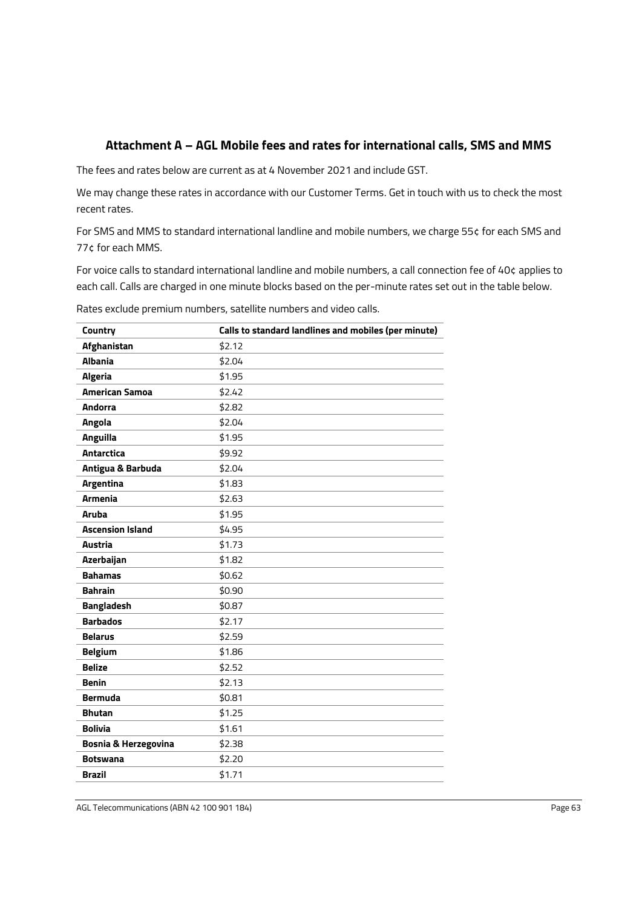# **Attachment A – AGL Mobile fees and rates for international calls, SMS and MMS**

The fees and rates below are current as at 4 November 2021 and include GST.

We may change these rates in accordance with our Customer Terms. Get in touch with us to check the most recent rates.

For SMS and MMS to standard international landline and mobile numbers, we charge 55¢ for each SMS and 77¢ for each MMS.

For voice calls to standard international landline and mobile numbers, a call connection fee of 40¢ applies to each call. Calls are charged in one minute blocks based on the per-minute rates set out in the table below.

Rates exclude premium numbers, satellite numbers and video calls.

| Country                 | Calls to standard landlines and mobiles (per minute) |
|-------------------------|------------------------------------------------------|
| Afghanistan             | \$2.12                                               |
| <b>Albania</b>          | \$2.04                                               |
| <b>Algeria</b>          | \$1.95                                               |
| <b>American Samoa</b>   | \$2.42                                               |
| <b>Andorra</b>          | \$2.82                                               |
| <b>Angola</b>           | \$2.04                                               |
| Anguilla                | \$1.95                                               |
| Antarctica              | \$9.92                                               |
| Antigua & Barbuda       | \$2.04                                               |
| <b>Argentina</b>        | \$1.83                                               |
| <b>Armenia</b>          | \$2.63                                               |
| <b>Aruba</b>            | \$1.95                                               |
| <b>Ascension Island</b> | \$4.95                                               |
| <b>Austria</b>          | \$1.73                                               |
| Azerbaijan              | \$1.82                                               |
| <b>Bahamas</b>          | \$0.62                                               |
| <b>Bahrain</b>          | \$0.90                                               |
| <b>Bangladesh</b>       | \$0.87                                               |
| <b>Barbados</b>         | \$2.17                                               |
| <b>Belarus</b>          | \$2.59                                               |
| <b>Belgium</b>          | \$1.86                                               |
| <b>Belize</b>           | \$2.52                                               |
| <b>Benin</b>            | \$2.13                                               |
| <b>Bermuda</b>          | \$0.81                                               |
| <b>Bhutan</b>           | \$1.25                                               |
| <b>Bolivia</b>          | \$1.61                                               |
| Bosnia & Herzegovina    | \$2.38                                               |
| <b>Botswana</b>         | \$2.20                                               |
| <b>Brazil</b>           | \$1.71                                               |
|                         |                                                      |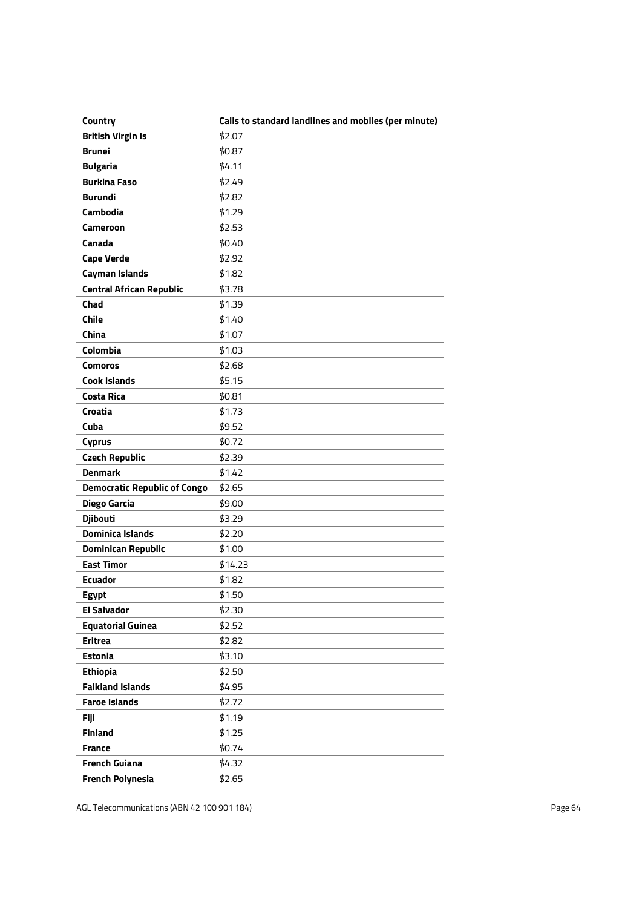| Country                             | Calls to standard landlines and mobiles (per minute) |
|-------------------------------------|------------------------------------------------------|
| <b>British Virgin Is</b>            | \$2.07                                               |
| <b>Brunei</b>                       | \$0.87                                               |
| <b>Bulgaria</b>                     | \$4.11                                               |
| <b>Burkina Faso</b>                 | \$2.49                                               |
| <b>Burundi</b>                      | \$2.82                                               |
| Cambodia                            | \$1.29                                               |
| <b>Cameroon</b>                     | \$2.53                                               |
| Canada                              | \$0.40                                               |
| <b>Cape Verde</b>                   | \$2.92                                               |
| <b>Cayman Islands</b>               | \$1.82                                               |
| <b>Central African Republic</b>     | \$3.78                                               |
| Chad                                | \$1.39                                               |
| <b>Chile</b>                        | \$1.40                                               |
| China                               | \$1.07                                               |
| Colombia                            | \$1.03                                               |
| <b>Comoros</b>                      | \$2.68                                               |
| <b>Cook Islands</b>                 | \$5.15                                               |
| <b>Costa Rica</b>                   | \$0.81                                               |
| Croatia                             | \$1.73                                               |
| Cuba                                | \$9.52                                               |
| <b>Cyprus</b>                       | \$0.72                                               |
| <b>Czech Republic</b>               | \$2.39                                               |
| <b>Denmark</b>                      | \$1.42                                               |
| <b>Democratic Republic of Congo</b> | \$2.65                                               |
| Diego Garcia                        | \$9.00                                               |
| <b>Djibouti</b>                     | \$3.29                                               |
| <b>Dominica Islands</b>             | \$2.20                                               |
| <b>Dominican Republic</b>           | \$1.00                                               |
| <b>East Timor</b>                   | \$14.23                                              |
| <b>Ecuador</b>                      | \$1.82                                               |
| Egypt                               | \$1.50                                               |
| <b>El Salvador</b>                  | \$2.30                                               |
| <b>Equatorial Guinea</b>            | \$2.52                                               |
| <b>Eritrea</b>                      | \$2.82                                               |
| <b>Estonia</b>                      | \$3.10                                               |
| <b>Ethiopia</b>                     | \$2.50                                               |
| <b>Falkland Islands</b>             | \$4.95                                               |
| <b>Faroe Islands</b>                | \$2.72                                               |
| <b>Fiji</b>                         | \$1.19                                               |
| <b>Finland</b>                      | \$1.25                                               |
| <b>France</b>                       | \$0.74                                               |
| <b>French Guiana</b>                | \$4.32                                               |
| <b>French Polynesia</b>             | \$2.65                                               |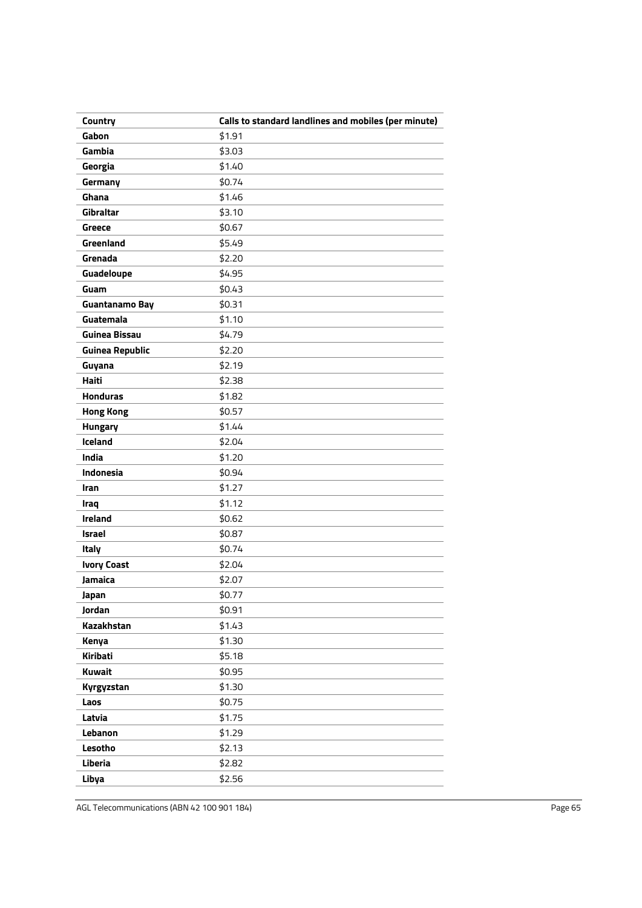| Country                | Calls to standard landlines and mobiles (per minute) |
|------------------------|------------------------------------------------------|
| Gabon                  | \$1.91                                               |
| Gambia                 | \$3.03                                               |
| Georgia                | \$1.40                                               |
| Germany                | \$0.74                                               |
| Ghana                  | \$1.46                                               |
| Gibraltar              | \$3.10                                               |
| <b>Greece</b>          | \$0.67                                               |
| Greenland              | \$5.49                                               |
| Grenada                | \$2.20                                               |
| Guadeloupe             | \$4.95                                               |
| Guam                   | \$0.43                                               |
| Guantanamo Bay         | \$0.31                                               |
| Guatemala              | \$1.10                                               |
| <b>Guinea Bissau</b>   | \$4.79                                               |
| <b>Guinea Republic</b> | \$2.20                                               |
| Guyana                 | \$2.19                                               |
| <b>Haiti</b>           | \$2.38                                               |
| <b>Honduras</b>        | \$1.82                                               |
| <b>Hong Kong</b>       | \$0.57                                               |
| Hungary                | \$1.44                                               |
| Iceland                | \$2.04                                               |
| India                  | \$1.20                                               |
| Indonesia              | \$0.94                                               |
| Iran                   | \$1.27                                               |
| Iraq                   | \$1.12                                               |
| Ireland                | \$0.62                                               |
| <b>Israel</b>          | \$0.87                                               |
| Italy                  | \$0.74                                               |
| <b>Ivory Coast</b>     | \$2.04                                               |
| <b>Jamaica</b>         | \$2.07                                               |
| Japan                  | \$0.77                                               |
| Jordan                 | \$0.91                                               |
| Kazakhstan             | \$1.43                                               |
| Kenya                  | \$1.30                                               |
| Kiribati               | \$5.18                                               |
| Kuwait                 | \$0.95                                               |
| Kyrgyzstan             | \$1.30                                               |
| Laos                   | \$0.75                                               |
| Latvia                 | \$1.75                                               |
| Lebanon                | \$1.29                                               |
| Lesotho                | \$2.13                                               |
| Liberia                | \$2.82                                               |
| Libya                  | \$2.56                                               |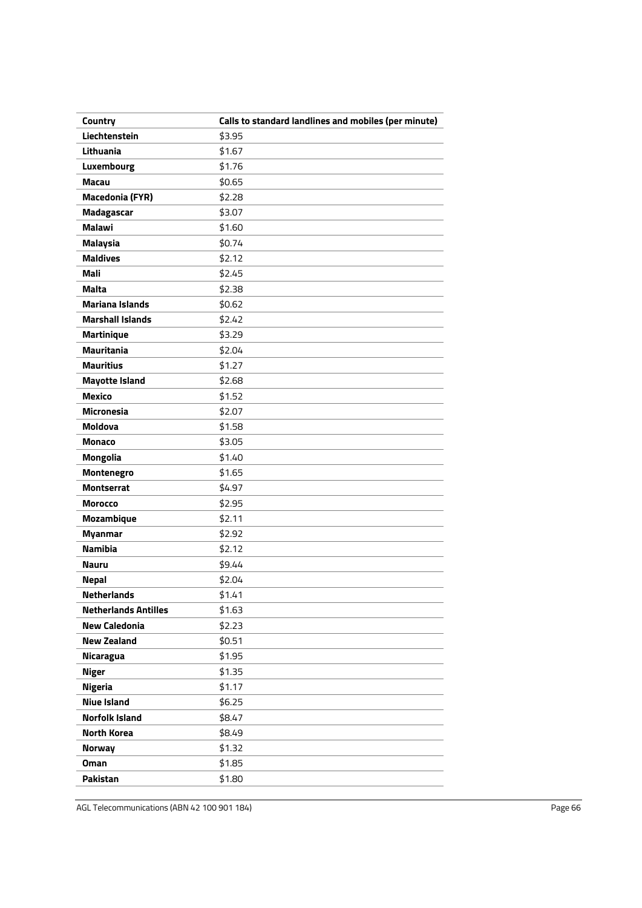| Country                     | Calls to standard landlines and mobiles (per minute) |
|-----------------------------|------------------------------------------------------|
| Liechtenstein               | \$3.95                                               |
| Lithuania                   | \$1.67                                               |
| Luxembourg                  | \$1.76                                               |
| Macau                       | \$0.65                                               |
| <b>Macedonia (FYR)</b>      | \$2.28                                               |
| Madagascar                  | \$3.07                                               |
| <b>Malawi</b>               | \$1.60                                               |
| <b>Malaysia</b>             | \$0.74                                               |
| <b>Maldives</b>             | \$2.12                                               |
| Mali                        | \$2.45                                               |
| <b>Malta</b>                | \$2.38                                               |
| <b>Mariana Islands</b>      | \$0.62                                               |
| <b>Marshall Islands</b>     | \$2.42                                               |
| <b>Martinique</b>           | \$3.29                                               |
| <b>Mauritania</b>           | \$2.04                                               |
| <b>Mauritius</b>            | \$1.27                                               |
| <b>Mayotte Island</b>       | \$2.68                                               |
| <b>Mexico</b>               | \$1.52                                               |
| <b>Micronesia</b>           | \$2.07                                               |
| <b>Moldova</b>              | \$1.58                                               |
| <b>Monaco</b>               | \$3.05                                               |
| <b>Mongolia</b>             | \$1.40                                               |
| Montenegro                  | \$1.65                                               |
| <b>Montserrat</b>           | \$4.97                                               |
| <b>Morocco</b>              | \$2.95                                               |
| Mozambique                  | \$2.11                                               |
| <b>Myanmar</b>              | \$2.92                                               |
| <b>Namibia</b>              | \$2.12                                               |
| <b>Nauru</b>                | \$9.44                                               |
| <b>Nepal</b>                | \$2.04                                               |
| <b>Netherlands</b>          | \$1.41                                               |
| <b>Netherlands Antilles</b> | \$1.63                                               |
| <b>New Caledonia</b>        | \$2.23                                               |
| <b>New Zealand</b>          | \$0.51                                               |
| Nicaragua                   | \$1.95                                               |
| <b>Niger</b>                | \$1.35                                               |
| <b>Nigeria</b>              | \$1.17                                               |
| <b>Niue Island</b>          | \$6.25                                               |
| <b>Norfolk Island</b>       | \$8.47                                               |
| <b>North Korea</b>          | \$8.49                                               |
| <b>Norway</b>               | \$1.32                                               |
| <b>Oman</b>                 | \$1.85                                               |
| <b>Pakistan</b>             | \$1.80                                               |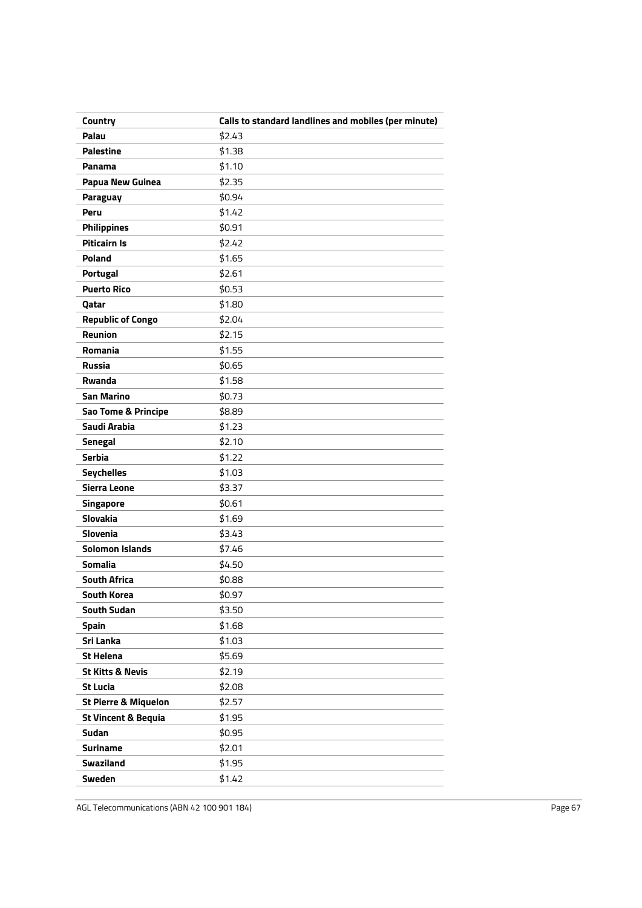| Country                         | Calls to standard landlines and mobiles (per minute) |
|---------------------------------|------------------------------------------------------|
| Palau                           | \$2.43                                               |
| <b>Palestine</b>                | \$1.38                                               |
| Panama                          | \$1.10                                               |
| <b>Papua New Guinea</b>         | \$2.35                                               |
| <b>Paraguay</b>                 | \$0.94                                               |
| Peru                            | \$1.42                                               |
| <b>Philippines</b>              | \$0.91                                               |
| <b>Piticairn Is</b>             | \$2.42                                               |
| <b>Poland</b>                   | \$1.65                                               |
| <b>Portugal</b>                 | \$2.61                                               |
| <b>Puerto Rico</b>              | \$0.53                                               |
| Qatar                           | \$1.80                                               |
| <b>Republic of Congo</b>        | \$2.04                                               |
| Reunion                         | \$2.15                                               |
| Romania                         | \$1.55                                               |
| <b>Russia</b>                   | \$0.65                                               |
| Rwanda                          | \$1.58                                               |
| <b>San Marino</b>               | \$0.73                                               |
| Sao Tome & Principe             | \$8.89                                               |
| Saudi Arabia                    | \$1.23                                               |
| <b>Senegal</b>                  | \$2.10                                               |
| <b>Serbia</b>                   | \$1.22                                               |
| <b>Seychelles</b>               | \$1.03                                               |
| Sierra Leone                    | \$3.37                                               |
| <b>Singapore</b>                | \$0.61                                               |
| <b>Slovakia</b>                 | \$1.69                                               |
| <b>Slovenia</b>                 | \$3.43                                               |
| <b>Solomon Islands</b>          | \$7.46                                               |
| <b>Somalia</b>                  | \$4.50                                               |
| <b>South Africa</b>             | \$0.88                                               |
| South Korea                     | \$0.97                                               |
| <b>South Sudan</b>              | \$3.50                                               |
| <b>Spain</b>                    | \$1.68                                               |
| Sri Lanka                       | \$1.03                                               |
| <b>St Helena</b>                | \$5.69                                               |
| <b>St Kitts &amp; Nevis</b>     | \$2.19                                               |
| <b>St Lucia</b>                 | \$2.08                                               |
| <b>St Pierre &amp; Miquelon</b> | \$2.57                                               |
| <b>St Vincent &amp; Bequia</b>  | \$1.95                                               |
| Sudan                           | \$0.95                                               |
| <b>Suriname</b>                 | \$2.01                                               |
| <b>Swaziland</b>                | \$1.95                                               |
| <b>Sweden</b>                   | \$1.42                                               |